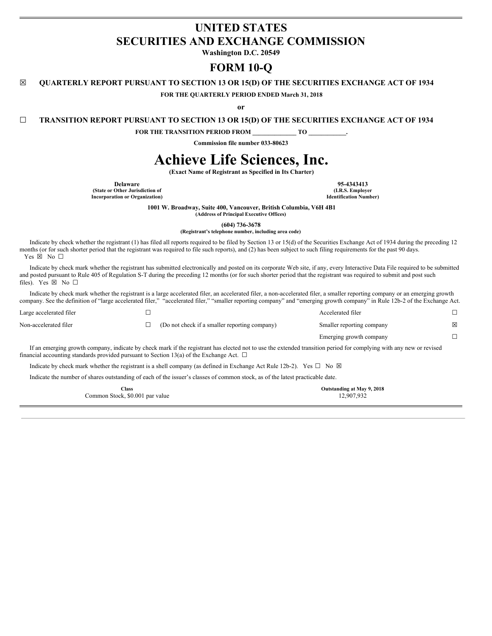## **UNITED STATES SECURITIES AND EXCHANGE COMMISSION**

**Washington D.C. 20549**

### **FORM 10-Q**

**☒ QUARTERLY REPORT PURSUANT TO SECTION 13 OR 15(D) OF THE SECURITIES EXCHANGE ACT OF 1934**

**FOR THE QUARTERLY PERIOD ENDED March 31, 2018**

**or**

**☐ TRANSITION REPORT PURSUANT TO SECTION 13 OR 15(D) OF THE SECURITIES EXCHANGE ACT OF 1934**

**FOR THE TRANSITION PERIOD FROM \_\_\_\_\_\_\_\_\_\_\_\_\_\_ TO \_\_\_\_\_\_\_\_\_\_\_\_.**

**Commission file number 033-80623**

# **Achieve Life Sciences, Inc.**

**(Exact Name of Registrant as Specified in Its Charter)**

**Delaware 95-4343413**<br> **195-4343413**<br> **1.R.S. Employer 1.R.S. Employer (State or Other Jurisdiction of (I.R.S. Employer Incorporation** or **Organization**)

**1001 W. Broadway, Suite 400, Vancouver, British Columbia, V6H 4B1**

**(Address of Principal Executive Offices)**

**(604) 736-3678**

**(Registrant's telephone number, including area code)**

Indicate by check whether the registrant (1) has filed all reports required to be filed by Section 13 or 15(d) of the Securities Exchange Act of 1934 during the preceding 12 months (or for such shorter period that the registrant was required to file such reports), and (2) has been subject to such filing requirements for the past 90 days. Yes ⊠ No □

Indicate by check mark whether the registrant has submitted electronically and posted on its corporate Web site, if any, every Interactive Data File required to be submitted and posted pursuant to Rule 405 of Regulation S-T during the preceding 12 months (or for such shorter period that the registrant was required to submit and post such files). Yes  $\boxtimes$  No  $\square$ 

Indicate by check mark whether the registrant is a large accelerated filer, an accelerated filer, a non-accelerated filer, a smaller reporting company or an emerging growth company. See the definition of "large accelerated filer," "accelerated filer," "smaller reporting company" and "emerging growth company" in Rule 12b-2 of the Exchange Act.

| Large accelerated filer                                                                       |                                                                                                                                                                     | Accelerated filer         |             |
|-----------------------------------------------------------------------------------------------|---------------------------------------------------------------------------------------------------------------------------------------------------------------------|---------------------------|-------------|
| Non-accelerated filer                                                                         | (Do not check if a smaller reporting company)                                                                                                                       | Smaller reporting company | $\boxtimes$ |
|                                                                                               |                                                                                                                                                                     | Emerging growth company   |             |
| financial accounting standards provided pursuant to Section 13(a) of the Exchange Act. $\Box$ | If an emerging growth company, indicate by check mark if the registrant has elected not to use the extended transition period for complying with any new or revised |                           |             |
|                                                                                               | Indicate by check mark whether the registrant is a shell company (as defined in Exchange Act Rule 12b-2). Yes $\Box$ No $\boxtimes$                                 |                           |             |

Indicate the number of shares outstanding of each of the issuer's classes of common stock, as of the latest practicable date.

| Class                           | Outstanding at May 9, 2018 |
|---------------------------------|----------------------------|
| Common Stock, \$0.001 par value | 12,907,932                 |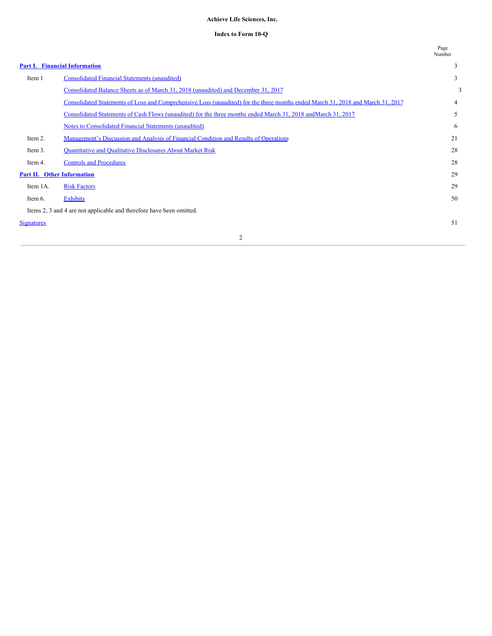#### **Achieve Life Sciences, Inc.**

#### **Index to Form 10-Q**

|                                   |                                                                                                                                 | Page<br>Number |
|-----------------------------------|---------------------------------------------------------------------------------------------------------------------------------|----------------|
|                                   | <b>Part I. Financial Information</b>                                                                                            | 3              |
| Item 1                            | <b>Consolidated Financial Statements (unaudited)</b>                                                                            | 3              |
|                                   | Consolidated Balance Sheets as of March 31, 2018 (unaudited) and December 31, 2017                                              | 3              |
|                                   | Consolidated Statements of Loss and Comprehensive Loss (unaudited) for the three months ended March 31, 2018 and March 31, 2017 | 4              |
|                                   | Consolidated Statements of Cash Flows (unaudited) for the three months ended March 31, 2018 and March 31, 2017                  | 5              |
|                                   | Notes to Consolidated Financial Statements (unaudited)                                                                          | 6              |
| Item 2.                           | Management's Discussion and Analysis of Financial Condition and Results of Operations                                           | 21             |
| Item 3.                           | Quantitative and Qualitative Disclosures About Market Risk                                                                      | 28             |
| Item 4.                           | <b>Controls and Procedures</b>                                                                                                  | 28             |
| <b>Part II. Other Information</b> |                                                                                                                                 | 29             |
| Item 1A.                          | <b>Risk Factors</b>                                                                                                             | 29             |
| Item 6.                           | <b>Exhibits</b>                                                                                                                 | 50             |
|                                   | Items 2, 3 and 4 are not applicable and therefore have been omitted.                                                            |                |
| <b>Signatures</b>                 |                                                                                                                                 | 51             |
|                                   | 2                                                                                                                               |                |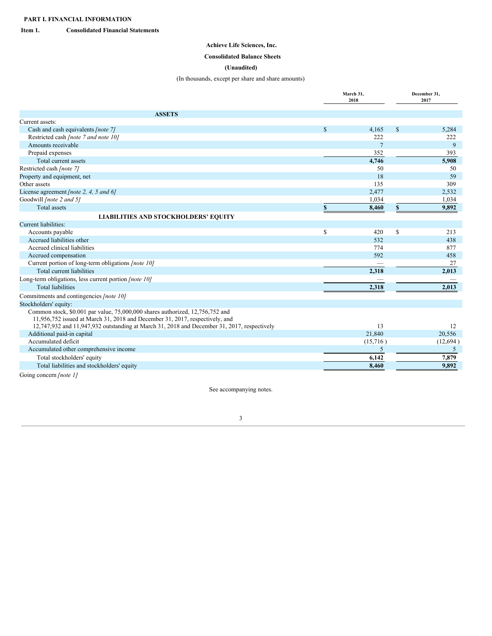<span id="page-2-1"></span><span id="page-2-0"></span>**Item 1. Consolidated Financial Statements**

### **Achieve Life Sciences, Inc.**

### <span id="page-2-2"></span>**Consolidated Balance Sheets**

#### **(Unaudited)**

### (In thousands, except per share and share amounts)

|                                                                                                                                                               | March 31,<br>2018 |                | December 31,<br>2017 |
|---------------------------------------------------------------------------------------------------------------------------------------------------------------|-------------------|----------------|----------------------|
| <b>ASSETS</b>                                                                                                                                                 |                   |                |                      |
| Current assets:                                                                                                                                               |                   |                |                      |
| Cash and cash equivalents [note 7]                                                                                                                            | $\mathcal{S}$     | 4,165          | \$<br>5,284          |
| Restricted cash [note 7 and note 10]                                                                                                                          |                   | 222            | 222                  |
| Amounts receivable                                                                                                                                            |                   | $\overline{7}$ | 9                    |
| Prepaid expenses                                                                                                                                              |                   | 352            | 393                  |
| Total current assets                                                                                                                                          |                   | 4,746          | 5,908                |
| Restricted cash [note 7]                                                                                                                                      |                   | 50             | 50                   |
| Property and equipment, net                                                                                                                                   |                   | 18             | 59                   |
| Other assets                                                                                                                                                  |                   | 135            | 309                  |
| License agreement [note 2, 4, 5 and 6]                                                                                                                        |                   | 2,477          | 2,532                |
| Goodwill [note 2 and 5]                                                                                                                                       |                   | 1,034          | 1,034                |
| <b>Total</b> assets                                                                                                                                           |                   | 8,460          | \$<br>9,892          |
| <b>LIABILITIES AND STOCKHOLDERS' EQUITY</b>                                                                                                                   |                   |                |                      |
| Current liabilities:                                                                                                                                          |                   |                |                      |
| Accounts payable                                                                                                                                              | \$                | 420            | \$<br>213            |
| Accrued liabilities other                                                                                                                                     |                   | 532            | 438                  |
| Accrued clinical liabilities                                                                                                                                  |                   | 774            | 877                  |
| Accrued compensation                                                                                                                                          |                   | 592            | 458                  |
| Current portion of long-term obligations [note 10]                                                                                                            |                   |                | 27                   |
| Total current liabilities                                                                                                                                     |                   | 2,318          | 2,013                |
| Long-term obligations, less current portion [note 10]                                                                                                         |                   |                |                      |
| <b>Total liabilities</b>                                                                                                                                      |                   | 2,318          | 2,013                |
| Commitments and contingencies [note 10]                                                                                                                       |                   |                |                      |
| Stockholders' equity:                                                                                                                                         |                   |                |                      |
| Common stock, \$0.001 par value, 75,000,000 shares authorized, 12,756,752 and<br>11,956,752 issued at March 31, 2018 and December 31, 2017, respectively, and |                   |                |                      |
| 12,747,932 and 11,947,932 outstanding at March 31, 2018 and December 31, 2017, respectively                                                                   |                   | 13             | 12                   |
| Additional paid-in capital                                                                                                                                    |                   | 21,840         | 20,556               |
| Accumulated deficit                                                                                                                                           |                   | (15,716)       | (12,694)             |
| Accumulated other comprehensive income                                                                                                                        |                   | 5              | 5                    |
| Total stockholders' equity                                                                                                                                    |                   | 6,142          | 7,879                |
| Total liabilities and stockholders' equity                                                                                                                    |                   | 8,460          | 9,892                |

Going concern *[note 1]*

See accompanying notes.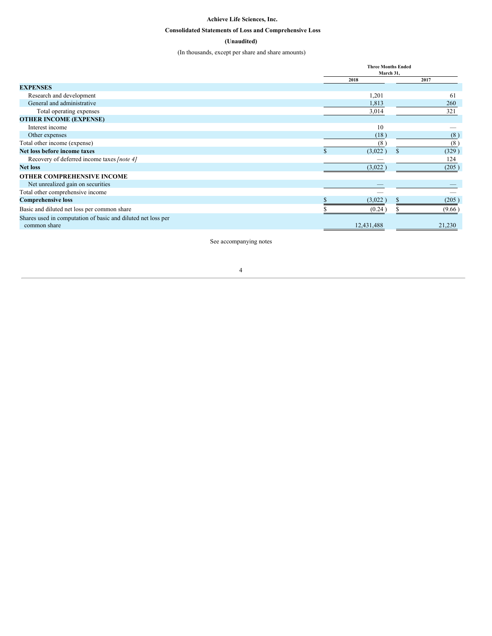#### **Achieve Life Sciences, Inc.**

### <span id="page-3-0"></span>**Consolidated Statements of Loss and Comprehensive Loss**

### **(Unaudited)**

(In thousands, except per share and share amounts)

|                                                              | <b>Three Months Ended</b><br>March 31, |  |        |
|--------------------------------------------------------------|----------------------------------------|--|--------|
|                                                              | 2018                                   |  | 2017   |
| <b>EXPENSES</b>                                              |                                        |  |        |
| Research and development                                     | 1,201                                  |  | 61     |
| General and administrative                                   | 1,813                                  |  | 260    |
| Total operating expenses                                     | 3,014                                  |  | 321    |
| <b>OTHER INCOME (EXPENSE)</b>                                |                                        |  |        |
| Interest income                                              | 10                                     |  |        |
| Other expenses                                               | (18)                                   |  | (8)    |
| Total other income (expense)                                 | (8)                                    |  | (8)    |
| Net loss before income taxes                                 | (3,022)                                |  | (329)  |
| Recovery of deferred income taxes [note 4]                   |                                        |  | 124    |
| <b>Net loss</b>                                              | (3,022)                                |  | (205)  |
| <b>OTHER COMPREHENSIVE INCOME</b>                            |                                        |  |        |
| Net unrealized gain on securities                            |                                        |  |        |
| Total other comprehensive income                             |                                        |  |        |
| <b>Comprehensive loss</b>                                    | (3,022)                                |  | (205)  |
| Basic and diluted net loss per common share                  | (0.24)                                 |  | (9.66) |
| Shares used in computation of basic and diluted net loss per |                                        |  |        |
| common share                                                 | 12,431,488                             |  | 21,230 |
|                                                              |                                        |  |        |

See accompanying notes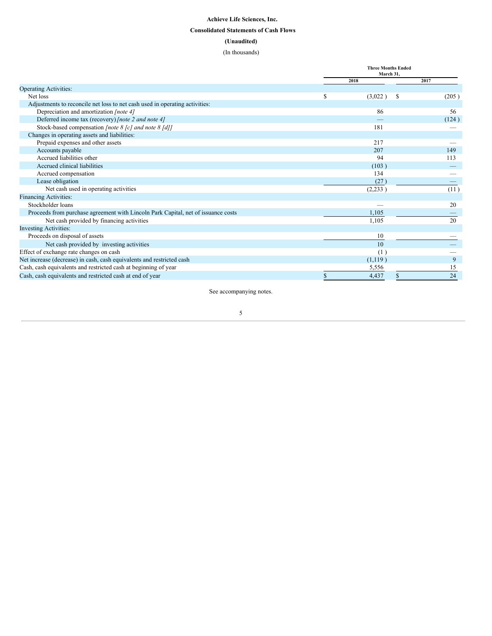### <span id="page-4-0"></span>**Achieve Life Sciences, Inc. Consolidated Statements of Cash Flows (Unaudited)** (In thousands)

|                                                                                   | <b>Three Months Ended</b><br>March 31, |               |       |  |
|-----------------------------------------------------------------------------------|----------------------------------------|---------------|-------|--|
|                                                                                   |                                        | 2018          | 2017  |  |
| <b>Operating Activities:</b>                                                      |                                        |               |       |  |
| Net loss                                                                          | <sup>\$</sup>                          | (3,022)<br>-S | (205) |  |
| Adjustments to reconcile net loss to net cash used in operating activities:       |                                        |               |       |  |
| Depreciation and amortization [note 4]                                            |                                        | 86            | 56    |  |
| Deferred income tax (recovery) [note 2 and note 4]                                |                                        |               | (124) |  |
| Stock-based compensation [note 8 [c] and note 8 [d]]                              |                                        | 181           |       |  |
| Changes in operating assets and liabilities:                                      |                                        |               |       |  |
| Prepaid expenses and other assets                                                 |                                        | 217           |       |  |
| Accounts payable                                                                  |                                        | 207           | 149   |  |
| Accrued liabilities other                                                         |                                        | 94            | 113   |  |
| Accrued clinical liabilities                                                      |                                        | (103)         |       |  |
| Accrued compensation                                                              |                                        | 134           |       |  |
| Lease obligation                                                                  |                                        | (27)          |       |  |
| Net cash used in operating activities                                             |                                        | (2,233)       | (11)  |  |
| <b>Financing Activities:</b>                                                      |                                        |               |       |  |
| Stockholder loans                                                                 |                                        |               | 20    |  |
| Proceeds from purchase agreement with Lincoln Park Capital, net of issuance costs |                                        | 1,105         |       |  |
| Net cash provided by financing activities                                         |                                        | 1,105         | 20    |  |
| <b>Investing Activities:</b>                                                      |                                        |               |       |  |
| Proceeds on disposal of assets                                                    |                                        | 10            |       |  |
| Net cash provided by investing activities                                         |                                        | 10            |       |  |
| Effect of exchange rate changes on cash                                           |                                        | (1)           |       |  |
| Net increase (decrease) in cash, cash equivalents and restricted cash             |                                        | (1, 119)      | 9     |  |
| Cash, cash equivalents and restricted cash at beginning of year                   |                                        | 5,556         | 15    |  |
| Cash, cash equivalents and restricted cash at end of year                         |                                        | 4,437         | 24    |  |

See accompanying notes.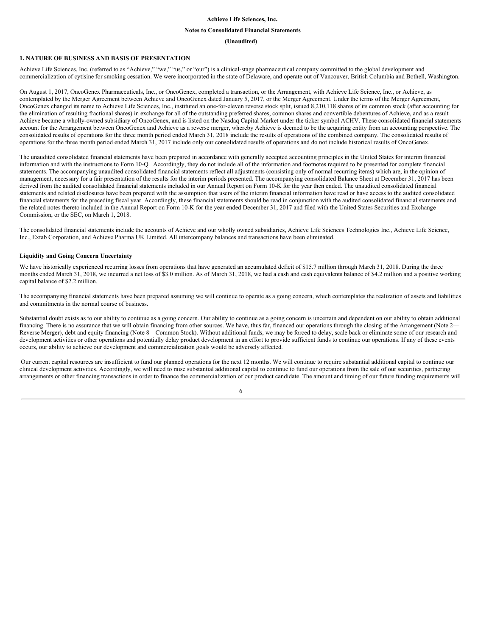#### **Achieve Life Sciences, Inc.**

#### <span id="page-5-0"></span>**Notes to Consolidated Financial Statements**

#### **(Unaudited)**

#### **1. NATURE OF BUSINESS AND BASIS OF PRESENTATION**

Achieve Life Sciences, Inc. (referred to as "Achieve," "we," "us," or "our") is a clinical-stage pharmaceutical company committed to the global development and commercialization of cytisine for smoking cessation. We were incorporated in the state of Delaware, and operate out of Vancouver, British Columbia and Bothell, Washington.

On August 1, 2017, OncoGenex Pharmaceuticals, Inc., or OncoGenex, completed a transaction, or the Arrangement, with Achieve Life Science, Inc., or Achieve, as contemplated by the Merger Agreement between Achieve and OncoGenex dated January 5, 2017, or the Merger Agreement. Under the terms of the Merger Agreement, OncoGenex changed its name to Achieve Life Sciences, Inc., instituted an one-for-eleven reverse stock split, issued 8,210,118 shares of its common stock (after accounting for the elimination of resulting fractional shares) in exchange for all of the outstanding preferred shares, common shares and convertible debentures of Achieve, and as a result Achieve became a wholly-owned subsidiary of OncoGenex, and is listed on the Nasdaq Capital Market under the ticker symbol ACHV. These consolidated financial statements account for the Arrangement between OncoGenex and Achieve as a reverse merger, whereby Achieve is deemed to be the acquiring entity from an accounting perspective. The consolidated results of operations for the three month period ended March 31, 2018 include the results of operations of the combined company. The consolidated results of operations for the three month period ended March 31, 2017 include only our consolidated results of operations and do not include historical results of OncoGenex.

The unaudited consolidated financial statements have been prepared in accordance with generally accepted accounting principles in the United States for interim financial information and with the instructions to Form 10-Q. Accordingly, they do not include all of the information and footnotes required to be presented for complete financial statements. The accompanying unaudited consolidated financial statements reflect all adjustments (consisting only of normal recurring items) which are, in the opinion of management, necessary for a fair presentation of the results for the interim periods presented. The accompanying consolidated Balance Sheet at December 31, 2017 has been derived from the audited consolidated financial statements included in our Annual Report on Form 10-K for the year then ended. The unaudited consolidated financial statements and related disclosures have been prepared with the assumption that users of the interim financial information have read or have access to the audited consolidated financial statements for the preceding fiscal year. Accordingly, these financial statements should be read in conjunction with the audited consolidated financial statements and the related notes thereto included in the Annual Report on Form 10-K for the year ended December 31, 2017 and filed with the United States Securities and Exchange Commission, or the SEC, on March 1, 2018.

The consolidated financial statements include the accounts of Achieve and our wholly owned subsidiaries, Achieve Life Sciences Technologies Inc., Achieve Life Science, Inc., Extab Corporation, and Achieve Pharma UK Limited. All intercompany balances and transactions have been eliminated.

#### **Liquidity and Going Concern Uncertainty**

We have historically experienced recurring losses from operations that have generated an accumulated deficit of \$15.7 million through March 31, 2018. During the three months ended March 31, 2018, we incurred a net loss of \$3.0 million. As of March 31, 2018, we had a cash and cash equivalents balance of \$4.2 million and a positive working capital balance of \$2.2 million.

The accompanying financial statements have been prepared assuming we will continue to operate as a going concern, which contemplates the realization of assets and liabilities and commitments in the normal course of business.

Substantial doubt exists as to our ability to continue as a going concern. Our ability to continue as a going concern is uncertain and dependent on our ability to obtain additional financing. There is no assurance that we will obtain financing from other sources. We have, thus far, financed our operations through the closing of the Arrangement (Note 2— Reverse Merger), debt and equity financing (Note 8—Common Stock). Without additional funds, we may be forced to delay, scale back or eliminate some of our research and development activities or other operations and potentially delay product development in an effort to provide sufficient funds to continue our operations. If any of these events occurs, our ability to achieve our development and commercialization goals would be adversely affected.

Our current capital resources are insufficient to fund our planned operations for the next 12 months. We will continue to require substantial additional capital to continue our clinical development activities. Accordingly, we will need to raise substantial additional capital to continue to fund our operations from the sale of our securities, partnering arrangements or other financing transactions in order to finance the commercialization of our product candidate. The amount and timing of our future funding requirements will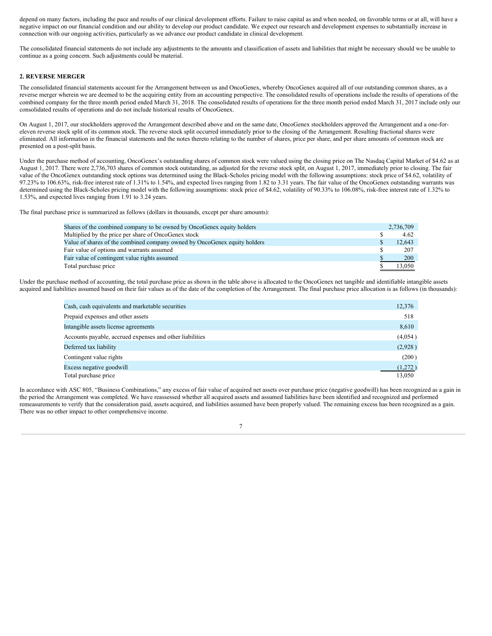depend on many factors, including the pace and results of our clinical development efforts. Failure to raise capital as and when needed, on favorable terms or at all, will have a negative impact on our financial condition and our ability to develop our product candidate. We expect our research and development expenses to substantially increase in connection with our ongoing activities, particularly as we advance our product candidate in clinical development.

The consolidated financial statements do not include any adjustments to the amounts and classification of assets and liabilities that might be necessary should we be unable to continue as a going concern. Such adjustments could be material.

#### **2. REVERSE MERGER**

The consolidated financial statements account for the Arrangement between us and OncoGenex, whereby OncoGenex acquired all of our outstanding common shares, as a reverse merger wherein we are deemed to be the acquiring entity from an accounting perspective. The consolidated results of operations include the results of operations of the combined company for the three month period ended March 31, 2018. The consolidated results of operations for the three month period ended March 31, 2017 include only our consolidated results of operations and do not include historical results of OncoGenex.

On August 1, 2017, our stockholders approved the Arrangement described above and on the same date, OncoGenex stockholders approved the Arrangement and a one-foreleven reverse stock split of its common stock. The reverse stock split occurred immediately prior to the closing of the Arrangement. Resulting fractional shares were eliminated. All information in the financial statements and the notes thereto relating to the number of shares, price per share, and per share amounts of common stock are presented on a post-split basis.

Under the purchase method of accounting, OncoGenex's outstanding shares of common stock were valued using the closing price on The Nasdaq Capital Market of \$4.62 as at August 1, 2017. There were 2,736,703 shares of common stock outstanding, as adjusted for the reverse stock split, on August 1, 2017, immediately prior to closing. The fair value of the OncoGenex outstanding stock options was determined using the Black-Scholes pricing model with the following assumptions: stock price of \$4.62, volatility of 97.23% to 106.63%, risk-free interest rate of 1.31% to 1.54%, and expected lives ranging from 1.82 to 3.31 years. The fair value of the OncoGenex outstanding warrants was determined using the Black-Scholes pricing model with the following assumptions: stock price of \$4.62, volatility of 90.33% to 106.08%, risk-free interest rate of 1.32% to 1.53%, and expected lives ranging from 1.91 to 3.24 years.

The final purchase price is summarized as follows (dollars in thousands, except per share amounts):

| Shares of the combined company to be owned by OncoGenex equity holders    | 2,736,709  |
|---------------------------------------------------------------------------|------------|
| Multiplied by the price per share of OncoGenex stock                      | 4.62       |
| Value of shares of the combined company owned by OncoGenex equity holders | 12.643     |
| Fair value of options and warrants assumed                                | 207        |
| Fair value of contingent value rights assumed                             | <b>200</b> |
| Total purchase price                                                      | 13.050     |

Under the purchase method of accounting, the total purchase price as shown in the table above is allocated to the OncoGenex net tangible and identifiable intangible assets acquired and liabilities assumed based on their fair values as of the date of the completion of the Arrangement. The final purchase price allocation is as follows (in thousands):

| Cash, cash equivalents and marketable securities         | 12,376  |
|----------------------------------------------------------|---------|
| Prepaid expenses and other assets                        | 518     |
| Intangible assets license agreements                     | 8,610   |
| Accounts payable, accrued expenses and other liabilities | (4,054) |
| Deferred tax liability                                   | (2,928) |
| Contingent value rights                                  | (200)   |
| Excess negative goodwill                                 | (1,272) |
| Total purchase price                                     | 13,050  |

In accordance with ASC 805, "Business Combinations," any excess of fair value of acquired net assets over purchase price (negative goodwill) has been recognized as a gain in the period the Arrangement was completed. We have reassessed whether all acquired assets and assumed liabilities have been identified and recognized and performed remeasurements to verify that the consideration paid, assets acquired, and liabilities assumed have been properly valued. The remaining excess has been recognized as a gain. There was no other impact to other comprehensive income.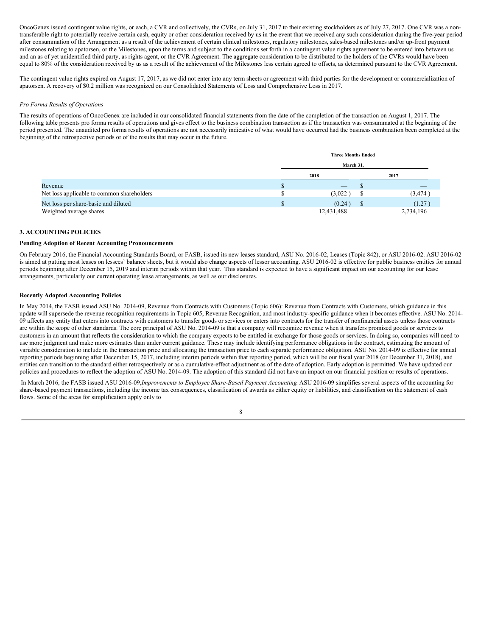OncoGenex issued contingent value rights, or each, a CVR and collectively, the CVRs, on July 31, 2017 to their existing stockholders as of July 27, 2017. One CVR was a nontransferable right to potentially receive certain cash, equity or other consideration received by us in the event that we received any such consideration during the five-year period after consummation of the Arrangement as a result of the achievement of certain clinical milestones, regulatory milestones, sales-based milestones and/or up-front payment milestones relating to apatorsen, or the Milestones, upon the terms and subject to the conditions set forth in a contingent value rights agreement to be entered into between us and an as of yet unidentified third party, as rights agent, or the CVR Agreement. The aggregate consideration to be distributed to the holders of the CVRs would have been equal to 80% of the consideration received by us as a result of the achievement of the Milestones less certain agreed to offsets, as determined pursuant to the CVR Agreement.

The contingent value rights expired on August 17, 2017, as we did not enter into any term sheets or agreement with third parties for the development or commercialization of apatorsen. A recovery of \$0.2 million was recognized on our Consolidated Statements of Loss and Comprehensive Loss in 2017.

#### *Pro Forma Results of Operations*

The results of operations of OncoGenex are included in our consolidated financial statements from the date of the completion of the transaction on August 1, 2017. The following table presents pro forma results of operations and gives effect to the business combination transaction as if the transaction was consummated at the beginning of the period presented. The unaudited pro forma results of operations are not necessarily indicative of what would have occurred had the business combination been completed at the beginning of the retrospective periods or of the results that may occur in the future.

|                                            |    | <b>Three Months Ended</b> |  |           |  |  |  |  |
|--------------------------------------------|----|---------------------------|--|-----------|--|--|--|--|
|                                            |    | March 31,                 |  |           |  |  |  |  |
|                                            |    | 2018                      |  | 2017      |  |  |  |  |
| Revenue                                    | \$ | $\overline{\phantom{a}}$  |  | _         |  |  |  |  |
| Net loss applicable to common shareholders | ۰D | (3,022)                   |  | (3,474)   |  |  |  |  |
| Net loss per share-basic and diluted       | \$ | (0.24)                    |  | (1.27)    |  |  |  |  |
| Weighted average shares                    |    | 12,431,488                |  | 2,734,196 |  |  |  |  |

#### **3. ACCOUNTING POLICIES**

#### **Pending Adoption of Recent Accounting Pronouncements**

On February 2016, the Financial Accounting Standards Board, or FASB, issued its new leases standard, ASU No. 2016-02, Leases (Topic 842), or ASU 2016-02. ASU 2016-02 is aimed at putting most leases on lessees' balance sheets, but it would also change aspects of lessor accounting. ASU 2016-02 is effective for public business entities for annual periods beginning after December 15, 2019 and interim periods within that year. This standard is expected to have a significant impact on our accounting for our lease arrangements, particularly our current operating lease arrangements, as well as our disclosures.

#### **Recently Adopted Accounting Policies**

In May 2014, the FASB issued ASU No. 2014-09, Revenue from Contracts with Customers (Topic 606): Revenue from Contracts with Customers, which guidance in this update will supersede the revenue recognition requirements in Topic 605, Revenue Recognition, and most industry-specific guidance when it becomes effective. ASU No. 2014- 09 affects any entity that enters into contracts with customers to transfer goods or services or enters into contracts for the transfer of nonfinancial assets unless those contracts are within the scope of other standards. The core principal of ASU No. 2014-09 is that a company will recognize revenue when it transfers promised goods or services to customers in an amount that reflects the consideration to which the company expects to be entitled in exchange for those goods or services. In doing so, companies will need to use more judgment and make more estimates than under current guidance. These may include identifying performance obligations in the contract, estimating the amount of variable consideration to include in the transaction price and allocating the transaction price to each separate performance obligation. ASU No. 2014-09 is effective for annual reporting periods beginning after December 15, 2017, including interim periods within that reporting period, which will be our fiscal year 2018 (or December 31, 2018), and entities can transition to the standard either retrospectively or as a cumulative-effect adjustment as of the date of adoption. Early adoption is permitted. We have updated our policies and procedures to reflect the adoption of ASU No. 2014-09. The adoption of this standard did not have an impact on our financial position or results of operations.

In March 2016, the FASB issued ASU 2016-09,*Improvements to Employee Share-Based Payment Accounting*. ASU 2016-09 simplifies several aspects of the accounting for share-based payment transactions, including the income tax consequences, classification of awards as either equity or liabilities, and classification on the statement of cash flows. Some of the areas for simplification apply only to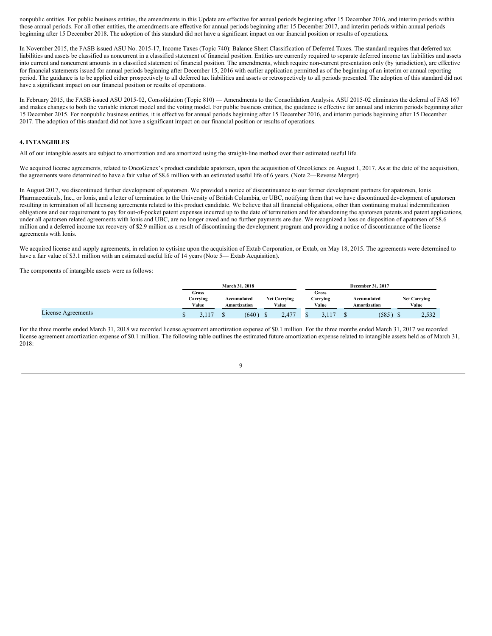nonpublic entities. For public business entities, the amendments in this Update are effective for annual periods beginning after 15 December 2016, and interim periods within those annual periods. For all other entities, the amendments are effective for annual periods beginning after 15 December 2017, and interim periods within annual periods beginning after 15 December 2018. The adoption of this standard did not have a significant impact on our financial position or results of operations.

In November 2015, the FASB issued ASU No. 2015-17, Income Taxes (Topic 740): Balance Sheet Classification of Deferred Taxes. The standard requires that deferred tax liabilities and assets be classified as noncurrent in a classified statement of financial position. Entities are currently required to separate deferred income tax liabilities and assets into current and noncurrent amounts in a classified statement of financial position. The amendments, which require non-current presentation only (by jurisdiction), are effective for financial statements issued for annual periods beginning after December 15, 2016 with earlier application permitted as of the beginning of an interim or annual reporting period. The guidance is to be applied either prospectively to all deferred tax liabilities and assets or retrospectively to all periods presented. The adoption of this standard did not have a significant impact on our financial position or results of operations.

In February 2015, the FASB issued ASU 2015-02, Consolidation (Topic 810) — Amendments to the Consolidation Analysis. ASU 2015-02 eliminates the deferral of FAS 167 and makes changes to both the variable interest model and the voting model. For public business entities, the guidance is effective for annual and interim periods beginning after 15 December 2015. For nonpublic business entities, it is effective for annual periods beginning after 15 December 2016, and interim periods beginning after 15 December 2017. The adoption of this standard did not have a significant impact on our financial position or results of operations.

#### **4. INTANGIBLES**

All of our intangible assets are subject to amortization and are amortized using the straight-line method over their estimated useful life.

We acquired license agreements, related to OncoGenex's product candidate apatorsen, upon the acquisition of OncoGenex on August 1, 2017. As at the date of the acquisition, the agreements were determined to have a fair value of \$8.6 million with an estimated useful life of 6 years. (Note 2—Reverse Merger)

In August 2017, we discontinued further development of apatorsen. We provided a notice of discontinuance to our former development partners for apatorsen, Ionis Pharmaceuticals, Inc., or Ionis, and a letter of termination to the University of British Columbia, or UBC, notifying them that we have discontinued development of apatorsen resulting in termination of all licensing agreements related to this product candidate. We believe that all financial obligations, other than continuing mutual indemnification obligations and our requirement to pay for out-of-pocket patent expenses incurred up to the date of termination and for abandoning the apatorsen patents and patent applications, under all apatorsen related agreements with Ionis and UBC, are no longer owed and no further payments are due. We recognized a loss on disposition of apatorsen of \$8.6 million and a deferred income tax recovery of \$2.9 million as a result of discontinuing the development program and providing a notice of discontinuance of the license agreements with Ionis.

We acquired license and supply agreements, in relation to cytisine upon the acquisition of Extab Corporation, or Extab, on May 18, 2015. The agreements were determined to have a fair value of \$3.1 million with an estimated useful life of 14 years (Note 5— Extab Acquisition).

The components of intangible assets were as follows:

|                    |                            | March 31, 2018              |                              |                            | December 31, 2017           |                              |
|--------------------|----------------------------|-----------------------------|------------------------------|----------------------------|-----------------------------|------------------------------|
|                    | Gross<br>Carrying<br>Value | Accumulated<br>Amortization | <b>Net Carrying</b><br>Value | Gross<br>Carrving<br>Value | Accumulated<br>Amortization | <b>Net Carrying</b><br>Value |
| License Agreements |                            | (640)                       | 2,477                        |                            | (585                        | 2,532                        |

For the three months ended March 31, 2018 we recorded license agreement amortization expense of \$0.1 million. For the three months ended March 31, 2017 we recorded license agreement amortization expense of \$0.1 million. The following table outlines the estimated future amortization expense related to intangible assets held as of March 31, 2018: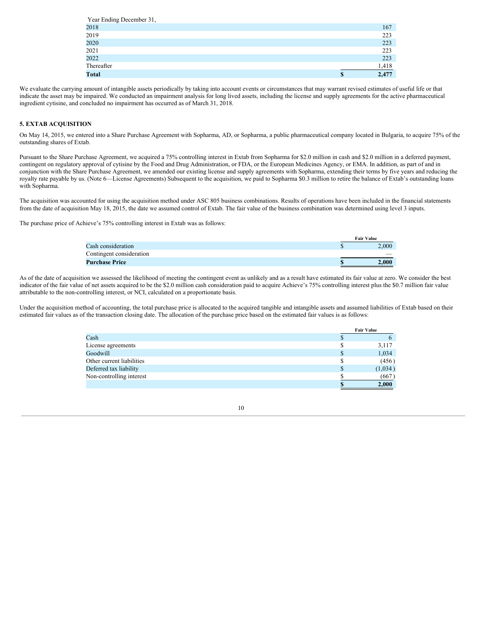| Year Ending December 31, |             |
|--------------------------|-------------|
| 2018                     | 167         |
| 2019                     | 223         |
| 2020                     | 223         |
| 2021                     | 223         |
| 2022                     | 223         |
| Thereafter               | 1,418       |
| <b>Total</b>             | \$<br>2,477 |

We evaluate the carrying amount of intangible assets periodically by taking into account events or circumstances that may warrant revised estimates of useful life or that indicate the asset may be impaired. We conducted an impairment analysis for long lived assets, including the license and supply agreements for the active pharmaceutical ingredient cytisine, and concluded no impairment has occurred as of March 31, 2018.

#### **5. EXTAB ACQUISITION**

On May 14, 2015, we entered into a Share Purchase Agreement with Sopharma, AD, or Sopharma, a public pharmaceutical company located in Bulgaria, to acquire 75% of the outstanding shares of Extab.

Pursuant to the Share Purchase Agreement, we acquired a 75% controlling interest in Extab from Sopharma for \$2.0 million in cash and \$2.0 million in a deferred payment, contingent on regulatory approval of cytisine by the Food and Drug Administration, or FDA, or the European Medicines Agency, or EMA. In addition, as part of and in conjunction with the Share Purchase Agreement, we amended our existing license and supply agreements with Sopharma, extending their terms by five years and reducing the royalty rate payable by us. (Note 6—License Agreements) Subsequent to the acquisition, we paid to Sopharma \$0.3 million to retire the balance of Extab's outstanding loans with Sopharma.

The acquisition was accounted for using the acquisition method under ASC 805 business combinations. Results of operations have been included in the financial statements from the date of acquisition May 18, 2015, the date we assumed control of Extab. The fair value of the business combination was determined using level 3 inputs.

The purchase price of Achieve's 75% controlling interest in Extab was as follows:

|                          | <b>Fair Value</b> |
|--------------------------|-------------------|
| Cash consideration       | 2.000             |
| Contingent consideration |                   |
| <b>Purchase Price</b>    | 2.000             |
|                          |                   |

As of the date of acquisition we assessed the likelihood of meeting the contingent event as unlikely and as a result have estimated its fair value at zero. We consider the best indicator of the fair value of net assets acquired to be the \$2.0 million cash consideration paid to acquire Achieve's 75% controlling interest plus the \$0.7 million fair value attributable to the non-controlling interest, or NCI, calculated on a proportionate basis.

Under the acquisition method of accounting, the total purchase price is allocated to the acquired tangible and intangible assets and assumed liabilities of Extab based on their estimated fair values as of the transaction closing date. The allocation of the purchase price based on the estimated fair values is as follows:

|                           |   | <b>Fair Value</b> |
|---------------------------|---|-------------------|
| Cash                      |   |                   |
| License agreements        | S | 3,117             |
| Goodwill                  |   | 1,034             |
| Other current liabilities | S | (456)             |
| Deferred tax liability    | S | (1,034)           |
| Non-controlling interest  |   | (667)             |
|                           |   | 2,000             |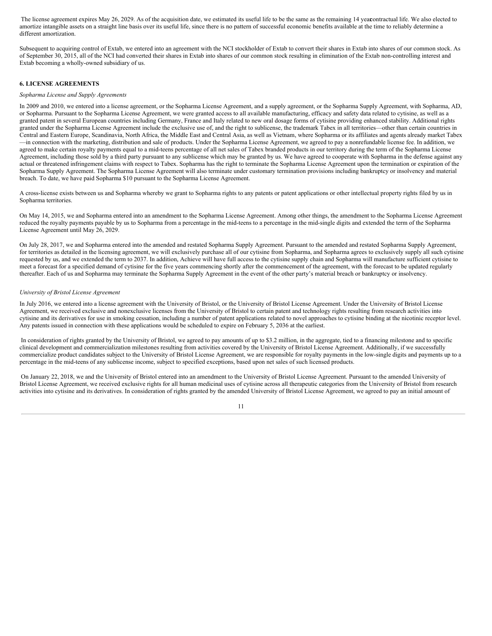The license agreement expires May 26, 2029. As of the acquisition date, we estimated its useful life to be the same as the remaining 14 yearcontractual life. We also elected to amortize intangible assets on a straight line basis over its useful life, since there is no pattern of successful economic benefits available at the time to reliably determine a different amortization.

Subsequent to acquiring control of Extab, we entered into an agreement with the NCI stockholder of Extab to convert their shares in Extab into shares of our common stock. As of September 30, 2015, all of the NCI had converted their shares in Extab into shares of our common stock resulting in elimination of the Extab non-controlling interest and Extab becoming a wholly-owned subsidiary of us.

#### **6. LICENSE AGREEMENTS**

#### *Sopharma License and Supply Agreements*

In 2009 and 2010, we entered into a license agreement, or the Sopharma License Agreement, and a supply agreement, or the Sopharma Supply Agreement, with Sopharma, AD, or Sopharma. Pursuant to the Sopharma License Agreement, we were granted access to all available manufacturing, efficacy and safety data related to cytisine, as well as a granted patent in several European countries including Germany, France and Italy related to new oral dosage forms of cytisine providing enhanced stability. Additional rights granted under the Sopharma License Agreement include the exclusive use of, and the right to sublicense, the trademark Tabex in all territories—other than certain countries in Central and Eastern Europe, Scandinavia, North Africa, the Middle East and Central Asia, as well as Vietnam, where Sopharma or its affiliates and agents already market Tabex —in connection with the marketing, distribution and sale of products. Under the Sopharma License Agreement, we agreed to pay a nonrefundable license fee. In addition, we agreed to make certain royalty payments equal to a mid-teens percentage of all net sales of Tabex branded products in our territory during the term of the Sopharma License Agreement, including those sold by a third party pursuant to any sublicense which may be granted by us. We have agreed to cooperate with Sopharma in the defense against any actual or threatened infringement claims with respect to Tabex. Sopharma has the right to terminate the Sopharma License Agreement upon the termination or expiration of the Sopharma Supply Agreement. The Sopharma License Agreement will also terminate under customary termination provisions including bankruptcy or insolvency and material breach. To date, we have paid Sopharma \$10 pursuant to the Sopharma License Agreement.

A cross-license exists between us and Sopharma whereby we grant to Sopharma rights to any patents or patent applications or other intellectual property rights filed by us in Sopharma territories.

On May 14, 2015, we and Sopharma entered into an amendment to the Sopharma License Agreement. Among other things, the amendment to the Sopharma License Agreement reduced the royalty payments payable by us to Sopharma from a percentage in the mid-teens to a percentage in the mid-single digits and extended the term of the Sopharma License Agreement until May 26, 2029.

On July 28, 2017, we and Sopharma entered into the amended and restated Sopharma Supply Agreement. Pursuant to the amended and restated Sopharma Supply Agreement, for territories as detailed in the licensing agreement, we will exclusively purchase all of our cytisine from Sopharma, and Sopharma agrees to exclusively supply all such cytisine requested by us, and we extended the term to 2037. In addition, Achieve will have full access to the cytisine supply chain and Sopharma will manufacture sufficient cytisine to meet a forecast for a specified demand of cytisine for the five years commencing shortly after the commencement of the agreement, with the forecast to be updated regularly thereafter. Each of us and Sopharma may terminate the Sopharma Supply Agreement in the event of the other party's material breach or bankruptcy or insolvency.

#### *University of Bristol License Agreement*

In July 2016, we entered into a license agreement with the University of Bristol, or the University of Bristol License Agreement. Under the University of Bristol License Agreement, we received exclusive and nonexclusive licenses from the University of Bristol to certain patent and technology rights resulting from research activities into cytisine and its derivatives for use in smoking cessation, including a number of patent applications related to novel approaches to cytisine binding at the nicotinic receptor level. Any patents issued in connection with these applications would be scheduled to expire on February 5, 2036 at the earliest.

In consideration of rights granted by the University of Bristol, we agreed to pay amounts of up to \$3.2 million, in the aggregate, tied to a financing milestone and to specific clinical development and commercialization milestones resulting from activities covered by the University of Bristol License Agreement. Additionally, if we successfully commercialize product candidates subject to the University of Bristol License Agreement, we are responsible for royalty payments in the low-single digits and payments up to a percentage in the mid-teens of any sublicense income, subject to specified exceptions, based upon net sales of such licensed products.

On January 22, 2018, we and the University of Bristol entered into an amendment to the University of Bristol License Agreement. Pursuant to the amended University of Bristol License Agreement, we received exclusive rights for all human medicinal uses of cytisine across all therapeutic categories from the University of Bristol from research activities into cytisine and its derivatives. In consideration of rights granted by the amended University of Bristol License Agreement, we agreed to pay an initial amount of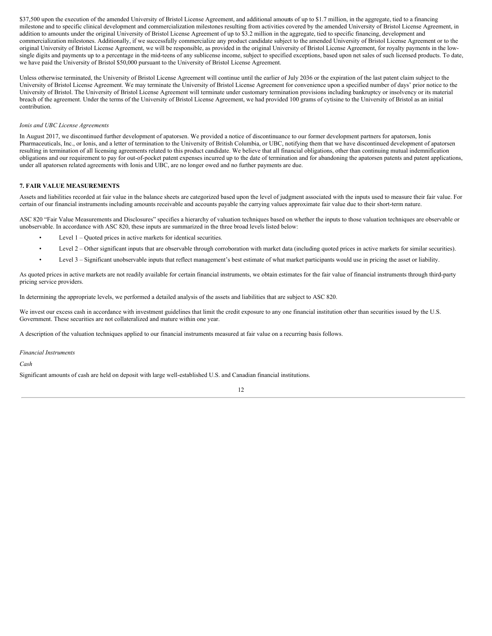\$37,500 upon the execution of the amended University of Bristol License Agreement, and additional amounts of up to \$1.7 million, in the aggregate, tied to a financing milestone and to specific clinical development and commercialization milestones resulting from activities covered by the amended University of Bristol License Agreement, in addition to amounts under the original University of Bristol License Agreement of up to \$3.2 million in the aggregate, tied to specific financing, development and commercialization milestones. Additionally, if we successfully commercialize any product candidate subject to the amended University of Bristol License Agreement or to the original University of Bristol License Agreement, we will be responsible, as provided in the original University of Bristol License Agreement, for royalty payments in the lowsingle digits and payments up to a percentage in the mid-teens of any sublicense income, subject to specified exceptions, based upon net sales of such licensed products. To date, we have paid the University of Bristol \$50,000 pursuant to the University of Bristol License Agreement.

Unless otherwise terminated, the University of Bristol License Agreement will continue until the earlier of July 2036 or the expiration of the last patent claim subject to the University of Bristol License Agreement. We may terminate the University of Bristol License Agreement for convenience upon a specified number of days' prior notice to the University of Bristol. The University of Bristol License Agreement will terminate under customary termination provisions including bankruptcy or insolvency or its material breach of the agreement. Under the terms of the University of Bristol License Agreement, we had provided 100 grams of cytisine to the University of Bristol as an initial contribution.

#### *Ionis and UBC License Agreements*

In August 2017, we discontinued further development of apatorsen. We provided a notice of discontinuance to our former development partners for apatorsen, Ionis Pharmaceuticals, Inc., or Ionis, and a letter of termination to the University of British Columbia, or UBC, notifying them that we have discontinued development of apatorsen resulting in termination of all licensing agreements related to this product candidate. We believe that all financial obligations, other than continuing mutual indemnification obligations and our requirement to pay for out-of-pocket patent expenses incurred up to the date of termination and for abandoning the apatorsen patents and patent applications, under all apatorsen related agreements with Ionis and UBC, are no longer owed and no further payments are due.

#### **7. FAIR VALUE MEASUREMENTS**

Assets and liabilities recorded at fair value in the balance sheets are categorized based upon the level of judgment associated with the inputs used to measure their fair value. For certain of our financial instruments including amounts receivable and accounts payable the carrying values approximate fair value due to their short-term nature.

ASC 820 "Fair Value Measurements and Disclosures" specifies a hierarchy of valuation techniques based on whether the inputs to those valuation techniques are observable or unobservable. In accordance with ASC 820, these inputs are summarized in the three broad levels listed below:

- Level  $1 -$ Quoted prices in active markets for identical securities.
- Level 2 Other significant inputs that are observable through corroboration with market data (including quoted prices in active markets for similar securities).
- Level 3 Significant unobservable inputs that reflect management's best estimate of what market participants would use in pricing the asset or liability.

As quoted prices in active markets are not readily available for certain financial instruments, we obtain estimates for the fair value of financial instruments through third-party pricing service providers.

In determining the appropriate levels, we performed a detailed analysis of the assets and liabilities that are subject to ASC 820.

We invest our excess cash in accordance with investment guidelines that limit the credit exposure to any one financial institution other than securities issued by the U.S. Government. These securities are not collateralized and mature within one year.

A description of the valuation techniques applied to our financial instruments measured at fair value on a recurring basis follows.

#### *Financial Instruments*

*Cash*

Significant amounts of cash are held on deposit with large well-established U.S. and Canadian financial institutions.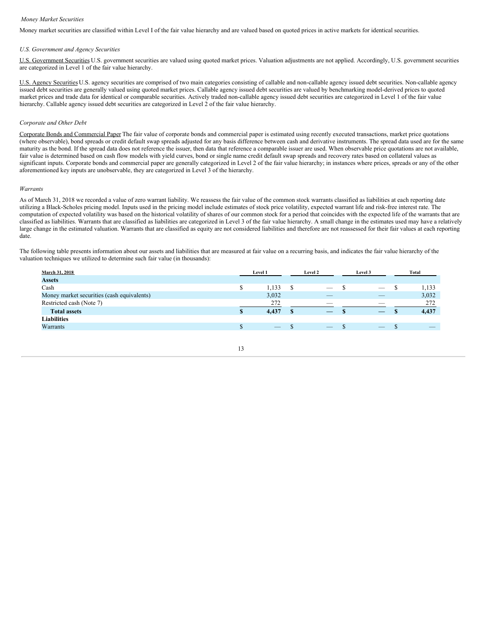#### *Money Market Securities*

Money market securities are classified within Level I of the fair value hierarchy and are valued based on quoted prices in active markets for identical securities.

#### *U.S. Government and Agency Securities*

U.S. Government Securities U.S. government securities are valued using quoted market prices. Valuation adjustments are not applied. Accordingly, U.S. government securities are categorized in Level 1 of the fair value hierarchy.

U.S. Agency Securities U.S. agency securities are comprised of two main categories consisting of callable and non-callable agency issued debt securities. Non-callable agency issued debt securities are generally valued using quoted market prices. Callable agency issued debt securities are valued by benchmarking model-derived prices to quoted market prices and trade data for identical or comparable securities. Actively traded non-callable agency issued debt securities are categorized in Level 1 of the fair value hierarchy. Callable agency issued debt securities are categorized in Level 2 of the fair value hierarchy.

#### *Corporate and Other Debt*

Corporate Bonds and Commercial Paper The fair value of corporate bonds and commercial paper is estimated using recently executed transactions, market price quotations (where observable), bond spreads or credit default swap spreads adjusted for any basis difference between cash and derivative instruments. The spread data used are for the same maturity as the bond. If the spread data does not reference the issuer, then data that reference a comparable issuer are used. When observable price quotations are not available, fair value is determined based on cash flow models with yield curves, bond or single name credit default swap spreads and recovery rates based on collateral values as significant inputs. Corporate bonds and commercial paper are generally categorized in Level 2 of the fair value hierarchy; in instances where prices, spreads or any of the other aforementioned key inputs are unobservable, they are categorized in Level 3 of the hierarchy.

#### *Warrants*

As of March 31, 2018 we recorded a value of zero warrant liability. We reassess the fair value of the common stock warrants classified as liabilities at each reporting date utilizing a Black-Scholes pricing model. Inputs used in the pricing model include estimates of stock price volatility, expected warrant life and risk-free interest rate. The computation of expected volatility was based on the historical volatility of shares of our common stock for a period that coincides with the expected life of the warrants that are classified as liabilities. Warrants that are classified as liabilities are categorized in Level 3 of the fair value hierarchy. A small change in the estimates used may have a relatively large change in the estimated valuation. Warrants that are classified as equity are not considered liabilities and therefore are not reassessed for their fair values at each reporting date.

The following table presents information about our assets and liabilities that are measured at fair value on a recurring basis, and indicates the fair value hierarchy of the valuation techniques we utilized to determine such fair value (in thousands):

| March 31, 2018                             |   | Level 1 | Level 2                  | Level 3                         | Total |
|--------------------------------------------|---|---------|--------------------------|---------------------------------|-------|
| <b>Assets</b>                              |   |         |                          |                                 |       |
| Cash                                       | S | 1,133   | $\hspace{0.05cm}$        |                                 | 1,133 |
| Money market securities (cash equivalents) |   | 3,032   | $-$                      | $\overline{\phantom{a}}$        | 3,032 |
| Restricted cash (Note 7)                   |   | 272     | $\overline{\phantom{a}}$ | $\overline{\phantom{a}}$        | 272   |
| <b>Total assets</b>                        |   | 4,437   |                          |                                 | 4,437 |
| <b>Liabilities</b>                         |   |         |                          |                                 |       |
| Warrants                                   |   |         |                          | $\hspace{0.1mm}-\hspace{0.1mm}$ |       |
|                                            |   |         |                          |                                 |       |

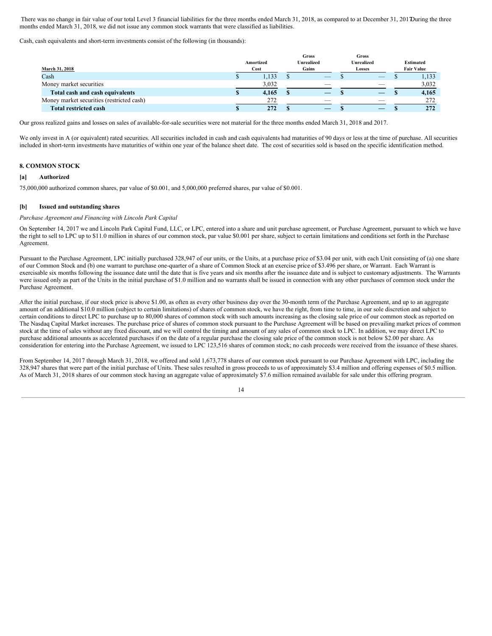There was no change in fair value of our total Level 3 financial liabilities for the three months ended March 31, 2018, as compared to at December 31, 2017During the three months ended March 31, 2018, we did not issue any common stock warrants that were classified as liabilities.

Cash, cash equivalents and short-term investments consist of the following (in thousands):

| March 31, 2018                            | Amortized<br>Cost | <b>Gross</b><br><b>Unrealized</b><br>Gains | Gross<br><b>Unrealized</b><br>Losses | <b>Estimated</b><br><b>Fair Value</b> |
|-------------------------------------------|-------------------|--------------------------------------------|--------------------------------------|---------------------------------------|
| Cash                                      | 1,133             | $-$                                        | $-$                                  | 1,133                                 |
| Money market securities                   | 3,032             | $\overline{\phantom{a}}$                   |                                      | 3,032                                 |
| Total cash and cash equivalents           | 4,165             |                                            |                                      | 4,165                                 |
| Money market securities (restricted cash) | 272               | ___                                        |                                      | 272                                   |
| <b>Total restricted cash</b>              | 272               |                                            |                                      | 272                                   |

Our gross realized gains and losses on sales of available-for-sale securities were not material for the three months ended March 31, 2018 and 2017.

We only invest in A (or equivalent) rated securities. All securities included in cash and cash equivalents had maturities of 90 days or less at the time of purchase. All securities included in short-term investments have maturities of within one year of the balance sheet date. The cost of securities sold is based on the specific identification method.

#### **8. COMMON STOCK**

#### **[a] Authorized**

75,000,000 authorized common shares, par value of \$0.001, and 5,000,000 preferred shares, par value of \$0.001.

#### **[b] Issued and outstanding shares**

#### *Purchase Agreement and Financing with Lincoln Park Capital*

On September 14, 2017 we and Lincoln Park Capital Fund, LLC, or LPC, entered into a share and unit purchase agreement, or Purchase Agreement, pursuant to which we have the right to sell to LPC up to \$11.0 million in shares of our common stock, par value \$0.001 per share, subject to certain limitations and conditions set forth in the Purchase Agreement.

Pursuant to the Purchase Agreement, LPC initially purchased 328,947 of our units, or the Units, at a purchase price of \$3.04 per unit, with each Unit consisting of (a) one share of our Common Stock and (b) one warrant to purchase one-quarter of a share of Common Stock at an exercise price of \$3.496 per share, or Warrant. Each Warrant is exercisable six months following the issuance date until the date that is five years and six months after the issuance date and is subject to customary adjustments. The Warrants were issued only as part of the Units in the initial purchase of \$1.0 million and no warrants shall be issued in connection with any other purchases of common stock under the Purchase Agreement.

After the initial purchase, if our stock price is above \$1.00, as often as every other business day over the 30-month term of the Purchase Agreement, and up to an aggregate amount of an additional \$10.0 million (subject to certain limitations) of shares of common stock, we have the right, from time to time, in our sole discretion and subject to certain conditions to direct LPC to purchase up to 80,000 shares of common stock with such amounts increasing as the closing sale price of our common stock as reported on The Nasdaq Capital Market increases. The purchase price of shares of common stock pursuant to the Purchase Agreement will be based on prevailing market prices of common stock at the time of sales without any fixed discount, and we will control the timing and amount of any sales of common stock to LPC. In addition, we may direct LPC to purchase additional amounts as accelerated purchases if on the date of a regular purchase the closing sale price of the common stock is not below \$2.00 per share. As consideration for entering into the Purchase Agreement, we issued to LPC 123,516 shares of common stock; no cash proceeds were received from the issuance of these shares.

From September 14, 2017 through March 31, 2018, we offered and sold 1,673,778 shares of our common stock pursuant to our Purchase Agreement with LPC, including the 328,947 shares that were part of the initial purchase of Units. These sales resulted in gross proceeds to us of approximately \$3.4 million and offering expenses of \$0.5 million. As of March 31, 2018 shares of our common stock having an aggregate value of approximately \$7.6 million remained available for sale under this offering program.

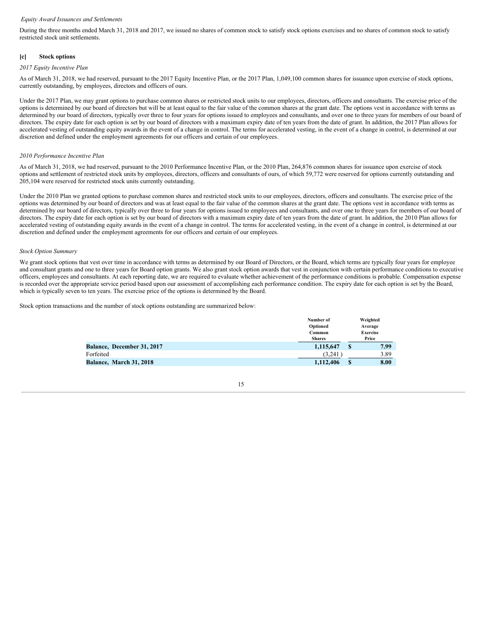#### *Equity Award Issuances and Settlements*

During the three months ended March 31, 2018 and 2017, we issued no shares of common stock to satisfy stock options exercises and no shares of common stock to satisfy restricted stock unit settlements.

#### **[c] Stock options**

#### *2017 Equity Incentive Plan*

As of March 31, 2018, we had reserved, pursuant to the 2017 Equity Incentive Plan, or the 2017 Plan, 1,049,100 common shares for issuance upon exercise of stock options, currently outstanding, by employees, directors and officers of ours.

Under the 2017 Plan, we may grant options to purchase common shares or restricted stock units to our employees, directors, officers and consultants. The exercise price of the options is determined by our board of directors but will be at least equal to the fair value of the common shares at the grant date. The options vest in accordance with terms as determined by our board of directors, typically over three to four years for options issued to employees and consultants, and over one to three years for members of our board of directors. The expiry date for each option is set by our board of directors with a maximum expiry date of ten years from the date of grant. In addition, the 2017 Plan allows for accelerated vesting of outstanding equity awards in the event of a change in control. The terms for accelerated vesting, in the event of a change in control, is determined at our discretion and defined under the employment agreements for our officers and certain of our employees.

#### *2010 Performance Incentive Plan*

As of March 31, 2018, we had reserved, pursuant to the 2010 Performance Incentive Plan, or the 2010 Plan, 264,876 common shares for issuance upon exercise of stock options and settlement of restricted stock units by employees, directors, officers and consultants of ours, of which 59,772 were reserved for options currently outstanding and 205,104 were reserved for restricted stock units currently outstanding.

Under the 2010 Plan we granted options to purchase common shares and restricted stock units to our employees, directors, officers and consultants. The exercise price of the options was determined by our board of directors and was at least equal to the fair value of the common shares at the grant date. The options vest in accordance with terms as determined by our board of directors, typically over three to four years for options issued to employees and consultants, and over one to three years for members of our board of directors. The expiry date for each option is set by our board of directors with a maximum expiry date of ten years from the date of grant. In addition, the 2010 Plan allows for accelerated vesting of outstanding equity awards in the event of a change in control. The terms for accelerated vesting, in the event of a change in control, is determined at our discretion and defined under the employment agreements for our officers and certain of our employees.

#### *Stock Option Summary*

We grant stock options that vest over time in accordance with terms as determined by our Board of Directors, or the Board, which terms are typically four years for employee and consultant grants and one to three years for Board option grants. We also grant stock option awards that vest in conjunction with certain performance conditions to executive officers, employees and consultants. At each reporting date, we are required to evaluate whether achievement of the performance conditions is probable. Compensation expense is recorded over the appropriate service period based upon our assessment of accomplishing each performance condition. The expiry date for each option is set by the Board, which is typically seven to ten years. The exercise price of the options is determined by the Board.

Stock option transactions and the number of stock options outstanding are summarized below:

|                                   | Number of     |         | Weighted        |
|-----------------------------------|---------------|---------|-----------------|
|                                   | Optioned      | Average |                 |
|                                   | Common        |         | <b>Exercise</b> |
|                                   | <b>Shares</b> |         | Price           |
| <b>Balance, December 31, 2017</b> | 1.115.647     |         | 7.99            |
| Forfeited                         | (3.241)       |         | 3.89            |
| Balance, March 31, 2018           | 1,112,406     | S       | 8.00            |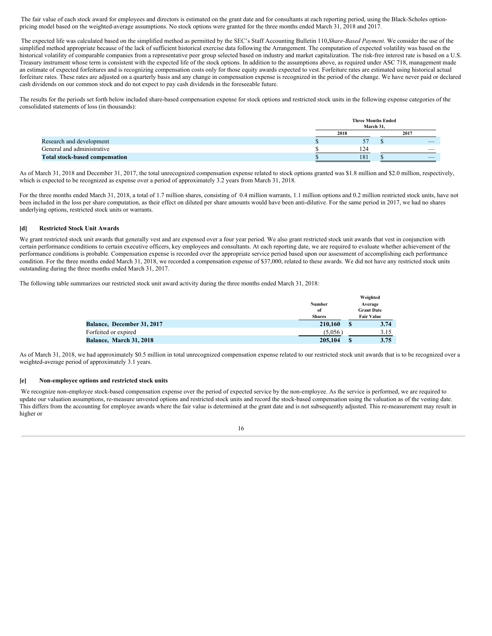The fair value of each stock award for employees and directors is estimated on the grant date and for consultants at each reporting period, using the Black-Scholes optionpricing model based on the weighted-average assumptions. No stock options were granted for the three months ended March 31, 2018 and 2017.

The expected life was calculated based on the simplified method as permitted by the SEC's Staff Accounting Bulletin 110,*Share-Based Payment*. We consider the use of the simplified method appropriate because of the lack of sufficient historical exercise data following the Arrangement. The computation of expected volatility was based on the historical volatility of comparable companies from a representative peer group selected based on industry and market capitalization. The risk-free interest rate is based on a U.S. Treasury instrument whose term is consistent with the expected life of the stock options. In addition to the assumptions above, as required under ASC 718, management made an estimate of expected forfeitures and is recognizing compensation costs only for those equity awards expected to vest. Forfeiture rates are estimated using historical actual forfeiture rates. These rates are adjusted on a quarterly basis and any change in compensation expense is recognized in the period of the change. We have never paid or declared cash dividends on our common stock and do not expect to pay cash dividends in the foreseeable future.

The results for the periods set forth below included share-based compensation expense for stock options and restricted stock units in the following expense categories of the consolidated statements of loss (in thousands):

|                                       | <b>Three Months Ended</b><br>March 31. |                          |
|---------------------------------------|----------------------------------------|--------------------------|
|                                       | 2018                                   | 2017                     |
| Research and development              |                                        |                          |
| General and administrative            | 124                                    | $\overline{\phantom{a}}$ |
| <b>Total stock-based compensation</b> | 181                                    |                          |

As of March 31, 2018 and December 31, 2017, the total unrecognized compensation expense related to stock options granted was \$1.8 million and \$2.0 million, respectively, which is expected to be recognized as expense over a period of approximately 3.2 years from March 31, 2018.

For the three months ended March 31, 2018, a total of 1.7 million shares, consisting of 0.4 million warrants, 1.1 million options and 0.2 million restricted stock units, have not been included in the loss per share computation, as their effect on diluted per share amounts would have been anti-dilutive. For the same period in 2017, we had no shares underlying options, restricted stock units or warrants.

#### **[d] Restricted Stock Unit Awards**

We grant restricted stock unit awards that generally vest and are expensed over a four year period. We also grant restricted stock unit awards that vest in conjunction with certain performance conditions to certain executive officers, key employees and consultants. At each reporting date, we are required to evaluate whether achievement of the performance conditions is probable. Compensation expense is recorded over the appropriate service period based upon our assessment of accomplishing each performance condition. For the three months ended March 31, 2018, we recorded a compensation expense of \$37,000, related to these awards. We did not have any restricted stock units outstanding during the three months ended March 31, 2017.

The following table summarizes our restricted stock unit award activity during the three months ended March 31, 2018:

|                            |               |   | Weighted          |
|----------------------------|---------------|---|-------------------|
|                            | Number        |   | Average           |
|                            | of            |   | <b>Grant Date</b> |
|                            | <b>Shares</b> |   | <b>Fair Value</b> |
| Balance, December 31, 2017 | 210,160       | S | 3.74              |
| Forfeited or expired       | (5.056)       |   | 3.15              |
| Balance, March 31, 2018    | 205,104       |   | 3.75              |

As of March 31, 2018, we had approximately \$0.5 million in total unrecognized compensation expense related to our restricted stock unit awards that is to be recognized over a weighted-average period of approximately 3.1 years.

#### **[e] Non-employee options and restricted stock units**

We recognize non-employee stock-based compensation expense over the period of expected service by the non-employee. As the service is performed, we are required to update our valuation assumptions, re-measure unvested options and restricted stock units and record the stock-based compensation using the valuation as of the vesting date. This differs from the accounting for employee awards where the fair value is determined at the grant date and is not subsequently adjusted. This re-measurement may result in higher or

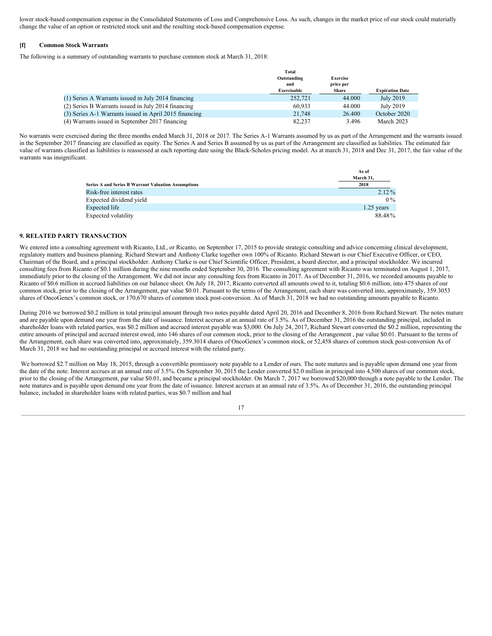lower stock-based compensation expense in the Consolidated Statements of Loss and Comprehensive Loss. As such, changes in the market price of our stock could materially change the value of an option or restricted stock unit and the resulting stock-based compensation expense.

#### **[f] Common Stock Warrants**

The following is a summary of outstanding warrants to purchase common stock at March 31, 2018:

|                                                        | Total       |                 |                        |
|--------------------------------------------------------|-------------|-----------------|------------------------|
|                                                        | Outstanding | <b>Exercise</b> |                        |
|                                                        | and         | price per       |                        |
|                                                        | Exercisable | <b>Share</b>    | <b>Expiration Date</b> |
| (1) Series A Warrants issued in July 2014 financing    | 252,721     | 44.000          | July 2019              |
| (2) Series B Warrants issued in July 2014 financing    | 60.933      | 44.000          | July 2019              |
| (3) Series A-1 Warrants issued in April 2015 financing | 21,748      | 26.400          | October 2020           |
| (4) Warrants issued in September 2017 financing        | 82.237      | 3.496           | March 2023             |

No warrants were exercised during the three months ended March 31, 2018 or 2017. The Series A-1 Warrants assumed by us as part of the Arrangement and the warrants issued in the September 2017 financing are classified as equity. The Series A and Series B assumed by us as part of the Arrangement are classified as liabilities. The estimated fair value of warrants classified as liabilities is reassessed at each reporting date using the Black-Scholes pricing model. As at march 31, 2018 and Dec 31, 2017, the fair value of the warrants was insignificant.

|                                                     | As of        |
|-----------------------------------------------------|--------------|
|                                                     | March 31.    |
| Series A and Series B Warrant Valuation Assumptions | 2018         |
| Risk-free interest rates                            | $2.12\%$     |
| Expected dividend yield                             | $0\%$        |
| Expected life                                       | $1.25$ years |
| Expected volatility                                 | 88.48%       |

#### **9. RELATED PARTY TRANSACTION**

We entered into a consulting agreement with Ricanto, Ltd., or Ricanto, on September 17, 2015 to provide strategic consulting and advice concerning clinical development, regulatory matters and business planning. Richard Stewart and Anthony Clarke together own 100% of Ricanto. Richard Stewart is our Chief Executive Officer, or CEO, Chairman of the Board, and a principal stockholder. Anthony Clarke is our Chief Scientific Officer, President, a board director, and a principal stockholder. We incurred consulting fees from Ricanto of \$0.1 million during the nine months ended September 30, 2016. The consulting agreement with Ricanto was terminated on August 1, 2017, immediately prior to the closing of the Arrangement. We did not incur any consulting fees from Ricanto in 2017. As of December 31, 2016, we recorded amounts payable to Ricanto of \$0.6 million in accrued liabilities on our balance sheet. On July 18, 2017, Ricanto converted all amounts owed to it, totaling \$0.6 million, into 475 shares of our common stock, prior to the closing of the Arrangement, par value \$0.01. Pursuant to the terms of the Arrangement, each share was converted into, approximately, 359.3053 shares of OncoGenex's common stock, or 170,670 shares of common stock post-conversion. As of March 31, 2018 we had no outstanding amounts payable to Ricanto.

During 2016 we borrowed \$0.2 million in total principal amount through two notes payable dated April 20, 2016 and December 8, 2016 from Richard Stewart. The notes mature and are payable upon demand one year from the date of issuance. Interest accrues at an annual rate of 3.5%. As of December 31, 2016 the outstanding principal, included in shareholder loans with related parties, was \$0.2 million and accrued interest payable was \$3,000. On July 24, 2017, Richard Stewart converted the \$0.2 million, representing the entire amounts of principal and accrued interest owed, into 146 shares of our common stock, prior to the closing of the Arrangement , par value \$0.01. Pursuant to the terms of the Arrangement, each share was converted into, approximately, 359.3014 shares of OncoGenex's common stock, or 52,458 shares of common stock post-conversion As of March 31, 2018 we had no outstanding principal or accrued interest with the related party.

We borrowed \$2.7 million on May 18, 2015, through a convertible promissory note payable to a Lender of ours. The note matures and is payable upon demand one year from the date of the note. Interest accrues at an annual rate of 3.5%. On September 30, 2015 the Lender converted \$2.0 million in principal into 4,500 shares of our common stock, prior to the closing of the Arrangement, par value \$0.01, and became a principal stockholder. On March 7, 2017 we borrowed \$20,000 through a note payable to the Lender. The note matures and is payable upon demand one year from the date of issuance. Interest accrues at an annual rate of 3.5%. As of December 31, 2016, the outstanding principal balance, included in shareholder loans with related parties, was \$0.7 million and had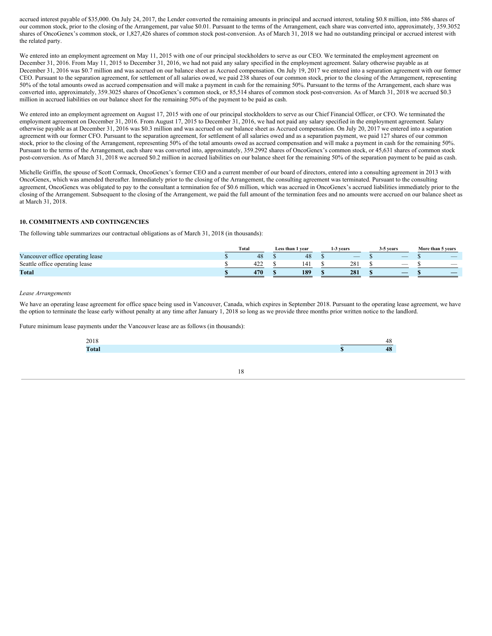accrued interest payable of \$35,000. On July 24, 2017, the Lender converted the remaining amounts in principal and accrued interest, totaling \$0.8 million, into 586 shares of our common stock, prior to the closing of the Arrangement, par value \$0.01. Pursuant to the terms of the Arrangement, each share was converted into, approximately, 359.3052 shares of OncoGenex's common stock, or 1,827,426 shares of common stock post-conversion. As of March 31, 2018 we had no outstanding principal or accrued interest with the related party.

We entered into an employment agreement on May 11, 2015 with one of our principal stockholders to serve as our CEO. We terminated the employment agreement on December 31, 2016. From May 11, 2015 to December 31, 2016, we had not paid any salary specified in the employment agreement. Salary otherwise payable as at December 31, 2016 was \$0.7 million and was accrued on our balance sheet as Accrued compensation. On July 19, 2017 we entered into a separation agreement with our former CEO. Pursuant to the separation agreement, for settlement of all salaries owed, we paid 238 shares of our common stock, prior to the closing of the Arrangement, representing 50% of the total amounts owed as accrued compensation and will make a payment in cash for the remaining 50%. Pursuant to the terms of the Arrangement, each share was converted into, approximately, 359.3025 shares of OncoGenex's common stock, or 85,514 shares of common stock post-conversion. As of March 31, 2018 we accrued \$0.3 million in accrued liabilities on our balance sheet for the remaining 50% of the payment to be paid as cash.

We entered into an employment agreement on August 17, 2015 with one of our principal stockholders to serve as our Chief Financial Officer, or CFO. We terminated the employment agreement on December 31, 2016. From August 17, 2015 to December 31, 2016, we had not paid any salary specified in the employment agreement. Salary otherwise payable as at December 31, 2016 was \$0.3 million and was accrued on our balance sheet as Accrued compensation. On July 20, 2017 we entered into a separation agreement with our former CFO. Pursuant to the separation agreement, for settlement of all salaries owed and as a separation payment, we paid 127 shares of our common stock, prior to the closing of the Arrangement, representing 50% of the total amounts owed as accrued compensation and will make a payment in cash for the remaining 50%. Pursuant to the terms of the Arrangement, each share was converted into, approximately, 359.2992 shares of OncoGenex's common stock, or 45,631 shares of common stock post-conversion. As of March 31, 2018 we accrued \$0.2 million in accrued liabilities on our balance sheet for the remaining 50% of the separation payment to be paid as cash.

Michelle Griffin, the spouse of Scott Cormack, OncoGenex's former CEO and a current member of our board of directors, entered into a consulting agreement in 2013 with OncoGenex, which was amended thereafter. Immediately prior to the closing of the Arrangement, the consulting agreement was terminated. Pursuant to the consulting agreement, OncoGenex was obligated to pay to the consultant a termination fee of \$0.6 million, which was accrued in OncoGenex's accrued liabilities immediately prior to the closing of the Arrangement. Subsequent to the closing of the Arrangement, we paid the full amount of the termination fees and no amounts were accrued on our balance sheet as at March 31, 2018.

#### **10. COMMITMENTS AND CONTINGENCIES**

The following table summarizes our contractual obligations as of March 31, 2018 (in thousands):

|                                  | <b>Total</b> |    | Less than 1 year | 1-3 years                | 3-5 years                | More than 5 years        |
|----------------------------------|--------------|----|------------------|--------------------------|--------------------------|--------------------------|
| Vancouver office operating lease |              | 48 | 48               | $\overline{\phantom{a}}$ | $\overline{\phantom{a}}$ | $-$                      |
| Seattle office operating lease   | 422          |    | 141              | 281                      | $\overline{\phantom{a}}$ | $\overline{\phantom{a}}$ |
| <b>Total</b>                     | 470          |    | 189              | 281                      |                          | _                        |

#### *Lease Arrangements*

We have an operating lease agreement for office space being used in Vancouver, Canada, which expires in September 2018. Pursuant to the operating lease agreement, we have the option to terminate the lease early without penalty at any time after January 1, 2018 so long as we provide three months prior written notice to the landlord.

Future minimum lease payments under the Vancouver lease are as follows (in thousands):

| 2018                                            |   | $\sim$    |
|-------------------------------------------------|---|-----------|
| T <sub>ofo</sub><br>$ \theta$ $\theta$ $\theta$ | ш | 10<br>- - |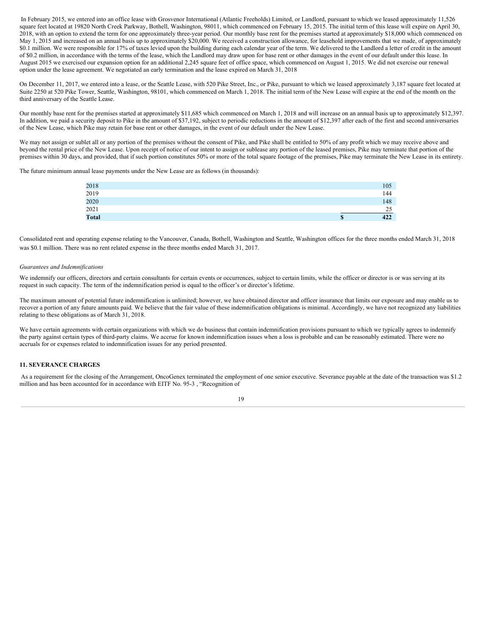In February 2015, we entered into an office lease with Grosvenor International (Atlantic Freeholds) Limited, or Landlord, pursuant to which we leased approximately 11,526 square feet located at 19820 North Creek Parkway, Bothell, Washington, 98011, which commenced on February 15, 2015. The initial term of this lease will expire on April 30, 2018, with an option to extend the term for one approximately three-year period. Our monthly base rent for the premises started at approximately \$18,000 which commenced on May 1, 2015 and increased on an annual basis up to approximately \$20,000. We received a construction allowance, for leasehold improvements that we made, of approximately \$0.1 million. We were responsible for 17% of taxes levied upon the building during each calendar year of the term. We delivered to the Landlord a letter of credit in the amount of \$0.2 million, in accordance with the terms of the lease, which the Landlord may draw upon for base rent or other damages in the event of our default under this lease. In August 2015 we exercised our expansion option for an additional 2,245 square feet of office space, which commenced on August 1, 2015. We did not exercise our renewal option under the lease agreement. We negotiated an early termination and the lease expired on March 31, 2018

On December 11, 2017, we entered into a lease, or the Seattle Lease, with 520 Pike Street, Inc., or Pike, pursuant to which we leased approximately 3,187 square feet located at Suite 2250 at 520 Pike Tower, Seattle, Washington, 98101, which commenced on March 1, 2018. The initial term of the New Lease will expire at the end of the month on the third anniversary of the Seattle Lease.

Our monthly base rent for the premises started at approximately \$11,685 which commenced on March 1, 2018 and will increase on an annual basis up to approximately \$12,397. In addition, we paid a security deposit to Pike in the amount of \$37,192, subject to periodic reductions in the amount of \$12,397 after each of the first and second anniversaries of the New Lease, which Pike may retain for base rent or other damages, in the event of our default under the New Lease.

We may not assign or sublet all or any portion of the premises without the consent of Pike, and Pike shall be entitled to 50% of any profit which we may receive above and beyond the rental price of the New Lease. Upon receipt of notice of our intent to assign or sublease any portion of the leased premises, Pike may terminate that portion of the premises within 30 days, and provided, that if such portion constitutes 50% or more of the total square footage of the premises, Pike may terminate the New Lease in its entirety.

The future minimum annual lease payments under the New Lease are as follows (in thousands):

| <b>Total</b> | \$<br>422 |
|--------------|-----------|
| 2021         | 25        |
| 2020         | 148       |
| 2019         | 144       |
| 2018         | 105       |

Consolidated rent and operating expense relating to the Vancouver, Canada, Bothell, Washington and Seattle, Washington offices for the three months ended March 31, 2018 was \$0.1 million. There was no rent related expense in the three months ended March 31, 2017.

#### *Guarantees and Indemnifications*

We indemnify our officers, directors and certain consultants for certain events or occurrences, subject to certain limits, while the officer or director is or was serving at its request in such capacity. The term of the indemnification period is equal to the officer's or director's lifetime.

The maximum amount of potential future indemnification is unlimited; however, we have obtained director and officer insurance that limits our exposure and may enable us to recover a portion of any future amounts paid. We believe that the fair value of these indemnification obligations is minimal. Accordingly, we have not recognized any liabilities relating to these obligations as of March 31, 2018.

We have certain agreements with certain organizations with which we do business that contain indemnification provisions pursuant to which we typically agrees to indemnify the party against certain types of third-party claims. We accrue for known indemnification issues when a loss is probable and can be reasonably estimated. There were no accruals for or expenses related to indemnification issues for any period presented.

#### **11. SEVERANCE CHARGES**

As a requirement for the closing of the Arrangement, OncoGenex terminated the employment of one senior executive. Severance payable at the date of the transaction was \$1.2 million and has been accounted for in accordance with EITF No. 95-3 , "Recognition of

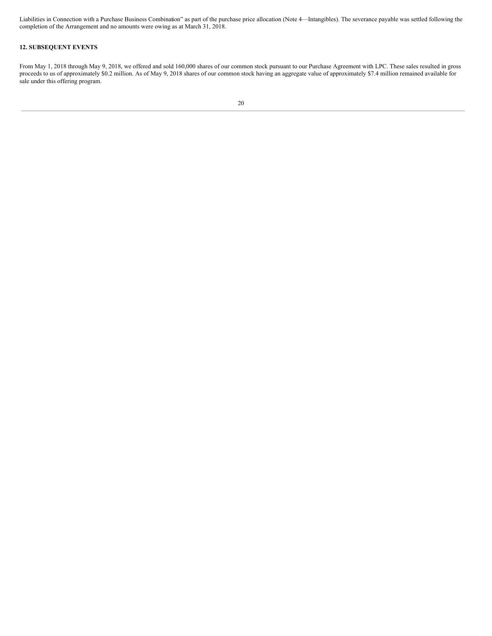Liabilities in Connection with a Purchase Business Combination" as part of the purchase price allocation (Note 4—Intangibles). The severance payable was settled following the completion of the Arrangement and no amounts were owing as at March 31, 2018.

#### **12. SUBSEQUENT EVENTS**

From May 1, 2018 through May 9, 2018, we offered and sold 160,000 shares of our common stock pursuant to our Purchase Agreement with LPC. These sales resulted in gross proceeds to us of approximately \$0.2 million. As of May 9, 2018 shares of our common stock having an aggregate value of approximately \$7.4 million remained available for sale under this offering program.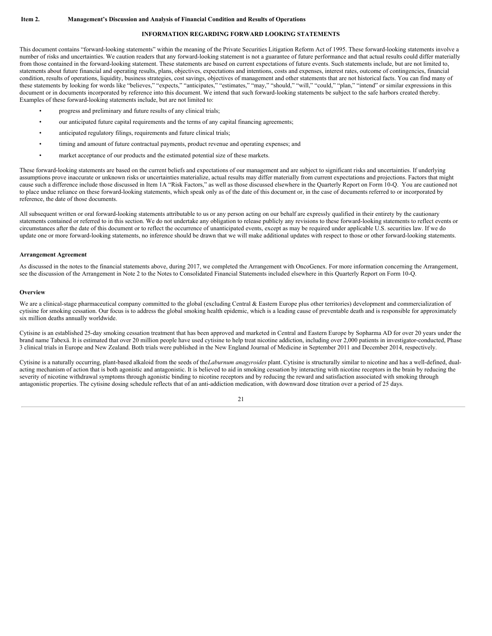#### **INFORMATION REGARDING FORWARD LOOKING STATEMENTS**

<span id="page-20-0"></span>This document contains "forward-looking statements" within the meaning of the Private Securities Litigation Reform Act of 1995. These forward-looking statements involve a number of risks and uncertainties. We caution readers that any forward-looking statement is not a guarantee of future performance and that actual results could differ materially from those contained in the forward-looking statement. These statements are based on current expectations of future events. Such statements include, but are not limited to, statements about future financial and operating results, plans, objectives, expectations and intentions, costs and expenses, interest rates, outcome of contingencies, financial condition, results of operations, liquidity, business strategies, cost savings, objectives of management and other statements that are not historical facts. You can find many of these statements by looking for words like "believes," "expects," "anticipates," "estimates," "may," "should," "will," "could," "plan," "intend" or similar expressions in this document or in documents incorporated by reference into this document. We intend that such forward-looking statements be subject to the safe harbors created thereby. Examples of these forward-looking statements include, but are not limited to:

- progress and preliminary and future results of any clinical trials;
- our anticipated future capital requirements and the terms of any capital financing agreements;
- anticipated regulatory filings, requirements and future clinical trials;
- timing and amount of future contractual payments, product revenue and operating expenses; and
- market acceptance of our products and the estimated potential size of these markets.

These forward-looking statements are based on the current beliefs and expectations of our management and are subject to significant risks and uncertainties. If underlying assumptions prove inaccurate or unknown risks or uncertainties materialize, actual results may differ materially from current expectations and projections. Factors that might cause such a difference include those discussed in Item 1A "Risk Factors," as well as those discussed elsewhere in the Quarterly Report on Form 10-Q. You are cautioned not to place undue reliance on these forward-looking statements, which speak only as of the date of this document or, in the case of documents referred to or incorporated by reference, the date of those documents.

All subsequent written or oral forward-looking statements attributable to us or any person acting on our behalf are expressly qualified in their entirety by the cautionary statements contained or referred to in this section. We do not undertake any obligation to release publicly any revisions to these forward-looking statements to reflect events or circumstances after the date of this document or to reflect the occurrence of unanticipated events, except as may be required under applicable U.S. securities law. If we do update one or more forward-looking statements, no inference should be drawn that we will make additional updates with respect to those or other forward-looking statements.

#### **Arrangement Agreement**

As discussed in the notes to the financial statements above, during 2017, we completed the Arrangement with OncoGenex. For more information concerning the Arrangement, see the discussion of the Arrangement in Note 2 to the Notes to Consolidated Financial Statements included elsewhere in this Quarterly Report on Form 10-Q.

#### **Overview**

We are a clinical-stage pharmaceutical company committed to the global (excluding Central & Eastern Europe plus other territories) development and commercialization of cytisine for smoking cessation. Our focus is to address the global smoking health epidemic, which is a leading cause of preventable death and is responsible for approximately six million deaths annually worldwide.

Cytisine is an established 25-day smoking cessation treatment that has been approved and marketed in Central and Eastern Europe by Sopharma AD for over 20 years under the brand name Tabexä. It is estimated that over 20 million people have used cytisine to help treat nicotine addiction, including over 2,000 patients in investigator-conducted, Phase 3 clinical trials in Europe and New Zealand. Both trials were published in the New England Journal of Medicine in September 2011 and December 2014, respectively.

Cytisine is a naturally occurring, plant-based alkaloid from the seeds of the*Laburnum anagyroides* plant. Cytisine is structurally similar to nicotine and has a well-defined, dualacting mechanism of action that is both agonistic and antagonistic. It is believed to aid in smoking cessation by interacting with nicotine receptors in the brain by reducing the severity of nicotine withdrawal symptoms through agonistic binding to nicotine receptors and by reducing the reward and satisfaction associated with smoking through antagonistic properties. The cytisine dosing schedule reflects that of an anti-addiction medication, with downward dose titration over a period of 25 days.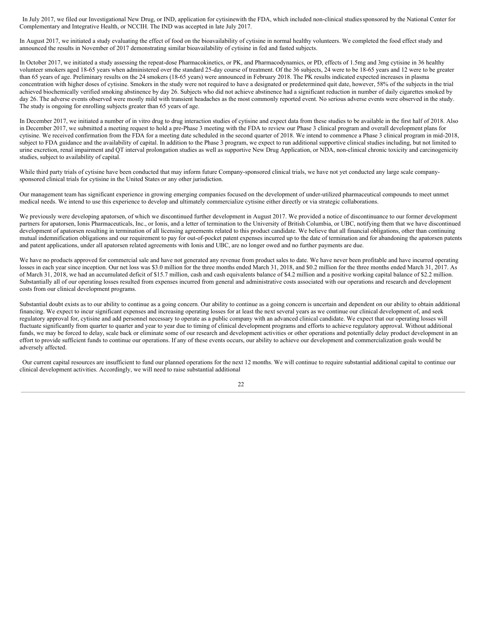In July 2017, we filed our Investigational New Drug, or IND, application for cytisinewith the FDA, which included non-clinical studiessponsored by the National Center for Complementary and Integrative Health, or NCCIH. The IND was accepted in late July 2017.

In August 2017, we initiated a study evaluating the effect of food on the bioavailability of cytisine in normal healthy volunteers. We completed the food effect study and announced the results in November of 2017 demonstrating similar bioavailability of cytisine in fed and fasted subjects.

In October 2017, we initiated a study assessing the repeat-dose Pharmacokinetics, or PK, and Pharmacodynamics, or PD, effects of 1.5mg and 3mg cytisine in 36 healthy volunteer smokers aged 18-65 years when administered over the standard 25-day course of treatment. Of the 36 subjects, 24 were to be 18-65 years and 12 were to be greater than 65 years of age. Preliminary results on the 24 smokers (18-65 years) were announced in February 2018. The PK results indicated expected increases in plasma concentration with higher doses of cytisine. Smokers in the study were not required to have a designated or predetermined quit date, however, 58% of the subjects in the trial achieved biochemically verified smoking abstinence by day 26. Subjects who did not achieve abstinence had a significant reduction in number of daily cigarettes smoked by day 26. The adverse events observed were mostly mild with transient headaches as the most commonly reported event. No serious adverse events were observed in the study. The study is ongoing for enrolling subjects greater than 65 years of age.

In December 2017, we initiated a number of in vitro drug to drug interaction studies of cytisine and expect data from these studies to be available in the first half of 2018. Also in December 2017, we submitted a meeting request to hold a pre-Phase 3 meeting with the FDA to review our Phase 3 clinical program and overall development plans for cytisine. We received confirmation from the FDA for a meeting date scheduled in the second quarter of 2018. We intend to commence a Phase 3 clinical program in mid-2018, subject to FDA guidance and the availability of capital. In addition to the Phase 3 program, we expect to run additional supportive clinical studies including, but not limited to urine excretion, renal impairment and QT interval prolongation studies as well as supportive New Drug Application, or NDA, non-clinical chronic toxicity and carcinogenicity studies, subject to availability of capital.

While third party trials of cytisine have been conducted that may inform future Company-sponsored clinical trials, we have not yet conducted any large scale companysponsored clinical trials for cytisine in the United States or any other jurisdiction.

Our management team has significant experience in growing emerging companies focused on the development of under-utilized pharmaceutical compounds to meet unmet medical needs. We intend to use this experience to develop and ultimately commercialize cytisine either directly or via strategic collaborations.

We previously were developing apatorsen, of which we discontinued further development in August 2017. We provided a notice of discontinuance to our former development partners for apatorsen, Ionis Pharmaceuticals, Inc., or Ionis, and a letter of termination to the University of British Columbia, or UBC, notifying them that we have discontinued development of apatorsen resulting in termination of all licensing agreements related to this product candidate. We believe that all financial obligations, other than continuing mutual indemnification obligations and our requirement to pay for out-of-pocket patent expenses incurred up to the date of termination and for abandoning the apatorsen patents and patent applications, under all apatorsen related agreements with Ionis and UBC, are no longer owed and no further payments are due.

We have no products approved for commercial sale and have not generated any revenue from product sales to date. We have never been profitable and have incurred operating losses in each year since inception. Our net loss was \$3.0 million for the three months ended March 31, 2018, and \$0.2 million for the three months ended March 31, 2017. As of March 31, 2018, we had an accumulated deficit of \$15.7 million, cash and cash equivalents balance of \$4.2 million and a positive working capital balance of \$2.2 million. Substantially all of our operating losses resulted from expenses incurred from general and administrative costs associated with our operations and research and development costs from our clinical development programs.

Substantial doubt exists as to our ability to continue as a going concern. Our ability to continue as a going concern is uncertain and dependent on our ability to obtain additional financing. We expect to incur significant expenses and increasing operating losses for at least the next several years as we continue our clinical development of, and seek regulatory approval for, cytisine and add personnel necessary to operate as a public company with an advanced clinical candidate. We expect that our operating losses will fluctuate significantly from quarter to quarter and year to year due to timing of clinical development programs and efforts to achieve regulatory approval. Without additional funds, we may be forced to delay, scale back or eliminate some of our research and development activities or other operations and potentially delay product development in an effort to provide sufficient funds to continue our operations. If any of these events occurs, our ability to achieve our development and commercialization goals would be adversely affected.

Our current capital resources are insufficient to fund our planned operations for the next 12 months. We will continue to require substantial additional capital to continue our clinical development activities. Accordingly, we will need to raise substantial additional

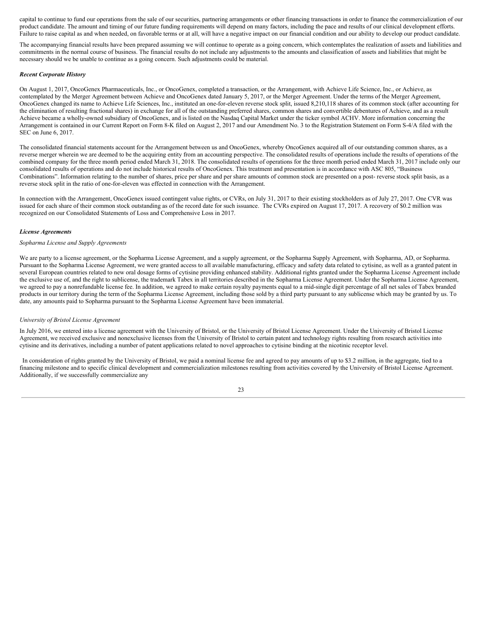capital to continue to fund our operations from the sale of our securities, partnering arrangements or other financing transactions in order to finance the commercialization of our product candidate. The amount and timing of our future funding requirements will depend on many factors, including the pace and results of our clinical development efforts. Failure to raise capital as and when needed, on favorable terms or at all, will have a negative impact on our financial condition and our ability to develop our product candidate.

The accompanying financial results have been prepared assuming we will continue to operate as a going concern, which contemplates the realization of assets and liabilities and commitments in the normal course of business. The financial results do not include any adjustments to the amounts and classification of assets and liabilities that might be necessary should we be unable to continue as a going concern. Such adjustments could be material.

#### *Recent Corporate History*

On August 1, 2017, OncoGenex Pharmaceuticals, Inc., or OncoGenex, completed a transaction, or the Arrangement, with Achieve Life Science, Inc., or Achieve, as contemplated by the Merger Agreement between Achieve and OncoGenex dated January 5, 2017, or the Merger Agreement. Under the terms of the Merger Agreement, OncoGenex changed its name to Achieve Life Sciences, Inc., instituted an one-for-eleven reverse stock split, issued 8,210,118 shares of its common stock (after accounting for the elimination of resulting fractional shares) in exchange for all of the outstanding preferred shares, common shares and convertible debentures of Achieve, and as a result Achieve became a wholly-owned subsidiary of OncoGenex, and is listed on the Nasdaq Capital Market under the ticker symbol ACHV. More information concerning the Arrangement is contained in our Current Report on Form 8-K filed on August 2, 2017 and our Amendment No. 3 to the Registration Statement on Form S-4/A filed with the SEC on June 6, 2017.

The consolidated financial statements account for the Arrangement between us and OncoGenex, whereby OncoGenex acquired all of our outstanding common shares, as a reverse merger wherein we are deemed to be the acquiring entity from an accounting perspective. The consolidated results of operations include the results of operations of the combined company for the three month period ended March 31, 2018. The consolidated results of operations for the three month period ended March 31, 2017 include only our consolidated results of operations and do not include historical results of OncoGenex. This treatment and presentation is in accordance with ASC 805, "Business Combinations". Information relating to the number of shares, price per share and per share amounts of common stock are presented on a post- reverse stock split basis, as a reverse stock split in the ratio of one-for-eleven was effected in connection with the Arrangement.

In connection with the Arrangement, OncoGenex issued contingent value rights, or CVRs, on July 31, 2017 to their existing stockholders as of July 27, 2017. One CVR was issued for each share of their common stock outstanding as of the record date for such issuance. The CVRs expired on August 17, 2017. A recovery of \$0.2 million was recognized on our Consolidated Statements of Loss and Comprehensive Loss in 2017.

#### *License Agreements*

#### *Sopharma License and Supply Agreements*

We are party to a license agreement, or the Sopharma License Agreement, and a supply agreement, or the Sopharma Supply Agreement, with Sopharma, AD, or Sopharma. Pursuant to the Sopharma License Agreement, we were granted access to all available manufacturing, efficacy and safety data related to cytisine, as well as a granted patent in several European countries related to new oral dosage forms of cytisine providing enhanced stability. Additional rights granted under the Sopharma License Agreement include the exclusive use of, and the right to sublicense, the trademark Tabex in all territories described in the Sopharma License Agreement. Under the Sopharma License Agreement, we agreed to pay a nonrefundable license fee. In addition, we agreed to make certain royalty payments equal to a mid-single digit percentage of all net sales of Tabex branded products in our territory during the term of the Sopharma License Agreement, including those sold by a third party pursuant to any sublicense which may be granted by us. To date, any amounts paid to Sopharma pursuant to the Sopharma License Agreement have been immaterial.

#### *University of Bristol License Agreement*

In July 2016, we entered into a license agreement with the University of Bristol, or the University of Bristol License Agreement. Under the University of Bristol License Agreement, we received exclusive and nonexclusive licenses from the University of Bristol to certain patent and technology rights resulting from research activities into cytisine and its derivatives, including a number of patent applications related to novel approaches to cytisine binding at the nicotinic receptor level.

In consideration of rights granted by the University of Bristol, we paid a nominal license fee and agreed to pay amounts of up to \$3.2 million, in the aggregate, tied to a financing milestone and to specific clinical development and commercialization milestones resulting from activities covered by the University of Bristol License Agreement. Additionally, if we successfully commercialize any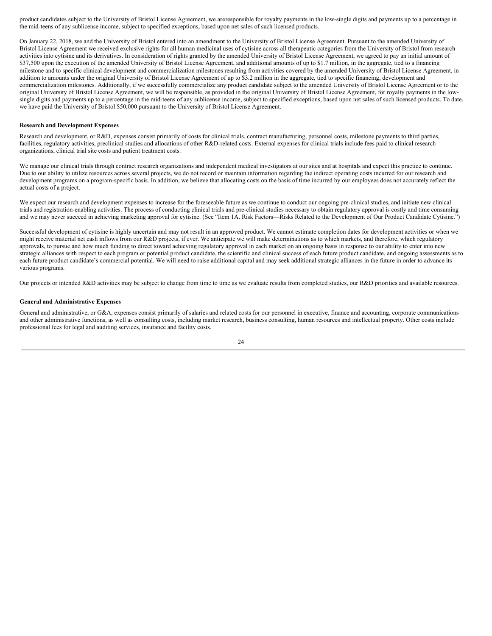product candidates subject to the University of Bristol License Agreement, we areresponsible for royalty payments in the low-single digits and payments up to a percentage in the mid-teens of any sublicense income, subject to specified exceptions, based upon net sales of such licensed products.

On January 22, 2018, we and the University of Bristol entered into an amendment to the University of Bristol License Agreement. Pursuant to the amended University of Bristol License Agreement we received exclusive rights for all human medicinal uses of cytisine across all therapeutic categories from the University of Bristol from research activities into cytisine and its derivatives. In consideration of rights granted by the amended University of Bristol License Agreement, we agreed to pay an initial amount of \$37,500 upon the execution of the amended University of Bristol License Agreement, and additional amounts of up to \$1.7 million, in the aggregate, tied to a financing milestone and to specific clinical development and commercialization milestones resulting from activities covered by the amended University of Bristol License Agreement, in addition to amounts under the original University of Bristol License Agreement of up to \$3.2 million in the aggregate, tied to specific financing, development and commercialization milestones. Additionally, if we successfully commercialize any product candidate subject to the amended University of Bristol License Agreement or to the original University of Bristol License Agreement, we will be responsible, as provided in the original University of Bristol License Agreement, for royalty payments in the lowsingle digits and payments up to a percentage in the mid-teens of any sublicense income, subject to specified exceptions, based upon net sales of such licensed products. To date, we have paid the University of Bristol \$50,000 pursuant to the University of Bristol License Agreement.

#### **Research and Development Expenses**

Research and development, or R&D, expenses consist primarily of costs for clinical trials, contract manufacturing, personnel costs, milestone payments to third parties, facilities, regulatory activities, preclinical studies and allocations of other R&D-related costs. External expenses for clinical trials include fees paid to clinical research organizations, clinical trial site costs and patient treatment costs.

We manage our clinical trials through contract research organizations and independent medical investigators at our sites and at hospitals and expect this practice to continue. Due to our ability to utilize resources across several projects, we do not record or maintain information regarding the indirect operating costs incurred for our research and development programs on a program-specific basis. In addition, we believe that allocating costs on the basis of time incurred by our employees does not accurately reflect the actual costs of a project.

We expect our research and development expenses to increase for the foreseeable future as we continue to conduct our ongoing pre-clinical studies, and initiate new clinical trials and registration-enabling activities. The process of conducting clinical trials and pre-clinical studies necessary to obtain regulatory approval is costly and time consuming and we may never succeed in achieving marketing approval for cytisine. (See "Item 1A. Risk Factors—Risks Related to the Development of Our Product Candidate Cytisine.")

Successful development of cytisine is highly uncertain and may not result in an approved product. We cannot estimate completion dates for development activities or when we might receive material net cash inflows from our R&D projects, if ever. We anticipate we will make determinations as to which markets, and therefore, which regulatory approvals, to pursue and how much funding to direct toward achieving regulatory approval in each market on an ongoing basis in response to our ability to enter into new strategic alliances with respect to each program or potential product candidate, the scientific and clinical success of each future product candidate, and ongoing assessments as to each future product candidate's commercial potential. We will need to raise additional capital and may seek additional strategic alliances in the future in order to advance its various programs.

Our projects or intended R&D activities may be subject to change from time to time as we evaluate results from completed studies, our R&D priorities and available resources.

#### **General and Administrative Expenses**

General and administrative, or G&A, expenses consist primarily of salaries and related costs for our personnel in executive, finance and accounting, corporate communications and other administrative functions, as well as consulting costs, including market research, business consulting, human resources and intellectual property. Other costs include professional fees for legal and auditing services, insurance and facility costs.

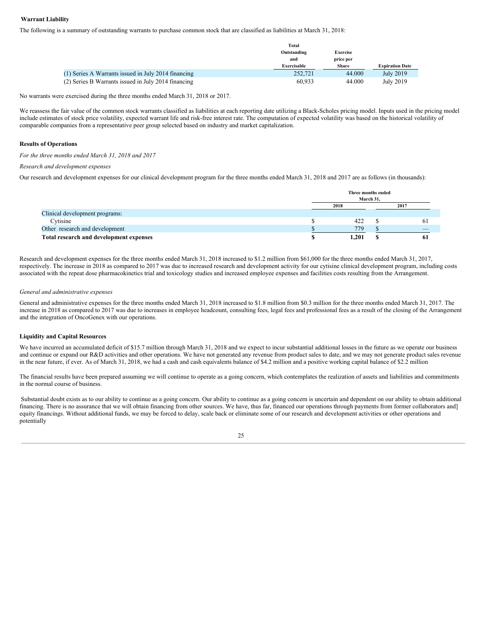#### **Warrant Liability**

The following is a summary of outstanding warrants to purchase common stock that are classified as liabilities at March 31, 2018:

|                                                     | Total       |              |                        |
|-----------------------------------------------------|-------------|--------------|------------------------|
|                                                     | Outstanding | Exercise     |                        |
|                                                     | and         | price per    |                        |
|                                                     | Exercisable | <b>Share</b> | <b>Expiration Date</b> |
| (1) Series A Warrants issued in July 2014 financing | 252,721     | 44.000       | July 2019              |
| (2) Series B Warrants issued in July 2014 financing | 60.933      | 44.000       | July 2019              |

No warrants were exercised during the three months ended March 31, 2018 or 2017.

We reassess the fair value of the common stock warrants classified as liabilities at each reporting date utilizing a Black-Scholes pricing model. Inputs used in the pricing model include estimates of stock price volatility, expected warrant life and risk-free interest rate. The computation of expected volatility was based on the historical volatility of comparable companies from a representative peer group selected based on industry and market capitalization.

#### **Results of Operations**

*For the three months ended March 31, 2018 and 2017*

#### *Research and development expenses*

Our research and development expenses for our clinical development program for the three months ended March 31, 2018 and 2017 are as follows (in thousands):

|                                         |      | Three months ended<br>March 31. |      |  |  |
|-----------------------------------------|------|---------------------------------|------|--|--|
|                                         | 2018 |                                 | 2017 |  |  |
| Clinical development programs:          |      |                                 |      |  |  |
| Cytisine                                |      | 422                             |      |  |  |
| Other research and development          |      | 779                             |      |  |  |
| Total research and development expenses |      | 1,201                           |      |  |  |

Research and development expenses for the three months ended March 31, 2018 increased to \$1.2 million from \$61,000 for the three months ended March 31, 2017, respectively. The increase in 2018 as compared to 2017 was due to increased research and development activity for our cytisine clinical development program, including costs associated with the repeat dose pharmacokinetics trial and toxicology studies and increased employee expenses and facilities costs resulting from the Arrangement.

#### *General and administrative expenses*

General and administrative expenses for the three months ended March 31, 2018 increased to \$1.8 million from \$0.3 million for the three months ended March 31, 2017. The increase in 2018 as compared to 2017 was due to increases in employee headcount, consulting fees, legal fees and professional fees as a result of the closing of the Arrangement and the integration of OncoGenex with our operations.

#### **Liquidity and Capital Resources**

We have incurred an accumulated deficit of \$15.7 million through March 31, 2018 and we expect to incur substantial additional losses in the future as we operate our business and continue or expand our R&D activities and other operations. We have not generated any revenue from product sales to date, and we may not generate product sales revenue in the near future, if ever. As of March 31, 2018, we had a cash and cash equivalents balance of \$4.2 million and a positive working capital balance of \$2.2 million

The financial results have been prepared assuming we will continue to operate as a going concern, which contemplates the realization of assets and liabilities and commitments in the normal course of business.

Substantial doubt exists as to our ability to continue as a going concern. Our ability to continue as a going concern is uncertain and dependent on our ability to obtain additional financing. There is no assurance that we will obtain financing from other sources. We have, thus far, financed our operations through payments from former collaborators and] equity financings. Without additional funds, we may be forced to delay, scale back or eliminate some of our research and development activities or other operations and potentially

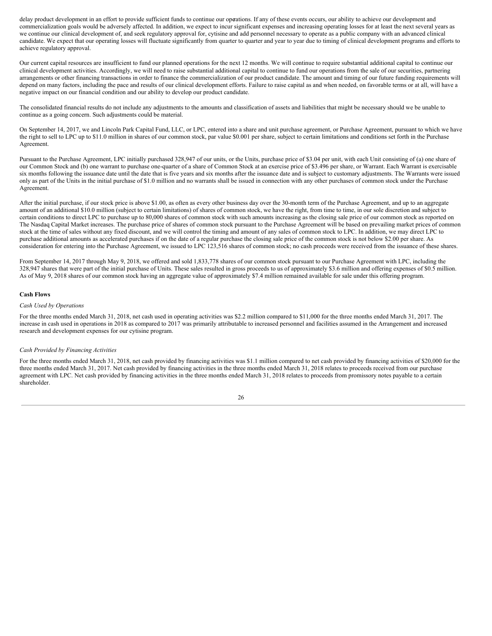delay product development in an effort to provide sufficient funds to continue our operations. If any of these events occurs, our ability to achieve our development and commercialization goals would be adversely affected. In addition, we expect to incur significant expenses and increasing operating losses for at least the next several years as we continue our clinical development of, and seek regulatory approval for, cytisine and add personnel necessary to operate as a public company with an advanced clinical candidate. We expect that our operating losses will fluctuate significantly from quarter to quarter and year to year due to timing of clinical development programs and efforts to achieve regulatory approval.

Our current capital resources are insufficient to fund our planned operations for the next 12 months. We will continue to require substantial additional capital to continue our clinical development activities. Accordingly, we will need to raise substantial additional capital to continue to fund our operations from the sale of our securities, partnering arrangements or other financing transactions in order to finance the commercialization of our product candidate. The amount and timing of our future funding requirements will depend on many factors, including the pace and results of our clinical development efforts. Failure to raise capital as and when needed, on favorable terms or at all, will have a negative impact on our financial condition and our ability to develop our product candidate.

The consolidated financial results do not include any adjustments to the amounts and classification of assets and liabilities that might be necessary should we be unable to continue as a going concern. Such adjustments could be material.

On September 14, 2017, we and Lincoln Park Capital Fund, LLC, or LPC, entered into a share and unit purchase agreement, or Purchase Agreement, pursuant to which we have the right to sell to LPC up to \$11.0 million in shares of our common stock, par value \$0.001 per share, subject to certain limitations and conditions set forth in the Purchase Agreement.

Pursuant to the Purchase Agreement, LPC initially purchased 328,947 of our units, or the Units, purchase price of \$3.04 per unit, with each Unit consisting of (a) one share of our Common Stock and (b) one warrant to purchase one-quarter of a share of Common Stock at an exercise price of \$3.496 per share, or Warrant. Each Warrant is exercisable six months following the issuance date until the date that is five years and six months after the issuance date and is subject to customary adjustments. The Warrants were issued only as part of the Units in the initial purchase of \$1.0 million and no warrants shall be issued in connection with any other purchases of common stock under the Purchase Agreement.

After the initial purchase, if our stock price is above \$1.00, as often as every other business day over the 30-month term of the Purchase Agreement, and up to an aggregate amount of an additional \$10.0 million (subject to certain limitations) of shares of common stock, we have the right, from time to time, in our sole discretion and subject to certain conditions to direct LPC to purchase up to 80,000 shares of common stock with such amounts increasing as the closing sale price of our common stock as reported on The Nasdaq Capital Market increases. The purchase price of shares of common stock pursuant to the Purchase Agreement will be based on prevailing market prices of common stock at the time of sales without any fixed discount, and we will control the timing and amount of any sales of common stock to LPC. In addition, we may direct LPC to purchase additional amounts as accelerated purchases if on the date of a regular purchase the closing sale price of the common stock is not below \$2.00 per share. As consideration for entering into the Purchase Agreement, we issued to LPC 123,516 shares of common stock; no cash proceeds were received from the issuance of these shares.

From September 14, 2017 through May 9, 2018, we offered and sold 1,833,778 shares of our common stock pursuant to our Purchase Agreement with LPC, including the 328,947 shares that were part of the initial purchase of Units. These sales resulted in gross proceeds to us of approximately \$3.6 million and offering expenses of \$0.5 million. As of May 9, 2018 shares of our common stock having an aggregate value of approximately \$7.4 million remained available for sale under this offering program.

#### **Cash Flows**

#### *Cash Used by Operations*

For the three months ended March 31, 2018, net cash used in operating activities was \$2.2 million compared to \$11,000 for the three months ended March 31, 2017. The increase in cash used in operations in 2018 as compared to 2017 was primarily attributable to increased personnel and facilities assumed in the Arrangement and increased research and development expenses for our cytisine program.

#### *Cash Provided by Financing Activities*

For the three months ended March 31, 2018, net cash provided by financing activities was \$1.1 million compared to net cash provided by financing activities of \$20,000 for the three months ended March 31, 2017. Net cash provided by financing activities in the three months ended March 31, 2018 relates to proceeds received from our purchase agreement with LPC. Net cash provided by financing activities in the three months ended March 31, 2018 relates to proceeds from promissory notes payable to a certain shareholder.

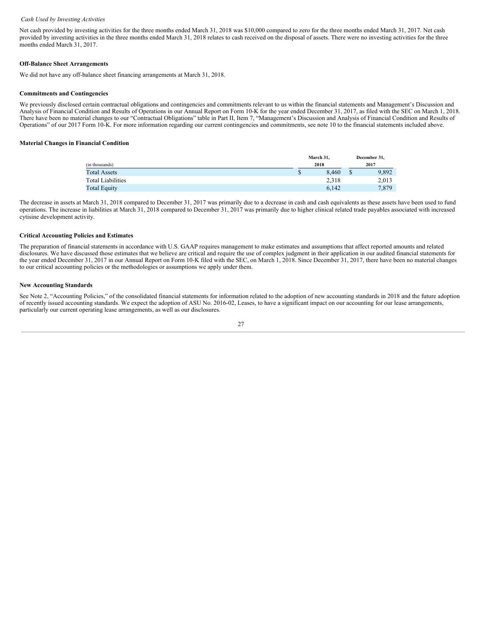#### *Cash Used by Investing Activities*

Net cash provided by investing activities for the three months ended March 31, 2018 was \$10,000 compared to zero for the three months ended March 31, 2017. Net cash provided by investing activities in the three months ended March 31, 2018 relates to cash received on the disposal of assets. There were no investing activities for the three months ended March 31, 2017.

#### **Off-Balance Sheet Arrangements**

We did not have any off-balance sheet financing arrangements at March 31, 2018.

#### **Commitments and Contingencies**

We previously disclosed certain contractual obligations and contingencies and commitments relevant to us within the financial statements and Management's Discussion and Analysis of Financial Condition and Results of Operations in our Annual Report on Form 10-K for the year ended December 31, 2017, as filed with the SEC on March 1, 2018. There have been no material changes to our "Contractual Obligations" table in Part II, Item 7, "Management's Discussion and Analysis of Financial Condition and Results of Operations" of our 2017 Form 10-K. For more information regarding our current contingencies and commitments, see note 10 to the financial statements included above.

#### **Material Changes in Financial Condition**

|                          | March 31. |              | December 31. |       |
|--------------------------|-----------|--------------|--------------|-------|
| (in thousands)           |           | 2018<br>2017 |              |       |
| <b>Total Assets</b>      | Ф         | 8.460        |              | 9,892 |
| <b>Total Liabilities</b> |           | 2,318        |              | 2,013 |
| <b>Total Equity</b>      |           | 6,142        |              | 7,879 |

The decrease in assets at March 31, 2018 compared to December 31, 2017 was primarily due to a decrease in cash and cash equivalents as these assets have been used to fund operations. The increase in liabilities at March 31, 2018 compared to December 31, 2017 was primarily due to higher clinical related trade payables associated with increased cytisine development activity.

#### **Critical Accounting Policies and Estimates**

The preparation of financial statements in accordance with U.S. GAAP requires management to make estimates and assumptions that affect reported amounts and related disclosures. We have discussed those estimates that we believe are critical and require the use of complex judgment in their application in our audited financial statements for the year ended December 31, 2017 in our Annual Report on Form 10-K filed with the SEC, on March 1, 2018. Since December 31, 2017, there have been no material changes to our critical accounting policies or the methodologies or assumptions we apply under them.

#### **New Accounting Standards**

See Note 2, "Accounting Policies," of the consolidated financial statements for information related to the adoption of new accounting standards in 2018 and the future adoption of recently issued accounting standards. We expect the adoption of ASU No. 2016-02, Leases, to have a significant impact on our accounting for our lease arrangements, particularly our current operating lease arrangements, as well as our disclosures.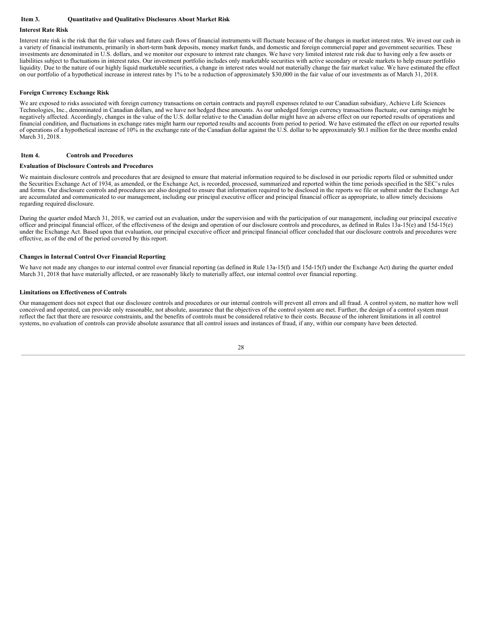#### <span id="page-27-0"></span>**Item 3. Quantitative and Qualitative Disclosures About Market Risk**

#### **Interest Rate Risk**

Interest rate risk is the risk that the fair values and future cash flows of financial instruments will fluctuate because of the changes in market interest rates. We invest our cash in a variety of financial instruments, primarily in short-term bank deposits, money market funds, and domestic and foreign commercial paper and government securities. These investments are denominated in U.S. dollars, and we monitor our exposure to interest rate changes. We have very limited interest rate risk due to having only a few assets or liabilities subject to fluctuations in interest rates. Our investment portfolio includes only marketable securities with active secondary or resale markets to help ensure portfolio liquidity. Due to the nature of our highly liquid marketable securities, a change in interest rates would not materially change the fair market value. We have estimated the effect on our portfolio of a hypothetical increase in interest rates by 1% to be a reduction of approximately \$30,000 in the fair value of our investments as of March 31, 2018.

#### **Foreign Currency Exchange Risk**

We are exposed to risks associated with foreign currency transactions on certain contracts and payroll expenses related to our Canadian subsidiary, Achieve Life Sciences Technologies, Inc., denominated in Canadian dollars, and we have not hedged these amounts. As our unhedged foreign currency transactions fluctuate, our earnings might be negatively affected. Accordingly, changes in the value of the U.S. dollar relative to the Canadian dollar might have an adverse effect on our reported results of operations and financial condition, and fluctuations in exchange rates might harm our reported results and accounts from period to period. We have estimated the effect on our reported results of operations of a hypothetical increase of 10% in the exchange rate of the Canadian dollar against the U.S. dollar to be approximately \$0.1 million for the three months ended March 31, 2018.

#### <span id="page-27-1"></span>**Item 4. Controls and Procedures**

#### **Evaluation of Disclosure Controls and Procedures**

We maintain disclosure controls and procedures that are designed to ensure that material information required to be disclosed in our periodic reports filed or submitted under the Securities Exchange Act of 1934, as amended, or the Exchange Act, is recorded, processed, summarized and reported within the time periods specified in the SEC's rules and forms. Our disclosure controls and procedures are also designed to ensure that information required to be disclosed in the reports we file or submit under the Exchange Act are accumulated and communicated to our management, including our principal executive officer and principal financial officer as appropriate, to allow timely decisions regarding required disclosure.

During the quarter ended March 31, 2018, we carried out an evaluation, under the supervision and with the participation of our management, including our principal executive officer and principal financial officer, of the effectiveness of the design and operation of our disclosure controls and procedures, as defined in Rules 13a-15(e) and 15d-15(e) under the Exchange Act. Based upon that evaluation, our principal executive officer and principal financial officer concluded that our disclosure controls and procedures were effective, as of the end of the period covered by this report.

#### **Changes in Internal Control Over Financial Reporting**

We have not made any changes to our internal control over financial reporting (as defined in Rule 13a-15(f) and 15d-15(f) under the Exchange Act) during the quarter ended March 31, 2018 that have materially affected, or are reasonably likely to materially affect, our internal control over financial reporting.

#### **Limitations on Effectiveness of Controls**

Our management does not expect that our disclosure controls and procedures or our internal controls will prevent all errors and all fraud. A control system, no matter how well conceived and operated, can provide only reasonable, not absolute, assurance that the objectives of the control system are met. Further, the design of a control system must reflect the fact that there are resource constraints, and the benefits of controls must be considered relative to their costs. Because of the inherent limitations in all control systems, no evaluation of controls can provide absolute assurance that all control issues and instances of fraud, if any, within our company have been detected.

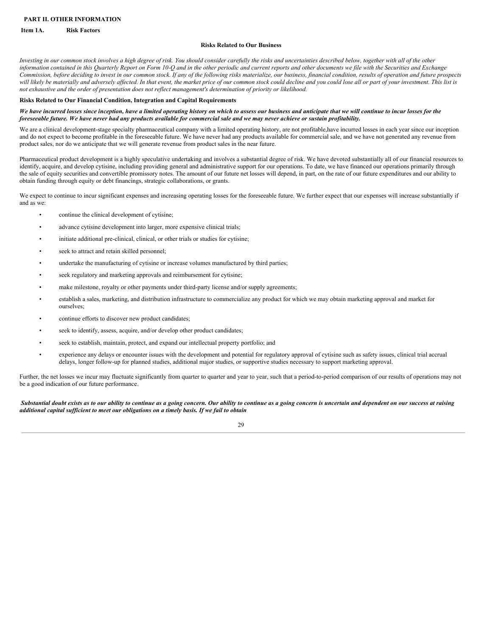#### <span id="page-28-0"></span>**PART II. OTHER INFORMATION**

#### <span id="page-28-1"></span>**Item 1A. Risk Factors**

#### **Risks Related to Our Business**

Investing in our common stock involves a high degree of risk. You should consider carefully the risks and uncertainties described below, together with all of the other information contained in this Quarterly Report on Form 10-Q and in the other periodic and current reports and other documents we file with the Securities and Exchange Commission, before deciding to invest in our common stock. If any of the following risks materialize, our business, financial condition, results of operation and future prospects will likely be materially and adversely affected. In that event, the market price of our common stock could decline and you could lose all or part of your investment. This list is not exhaustive and the order of presentation does not reflect management's determination of priority or likelihood.

#### **Risks Related to Our Financial Condition, Integration and Capital Requirements**

#### We have incurred losses since inception, have a limited operating history on which to assess our business and anticipate that we will continue to incur losses for the foreseeable future. We have never had any products available for commercial sale and we may never achieve or sustain profitability.

We are a clinical development-stage specialty pharmaceutical company with a limited operating history, are not profitable,have incurred losses in each year since our inception and do not expect to become profitable in the foreseeable future. We have never had any products available for commercial sale, and we have not generated any revenue from product sales, nor do we anticipate that we will generate revenue from product sales in the near future.

Pharmaceutical product development is a highly speculative undertaking and involves a substantial degree of risk. We have devoted substantially all of our financial resources to identify, acquire, and develop cytisine, including providing general and administrative support for our operations. To date, we have financed our operations primarily through the sale of equity securities and convertible promissory notes. The amount of our future net losses will depend, in part, on the rate of our future expenditures and our ability to obtain funding through equity or debt financings, strategic collaborations, or grants.

We expect to continue to incur significant expenses and increasing operating losses for the foreseeable future. We further expect that our expenses will increase substantially if and as we:

- continue the clinical development of cytisine;
- advance cytisine development into larger, more expensive clinical trials;
- initiate additional pre-clinical, clinical, or other trials or studies for cytisine;
- seek to attract and retain skilled personnel;
- undertake the manufacturing of cytisine or increase volumes manufactured by third parties;
- seek regulatory and marketing approvals and reimbursement for cytisine;
- make milestone, royalty or other payments under third-party license and/or supply agreements;
- establish a sales, marketing, and distribution infrastructure to commercialize any product for which we may obtain marketing approval and market for ourselves;
- continue efforts to discover new product candidates;
- seek to identify, assess, acquire, and/or develop other product candidates;
- seek to establish, maintain, protect, and expand our intellectual property portfolio; and
- experience any delays or encounter issues with the development and potential for regulatory approval of cytisine such as safety issues, clinical trial accrual delays, longer follow-up for planned studies, additional major studies, or supportive studies necessary to support marketing approval.

Further, the net losses we incur may fluctuate significantly from quarter to quarter and year to year, such that a period-to-period comparison of our results of operations may not be a good indication of our future performance.

Substantial doubt exists as to our ability to continue as a going concern. Our ability to continue as a going concern is uncertain and dependent on our success at raising *additional capital suf icient to meet our obligations on a timely basis. If we fail to obtain*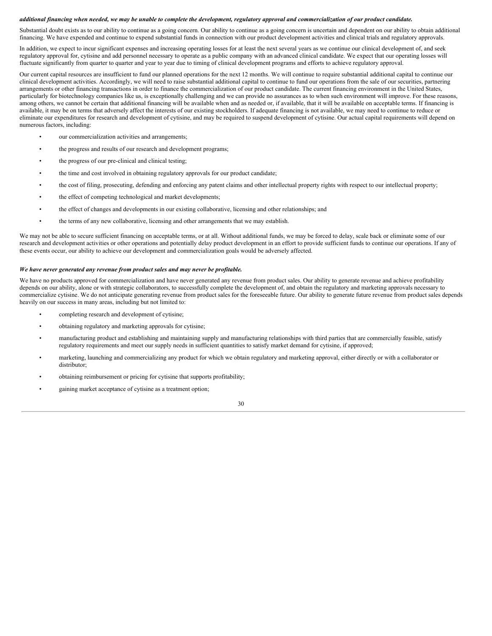#### additional financing when needed, we may be unable to complete the development, regulatory approval and commercialization of our product candidate.

Substantial doubt exists as to our ability to continue as a going concern. Our ability to continue as a going concern is uncertain and dependent on our ability to obtain additional financing. We have expended and continue to expend substantial funds in connection with our product development activities and clinical trials and regulatory approvals.

In addition, we expect to incur significant expenses and increasing operating losses for at least the next several years as we continue our clinical development of, and seek regulatory approval for, cytisine and add personnel necessary to operate as a public company with an advanced clinical candidate. We expect that our operating losses will fluctuate significantly from quarter to quarter and year to year due to timing of clinical development programs and efforts to achieve regulatory approval.

Our current capital resources are insufficient to fund our planned operations for the next 12 months. We will continue to require substantial additional capital to continue our clinical development activities. Accordingly, we will need to raise substantial additional capital to continue to fund our operations from the sale of our securities, partnering arrangements or other financing transactions in order to finance the commercialization of our product candidate. The current financing environment in the United States, particularly for biotechnology companies like us, is exceptionally challenging and we can provide no assurances as to when such environment will improve. For these reasons, among others, we cannot be certain that additional financing will be available when and as needed or, if available, that it will be available on acceptable terms. If financing is available, it may be on terms that adversely affect the interests of our existing stockholders. If adequate financing is not available, we may need to continue to reduce or eliminate our expenditures for research and development of cytisine, and may be required to suspend development of cytisine. Our actual capital requirements will depend on numerous factors, including:

- our commercialization activities and arrangements;
- the progress and results of our research and development programs;
- the progress of our pre-clinical and clinical testing;
- the time and cost involved in obtaining regulatory approvals for our product candidate;
- the cost of filing, prosecuting, defending and enforcing any patent claims and other intellectual property rights with respect to our intellectual property;
- the effect of competing technological and market developments;
- the effect of changes and developments in our existing collaborative, licensing and other relationships; and
- the terms of any new collaborative, licensing and other arrangements that we may establish.

We may not be able to secure sufficient financing on acceptable terms, or at all. Without additional funds, we may be forced to delay, scale back or eliminate some of our research and development activities or other operations and potentially delay product development in an effort to provide sufficient funds to continue our operations. If any of these events occur, our ability to achieve our development and commercialization goals would be adversely affected.

#### *We have never generated any revenue from product sales and may never be profitable.*

We have no products approved for commercialization and have never generated any revenue from product sales. Our ability to generate revenue and achieve profitability depends on our ability, alone or with strategic collaborators, to successfully complete the development of, and obtain the regulatory and marketing approvals necessary to commercialize cytisine. We do not anticipate generating revenue from product sales for the foreseeable future. Our ability to generate future revenue from product sales depends heavily on our success in many areas, including but not limited to:

- completing research and development of cytisine;
- obtaining regulatory and marketing approvals for cytisine;
- manufacturing product and establishing and maintaining supply and manufacturing relationships with third parties that are commercially feasible, satisfy regulatory requirements and meet our supply needs in sufficient quantities to satisfy market demand for cytisine, if approved;
- marketing, launching and commercializing any product for which we obtain regulatory and marketing approval, either directly or with a collaborator or distributor<sup>.</sup>
- obtaining reimbursement or pricing for cytisine that supports profitability;
- gaining market acceptance of cytisine as a treatment option;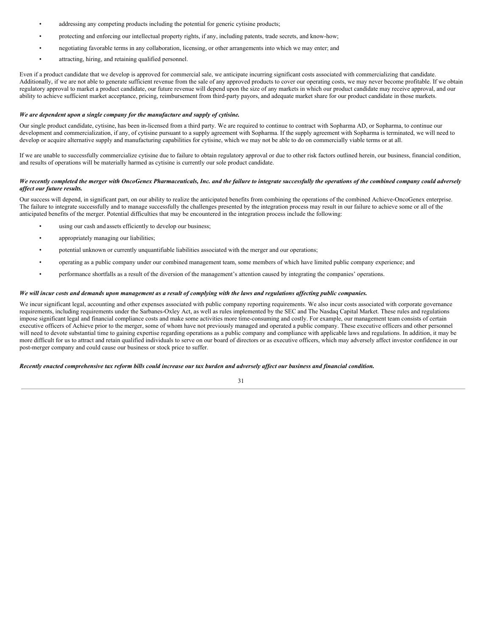- addressing any competing products including the potential for generic cytisine products;
- protecting and enforcing our intellectual property rights, if any, including patents, trade secrets, and know-how;
- negotiating favorable terms in any collaboration, licensing, or other arrangements into which we may enter; and
- attracting, hiring, and retaining qualified personnel.

Even if a product candidate that we develop is approved for commercial sale, we anticipate incurring significant costs associated with commercializing that candidate. Additionally, if we are not able to generate sufficient revenue from the sale of any approved products to cover our operating costs, we may never become profitable. If we obtain regulatory approval to market a product candidate, our future revenue will depend upon the size of any markets in which our product candidate may receive approval, and our ability to achieve sufficient market acceptance, pricing, reimbursement from third-party payors, and adequate market share for our product candidate in those markets.

#### *We are dependent upon a single company for the manufacture and supply of cytisine.*

Our single product candidate, cytisine, has been in-licensed from a third party. We are required to continue to contract with Sopharma AD, or Sopharma, to continue our development and commercialization, if any, of cytisine pursuant to a supply agreement with Sopharma. If the supply agreement with Sopharma is terminated, we will need to develop or acquire alternative supply and manufacturing capabilities for cytisine, which we may not be able to do on commercially viable terms or at all.

If we are unable to successfully commercialize cytisine due to failure to obtain regulatory approval or due to other risk factors outlined herein, our business, financial condition, and results of operations will be materially harmed as cytisine is currently our sole product candidate.

#### We recently completed the merger with OncoGenex Pharmaceuticals, Inc. and the failure to integrate successfully the operations of the combined company could adversely *af ect our future results.*

Our success will depend, in significant part, on our ability to realize the anticipated benefits from combining the operations of the combined Achieve-OncoGenex enterprise. The failure to integrate successfully and to manage successfully the challenges presented by the integration process may result in our failure to achieve some or all of the anticipated benefits of the merger. Potential difficulties that may be encountered in the integration process include the following:

- using our cash and assets efficiently to develop our business;
- appropriately managing our liabilities;
- potential unknown or currently unquantifiable liabilities associated with the merger and our operations;
- operating as a public company under our combined management team, some members of which have limited public company experience; and
- performance shortfalls as a result of the diversion of the management's attention caused by integrating the companies' operations.

#### We will incur costs and demands upon management as a result of complying with the laws and regulations affecting public companies.

We incur significant legal, accounting and other expenses associated with public company reporting requirements. We also incur costs associated with corporate governance requirements, including requirements under the Sarbanes-Oxley Act, as well as rules implemented by the SEC and The Nasdaq Capital Market. These rules and regulations impose significant legal and financial compliance costs and make some activities more time-consuming and costly. For example, our management team consists of certain executive officers of Achieve prior to the merger, some of whom have not previously managed and operated a public company. These executive officers and other personnel will need to devote substantial time to gaining expertise regarding operations as a public company and compliance with applicable laws and regulations. In addition, it may be more difficult for us to attract and retain qualified individuals to serve on our board of directors or as executive officers, which may adversely affect investor confidence in our post-merger company and could cause our business or stock price to suffer.

#### Recently enacted comprehensive tax reform bills could increase our tax burden and adversely affect our business and financial condition.

| ۰,<br>I |  |
|---------|--|
| -       |  |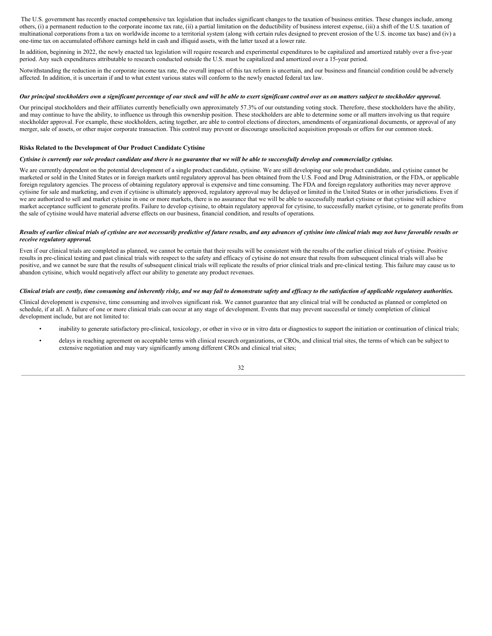The U.S. government has recently enacted comprehensive tax legislation that includes significant changes to the taxation of business entities. These changes include, among others, (i) a permanent reduction to the corporate income tax rate, (ii) a partial limitation on the deductibility of business interest expense, (iii) a shift of the U.S. taxation of multinational corporations from a tax on worldwide income to a territorial system (along with certain rules designed to prevent erosion of the U.S. income tax base) and (iv) a one-time tax on accumulated offshore earnings held in cash and illiquid assets, with the latter taxed at a lower rate.

In addition, beginning in 2022, the newly enacted tax legislation will require research and experimental expenditures to be capitalized and amortized ratably over a five-year period. Any such expenditures attributable to research conducted outside the U.S. must be capitalized and amortized over a 15-year period.

Notwithstanding the reduction in the corporate income tax rate, the overall impact of this tax reform is uncertain, and our business and financial condition could be adversely affected. In addition, it is uncertain if and to what extent various states will conform to the newly enacted federal tax law.

#### Our principal stockholders own a significant percentage of our stock and will be able to exert significant control over us on matters subject to stockholder approval.

Our principal stockholders and their affiliates currently beneficially own approximately 57.3% of our outstanding voting stock. Therefore, these stockholders have the ability, and may continue to have the ability, to influence us through this ownership position. These stockholders are able to determine some or all matters involving us that require stockholder approval. For example, these stockholders, acting together, are able to control elections of directors, amendments of organizational documents, or approval of any merger, sale of assets, or other major corporate transaction. This control may prevent or discourage unsolicited acquisition proposals or offers for our common stock.

#### **Risks Related to the Development of Our Product Candidate Cytisine**

#### Cytisine is currently our sole product candidate and there is no guarantee that we will be able to successfully develop and commercialize cytisine.

We are currently dependent on the potential development of a single product candidate, cytisine. We are still developing our sole product candidate, and cytisine cannot be marketed or sold in the United States or in foreign markets until regulatory approval has been obtained from the U.S. Food and Drug Administration, or the FDA, or applicable foreign regulatory agencies. The process of obtaining regulatory approval is expensive and time consuming. The FDA and foreign regulatory authorities may never approve cytisine for sale and marketing, and even if cytisine is ultimately approved, regulatory approval may be delayed or limited in the United States or in other jurisdictions. Even if we are authorized to sell and market cytisine in one or more markets, there is no assurance that we will be able to successfully market cytisine or that cytisine will achieve market acceptance sufficient to generate profits. Failure to develop cytisine, to obtain regulatory approval for cytisine, to successfully market cytisine, or to generate profits from the sale of cytisine would have material adverse effects on our business, financial condition, and results of operations.

#### Results of earlier clinical trials of cytisine are not necessarily predictive of future results, and any advances of cytisine into clinical trials may not have favorable results or *receive regulatory approval.*

Even if our clinical trials are completed as planned, we cannot be certain that their results will be consistent with the results of the earlier clinical trials of cytisine. Positive results in pre-clinical testing and past clinical trials with respect to the safety and efficacy of cytisine do not ensure that results from subsequent clinical trials will also be positive, and we cannot be sure that the results of subsequent clinical trials will replicate the results of prior clinical trials and pre-clinical testing. This failure may cause us to abandon cytisine, which would negatively affect our ability to generate any product revenues.

#### Clinical trials are costly, time consuming and inherently risky, and we may fail to demonstrate safety and efficacy to the satisfaction of applicable regulatory authorities.

Clinical development is expensive, time consuming and involves significant risk. We cannot guarantee that any clinical trial will be conducted as planned or completed on schedule, if at all. A failure of one or more clinical trials can occur at any stage of development. Events that may prevent successful or timely completion of clinical development include, but are not limited to:

- inability to generate satisfactory pre-clinical, toxicology, or other in vivo or in vitro data or diagnostics to support the initiation or continuation of clinical trials;
- delays in reaching agreement on acceptable terms with clinical research organizations, or CROs, and clinical trial sites, the terms of which can be subject to extensive negotiation and may vary significantly among different CROs and clinical trial sites;

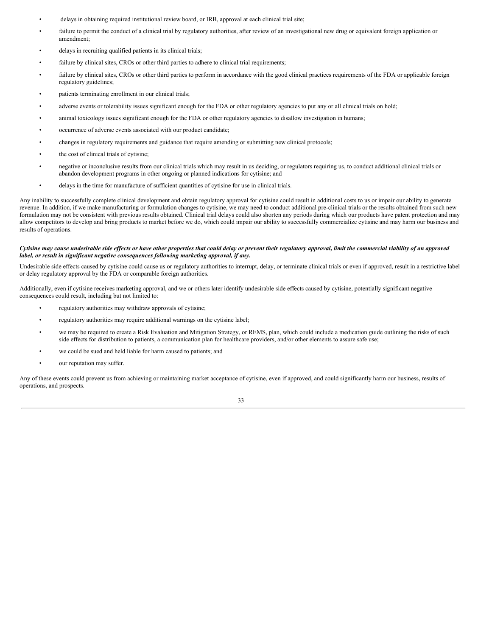- delays in obtaining required institutional review board, or IRB, approval at each clinical trial site;
- failure to permit the conduct of a clinical trial by regulatory authorities, after review of an investigational new drug or equivalent foreign application or amendment;
- delays in recruiting qualified patients in its clinical trials;
- failure by clinical sites, CROs or other third parties to adhere to clinical trial requirements;
- failure by clinical sites, CROs or other third parties to perform in accordance with the good clinical practices requirements of the FDA or applicable foreign regulatory guidelines;
- patients terminating enrollment in our clinical trials;
- adverse events or tolerability issues significant enough for the FDA or other regulatory agencies to put any or all clinical trials on hold;
- animal toxicology issues significant enough for the FDA or other regulatory agencies to disallow investigation in humans;
- occurrence of adverse events associated with our product candidate;
- changes in regulatory requirements and guidance that require amending or submitting new clinical protocols;
- the cost of clinical trials of cytisine;
- negative or inconclusive results from our clinical trials which may result in us deciding, or regulators requiring us, to conduct additional clinical trials or abandon development programs in other ongoing or planned indications for cytisine; and
- delays in the time for manufacture of sufficient quantities of cytisine for use in clinical trials.

Any inability to successfully complete clinical development and obtain regulatory approval for cytisine could result in additional costs to us or impair our ability to generate revenue. In addition, if we make manufacturing or formulation changes to cytisine, we may need to conduct additional pre-clinical trials or the results obtained from such new formulation may not be consistent with previous results obtained. Clinical trial delays could also shorten any periods during which our products have patent protection and may allow competitors to develop and bring products to market before we do, which could impair our ability to successfully commercialize cytisine and may harm our business and results of operations.

#### Cytisine may cause undesirable side effects or have other properties that could delay or prevent their regulatory approval, limit the commercial viability of an approved *label, or result in significant negative consequences following marketing approval, if any.*

Undesirable side effects caused by cytisine could cause us or regulatory authorities to interrupt, delay, or terminate clinical trials or even if approved, result in a restrictive label or delay regulatory approval by the FDA or comparable foreign authorities.

Additionally, even if cytisine receives marketing approval, and we or others later identify undesirable side effects caused by cytisine, potentially significant negative consequences could result, including but not limited to:

- regulatory authorities may withdraw approvals of cytisine;
- regulatory authorities may require additional warnings on the cytisine label;
- we may be required to create a Risk Evaluation and Mitigation Strategy, or REMS, plan, which could include a medication guide outlining the risks of such side effects for distribution to patients, a communication plan for healthcare providers, and/or other elements to assure safe use;
- we could be sued and held liable for harm caused to patients; and
- our reputation may suffer.

Any of these events could prevent us from achieving or maintaining market acceptance of cytisine, even if approved, and could significantly harm our business, results of operations, and prospects.

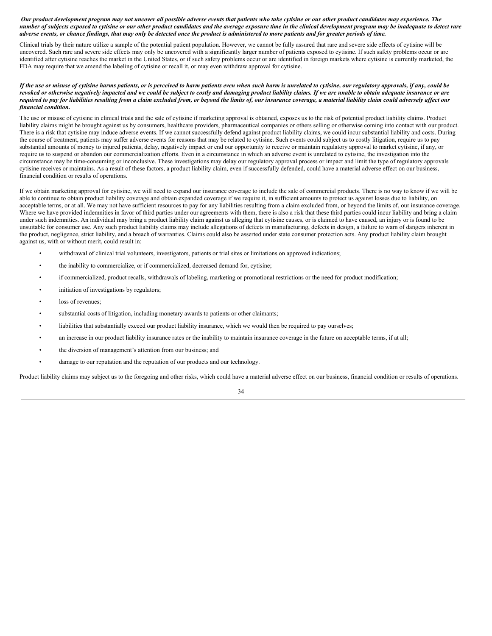#### Our product development program may not uncover all possible adverse events that patients who take cytisine or our other product candidates may experience. The number of subjects exposed to cytisine or our other product candidates and the average exposure time in the clinical development program may be inadequate to detect rare adverse events, or chance findings, that may only be detected once the product is administered to more patients and for greater periods of time.

Clinical trials by their nature utilize a sample of the potential patient population. However, we cannot be fully assured that rare and severe side effects of cytisine will be uncovered. Such rare and severe side effects may only be uncovered with a significantly larger number of patients exposed to cytisine. If such safety problems occur or are identified after cytisine reaches the market in the United States, or if such safety problems occur or are identified in foreign markets where cytisine is currently marketed, the FDA may require that we amend the labeling of cytisine or recall it, or may even withdraw approval for cytisine.

#### If the use or misuse of cytisine harms patients, or is perceived to harm patients even when such harm is unrelated to cytisine, our regulatory approvals, if any, could be revoked or otherwise negatively impacted and we could be subject to costly and damaging product liability claims. If we are unable to obtain adequate insurance or are required to pay for liabilities resulting from a claim excluded from, or beyond the limits of, our insurance coverage, a material liability claim could adversely affect our *financial condition.*

The use or misuse of cytisine in clinical trials and the sale of cytisine if marketing approval is obtained, exposes us to the risk of potential product liability claims. Product liability claims might be brought against us by consumers, healthcare providers, pharmaceutical companies or others selling or otherwise coming into contact with our product. There is a risk that cytisine may induce adverse events. If we cannot successfully defend against product liability claims, we could incur substantial liability and costs. During the course of treatment, patients may suffer adverse events for reasons that may be related to cytisine. Such events could subject us to costly litigation, require us to pay substantial amounts of money to injured patients, delay, negatively impact or end our opportunity to receive or maintain regulatory approval to market cytisine, if any, or require us to suspend or abandon our commercialization efforts. Even in a circumstance in which an adverse event is unrelated to cytisine, the investigation into the circumstance may be time-consuming or inconclusive. These investigations may delay our regulatory approval process or impact and limit the type of regulatory approvals cytisine receives or maintains. As a result of these factors, a product liability claim, even if successfully defended, could have a material adverse effect on our business, financial condition or results of operations.

If we obtain marketing approval for cytisine, we will need to expand our insurance coverage to include the sale of commercial products. There is no way to know if we will be able to continue to obtain product liability coverage and obtain expanded coverage if we require it, in sufficient amounts to protect us against losses due to liability, on acceptable terms, or at all. We may not have sufficient resources to pay for any liabilities resulting from a claim excluded from, or beyond the limits of, our insurance coverage. Where we have provided indemnities in favor of third parties under our agreements with them, there is also a risk that these third parties could incur liability and bring a claim under such indemnities. An individual may bring a product liability claim against us alleging that cytisine causes, or is claimed to have caused, an injury or is found to be unsuitable for consumer use. Any such product liability claims may include allegations of defects in manufacturing, defects in design, a failure to warn of dangers inherent in the product, negligence, strict liability, and a breach of warranties. Claims could also be asserted under state consumer protection acts. Any product liability claim brought against us, with or without merit, could result in:

- withdrawal of clinical trial volunteers, investigators, patients or trial sites or limitations on approved indications;
- the inability to commercialize, or if commercialized, decreased demand for, cytisine;
- if commercialized, product recalls, withdrawals of labeling, marketing or promotional restrictions or the need for product modification;
- initiation of investigations by regulators;
- loss of revenues:
- substantial costs of litigation, including monetary awards to patients or other claimants;
- liabilities that substantially exceed our product liability insurance, which we would then be required to pay ourselves;
- an increase in our product liability insurance rates or the inability to maintain insurance coverage in the future on acceptable terms, if at all;
- the diversion of management's attention from our business; and
- damage to our reputation and the reputation of our products and our technology.

Product liability claims may subject us to the foregoing and other risks, which could have a material adverse effect on our business, financial condition or results of operations.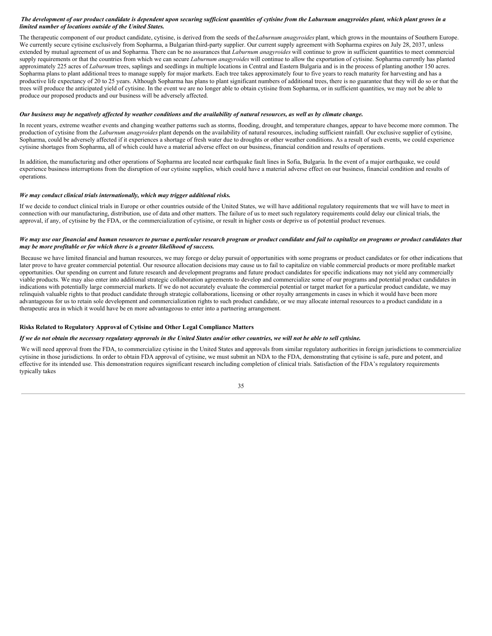#### The development of our product candidate is dependent upon securing sufficient quantities of cytisine from the Laburnum anagyroides plant, which plant grows in a *limited number of locations outside of the United States.*

The therapeutic component of our product candidate, cytisine, is derived from the seeds of the*Laburnum anagyroides* plant, which grows in the mountains of Southern Europe. We currently secure cytisine exclusively from Sopharma, a Bulgarian third-party supplier. Our current supply agreement with Sopharma expires on July 28, 2037, unless extended by mutual agreement of us and Sopharma. There can be no assurances that *Laburnum anagyroides* will continue to grow in sufficient quantities to meet commercial supply requirements or that the countries from which we can secure *Laburnum anagyroides* will continue to allow the exportation of cytisine. Sopharma currently has planted approximately 225 acres of *Laburnum* trees, saplings and seedlings in multiple locations in Central and Eastern Bulgaria and is in the process of planting another 150 acres. Sopharma plans to plant additional trees to manage supply for major markets. Each tree takes approximately four to five years to reach maturity for harvesting and has a productive life expectancy of 20 to 25 years. Although Sopharma has plans to plant significant numbers of additional trees, there is no guarantee that they will do so or that the trees will produce the anticipated yield of cytisine. In the event we are no longer able to obtain cytisine from Sopharma, or in sufficient quantities, we may not be able to produce our proposed products and our business will be adversely affected.

#### Our business may be negatively affected by weather conditions and the availability of natural resources, as well as by climate change.

In recent years, extreme weather events and changing weather patterns such as storms, flooding, drought, and temperature changes, appear to have become more common. The production of cytisine from the *Laburnum anagyroides* plant depends on the availability of natural resources, including sufficient rainfall. Our exclusive supplier of cytisine, Sopharma, could be adversely affected if it experiences a shortage of fresh water due to droughts or other weather conditions. As a result of such events, we could experience cytisine shortages from Sopharma, all of which could have a material adverse effect on our business, financial condition and results of operations.

In addition, the manufacturing and other operations of Sopharma are located near earthquake fault lines in Sofia, Bulgaria. In the event of a major earthquake, we could experience business interruptions from the disruption of our cytisine supplies, which could have a material adverse effect on our business, financial condition and results of operations.

#### *We may conduct clinical trials internationally, which may trigger additional risks.*

If we decide to conduct clinical trials in Europe or other countries outside of the United States, we will have additional regulatory requirements that we will have to meet in connection with our manufacturing, distribution, use of data and other matters. The failure of us to meet such regulatory requirements could delay our clinical trials, the approval, if any, of cytisine by the FDA, or the commercialization of cytisine, or result in higher costs or deprive us of potential product revenues.

#### We may use our financial and human resources to pursue a particular research program or product candidate and fail to capitalize on programs or product candidates that *may be more profitable or for which there is a greater likelihood of success.*

Because we have limited financial and human resources, we may forego or delay pursuit of opportunities with some programs or product candidates or for other indications that later prove to have greater commercial potential. Our resource allocation decisions may cause us to fail to capitalize on viable commercial products or more profitable market opportunities. Our spending on current and future research and development programs and future product candidates for specific indications may not yield any commercially viable products. We may also enter into additional strategic collaboration agreements to develop and commercialize some of our programs and potential product candidates in indications with potentially large commercial markets. If we do not accurately evaluate the commercial potential or target market for a particular product candidate, we may relinquish valuable rights to that product candidate through strategic collaborations, licensing or other royalty arrangements in cases in which it would have been more advantageous for us to retain sole development and commercialization rights to such product candidate, or we may allocate internal resources to a product candidate in a therapeutic area in which it would have be en more advantageous to enter into a partnering arrangement.

#### **Risks Related to Regulatory Approval of Cytisine and Other Legal Compliance Matters**

#### If we do not obtain the necessary regulatory approvals in the United States and/or other countries, we will not be able to sell cytisine.

We will need approval from the FDA, to commercialize cytisine in the United States and approvals from similar regulatory authorities in foreign jurisdictions to commercialize cytisine in those jurisdictions. In order to obtain FDA approval of cytisine, we must submit an NDA to the FDA, demonstrating that cytisine is safe, pure and potent, and effective for its intended use. This demonstration requires significant research including completion of clinical trials. Satisfaction of the FDA's regulatory requirements typically takes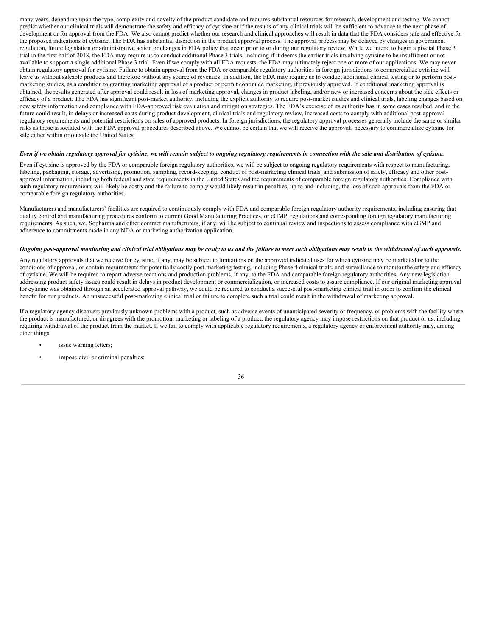many years, depending upon the type, complexity and novelty of the product candidate and requires substantial resources for research, development and testing. We cannot predict whether our clinical trials will demonstrate the safety and efficacy of cytisine or if the results of any clinical trials will be sufficient to advance to the next phase of development or for approval from the FDA. We also cannot predict whether our research and clinical approaches will result in data that the FDA considers safe and effective for the proposed indications of cytisine. The FDA has substantial discretion in the product approval process. The approval process may be delayed by changes in government regulation, future legislation or administrative action or changes in FDA policy that occur prior to or during our regulatory review. While we intend to begin a pivotal Phase 3 trial in the first half of 2018, the FDA may require us to conduct additional Phase 3 trials, including if it deems the earlier trials involving cytisine to be insufficient or not available to support a single additional Phase 3 trial. Even if we comply with all FDA requests, the FDA may ultimately reject one or more of our applications. We may never obtain regulatory approval for cytisine. Failure to obtain approval from the FDA or comparable regulatory authorities in foreign jurisdictions to commercialize cytisine will leave us without saleable products and therefore without any source of revenues. In addition, the FDA may require us to conduct additional clinical testing or to perform postmarketing studies, as a condition to granting marketing approval of a product or permit continued marketing, if previously approved. If conditional marketing approval is obtained, the results generated after approval could result in loss of marketing approval, changes in product labeling, and/or new or increased concerns about the side effects or efficacy of a product. The FDA has significant post-market authority, including the explicit authority to require post-market studies and clinical trials, labeling changes based on new safety information and compliance with FDA-approved risk evaluation and mitigation strategies. The FDA's exercise of its authority has in some cases resulted, and in the future could result, in delays or increased costs during product development, clinical trials and regulatory review, increased costs to comply with additional post-approval regulatory requirements and potential restrictions on sales of approved products. In foreign jurisdictions, the regulatory approval processes generally include the same or similar risks as those associated with the FDA approval procedures described above. We cannot be certain that we will receive the approvals necessary to commercialize cytisine for sale either within or outside the United States.

#### Even if we obtain regulatory approval for cytisine, we will remain subject to ongoing regulatory requirements in connection with the sale and distribution of cytisine.

Even if cytisine is approved by the FDA or comparable foreign regulatory authorities, we will be subject to ongoing regulatory requirements with respect to manufacturing, labeling, packaging, storage, advertising, promotion, sampling, record-keeping, conduct of post-marketing clinical trials, and submission of safety, efficacy and other postapproval information, including both federal and state requirements in the United States and the requirements of comparable foreign regulatory authorities. Compliance with such regulatory requirements will likely be costly and the failure to comply would likely result in penalties, up to and including, the loss of such approvals from the FDA or comparable foreign regulatory authorities.

Manufacturers and manufacturers' facilities are required to continuously comply with FDA and comparable foreign regulatory authority requirements, including ensuring that quality control and manufacturing procedures conform to current Good Manufacturing Practices, or cGMP, regulations and corresponding foreign regulatory manufacturing requirements. As such, we, Sopharma and other contract manufacturers, if any, will be subject to continual review and inspections to assess compliance with cGMP and adherence to commitments made in any NDA or marketing authorization application.

#### Ongoing post-approval monitoring and clinical trial obligations may be costly to us and the failure to meet such obligations may result in the withdrawal of such approvals.

Any regulatory approvals that we receive for cytisine, if any, may be subject to limitations on the approved indicated uses for which cytisine may be marketed or to the conditions of approval, or contain requirements for potentially costly post-marketing testing, including Phase 4 clinical trials, and surveillance to monitor the safety and efficacy of cytisine. We will be required to report adverse reactions and production problems, if any, to the FDA and comparable foreign regulatory authorities. Any new legislation addressing product safety issues could result in delays in product development or commercialization, or increased costs to assure compliance. If our original marketing approval for cytisine was obtained through an accelerated approval pathway, we could be required to conduct a successful post-marketing clinical trial in order to confirm the clinical benefit for our products. An unsuccessful post-marketing clinical trial or failure to complete such a trial could result in the withdrawal of marketing approval.

If a regulatory agency discovers previously unknown problems with a product, such as adverse events of unanticipated severity or frequency, or problems with the facility where the product is manufactured, or disagrees with the promotion, marketing or labeling of a product, the regulatory agency may impose restrictions on that product or us, including requiring withdrawal of the product from the market. If we fail to comply with applicable regulatory requirements, a regulatory agency or enforcement authority may, among other things:

- issue warning letters;
- impose civil or criminal penalties;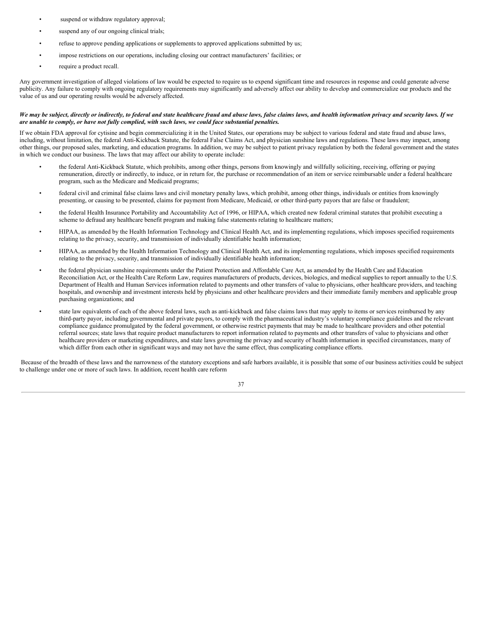- suspend or withdraw regulatory approval;
- suspend any of our ongoing clinical trials;
- refuse to approve pending applications or supplements to approved applications submitted by us;
- impose restrictions on our operations, including closing our contract manufacturers' facilities; or
- require a product recall.

Any government investigation of alleged violations of law would be expected to require us to expend significant time and resources in response and could generate adverse publicity. Any failure to comply with ongoing regulatory requirements may significantly and adversely affect our ability to develop and commercialize our products and the value of us and our operating results would be adversely affected.

#### We may be subject, directly or indirectly, to federal and state healthcare fraud and abuse laws, false claims laws, and health information privacy and security laws. If we *are unable to comply, or have not fully complied, with such laws, we could face substantial penalties.*

If we obtain FDA approval for cytisine and begin commercializing it in the United States, our operations may be subject to various federal and state fraud and abuse laws, including, without limitation, the federal Anti-Kickback Statute, the federal False Claims Act, and physician sunshine laws and regulations. These laws may impact, among other things, our proposed sales, marketing, and education programs. In addition, we may be subject to patient privacy regulation by both the federal government and the states in which we conduct our business. The laws that may affect our ability to operate include:

- the federal Anti-Kickback Statute, which prohibits, among other things, persons from knowingly and willfully soliciting, receiving, offering or paying remuneration, directly or indirectly, to induce, or in return for, the purchase or recommendation of an item or service reimbursable under a federal healthcare program, such as the Medicare and Medicaid programs;
- federal civil and criminal false claims laws and civil monetary penalty laws, which prohibit, among other things, individuals or entities from knowingly presenting, or causing to be presented, claims for payment from Medicare, Medicaid, or other third-party payors that are false or fraudulent;
- the federal Health Insurance Portability and Accountability Act of 1996, or HIPAA, which created new federal criminal statutes that prohibit executing a scheme to defraud any healthcare benefit program and making false statements relating to healthcare matters;
- HIPAA, as amended by the Health Information Technology and Clinical Health Act, and its implementing regulations, which imposes specified requirements relating to the privacy, security, and transmission of individually identifiable health information;
- HIPAA, as amended by the Health Information Technology and Clinical Health Act, and its implementing regulations, which imposes specified requirements relating to the privacy, security, and transmission of individually identifiable health information;
- the federal physician sunshine requirements under the Patient Protection and Affordable Care Act, as amended by the Health Care and Education Reconciliation Act, or the Health Care Reform Law, requires manufacturers of products, devices, biologics, and medical supplies to report annually to the U.S. Department of Health and Human Services information related to payments and other transfers of value to physicians, other healthcare providers, and teaching hospitals, and ownership and investment interests held by physicians and other healthcare providers and their immediate family members and applicable group purchasing organizations; and
- state law equivalents of each of the above federal laws, such as anti-kickback and false claims laws that may apply to items or services reimbursed by any third-party payor, including governmental and private payors, to comply with the pharmaceutical industry's voluntary compliance guidelines and the relevant compliance guidance promulgated by the federal government, or otherwise restrict payments that may be made to healthcare providers and other potential referral sources; state laws that require product manufacturers to report information related to payments and other transfers of value to physicians and other healthcare providers or marketing expenditures, and state laws governing the privacy and security of health information in specified circumstances, many of which differ from each other in significant ways and may not have the same effect, thus complicating compliance efforts.

Because of the breadth of these laws and the narrowness of the statutory exceptions and safe harbors available, it is possible that some of our business activities could be subject to challenge under one or more of such laws. In addition, recent health care reform

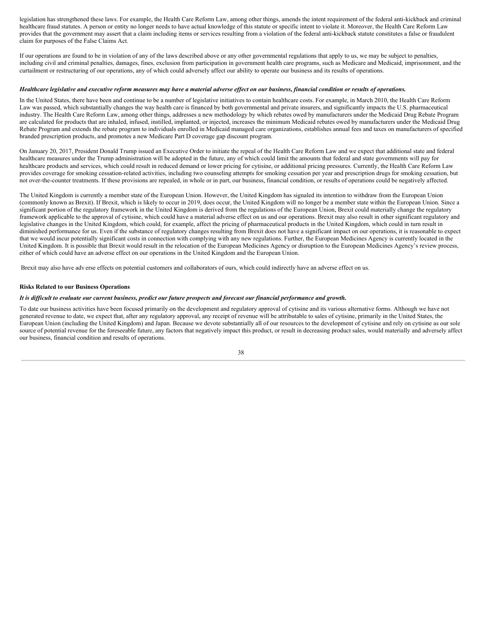legislation has strengthened these laws. For example, the Health Care Reform Law, among other things, amends the intent requirement of the federal anti-kickback and criminal healthcare fraud statutes. A person or entity no longer needs to have actual knowledge of this statute or specific intent to violate it. Moreover, the Health Care Reform Law provides that the government may assert that a claim including items or services resulting from a violation of the federal anti-kickback statute constitutes a false or fraudulent claim for purposes of the False Claims Act.

If our operations are found to be in violation of any of the laws described above or any other governmental regulations that apply to us, we may be subject to penalties, including civil and criminal penalties, damages, fines, exclusion from participation in government health care programs, such as Medicare and Medicaid, imprisonment, and the curtailment or restructuring of our operations, any of which could adversely affect our ability to operate our business and its results of operations.

#### Healthcare legislative and executive reform measures may have a material adverse effect on our business, financial condition or results of operations.

In the United States, there have been and continue to be a number of legislative initiatives to contain healthcare costs. For example, in March 2010, the Health Care Reform Law was passed, which substantially changes the way health care is financed by both governmental and private insurers, and significantly impacts the U.S. pharmaceutical industry. The Health Care Reform Law, among other things, addresses a new methodology by which rebates owed by manufacturers under the Medicaid Drug Rebate Program are calculated for products that are inhaled, infused, instilled, implanted, or injected, increases the minimum Medicaid rebates owed by manufacturers under the Medicaid Drug Rebate Program and extends the rebate program to individuals enrolled in Medicaid managed care organizations, establishes annual fees and taxes on manufacturers of specified branded prescription products, and promotes a new Medicare Part D coverage gap discount program.

On January 20, 2017, President Donald Trump issued an Executive Order to initiate the repeal of the Health Care Reform Law and we expect that additional state and federal healthcare measures under the Trump administration will be adopted in the future, any of which could limit the amounts that federal and state governments will pay for healthcare products and services, which could result in reduced demand or lower pricing for cytisine, or additional pricing pressures. Currently, the Health Care Reform Law provides coverage for smoking cessation-related activities, including two counseling attempts for smoking cessation per year and prescription drugs for smoking cessation, but not over-the-counter treatments. If these provisions are repealed, in whole or in part, our business, financial condition, or results of operations could be negatively affected.

The United Kingdom is currently a member state of the European Union. However, the United Kingdom has signaled its intention to withdraw from the European Union (commonly known as Brexit). If Brexit, which is likely to occur in 2019, does occur, the United Kingdom will no longer be a member state within the European Union. Since a significant portion of the regulatory framework in the United Kingdom is derived from the regulations of the European Union, Brexit could materially change the regulatory framework applicable to the approval of cytisine, which could have a material adverse effect on us and our operations. Brexit may also result in other significant regulatory and legislative changes in the United Kingdom, which could, for example, affect the pricing of pharmaceutical products in the United Kingdom, which could in turn result in diminished performance for us. Even if the substance of regulatory changes resulting from Brexit does not have a significant impact on our operations, it is reasonable to expect that we would incur potentially significant costs in connection with complying with any new regulations. Further, the European Medicines Agency is currently located in the United Kingdom. It is possible that Brexit would result in the relocation of the European Medicines Agency or disruption to the European Medicines Agency's review process, either of which could have an adverse effect on our operations in the United Kingdom and the European Union.

Brexit may also have adv erse effects on potential customers and collaborators of ours, which could indirectly have an adverse effect on us.

#### **Risks Related to our Business Operations**

#### It is difficult to evaluate our current business, predict our future prospects and forecast our financial performance and growth.

To date our business activities have been focused primarily on the development and regulatory approval of cytisine and its various alternative forms. Although we have not generated revenue to date, we expect that, after any regulatory approval, any receipt of revenue will be attributable to sales of cytisine, primarily in the United States, the European Union (including the United Kingdom) and Japan. Because we devote substantially all of our resources to the development of cytisine and rely on cytisine as our sole source of potential revenue for the foreseeable future, any factors that negatively impact this product, or result in decreasing product sales, would materially and adversely affect our business, financial condition and results of operations.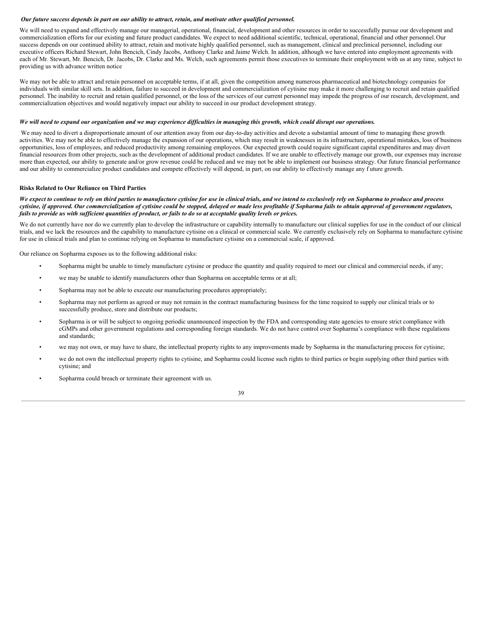#### Our future success depends in part on our ability to attract, retain, and motivate other qualified personnel.

We will need to expand and effectively manage our managerial, operational, financial, development and other resources in order to successfully pursue our development and commercialization efforts for our existing and future product candidates. We expect to need additional scientific, technical, operational, financial and other personnel.Our success depends on our continued ability to attract, retain and motivate highly qualified personnel, such as management, clinical and preclinical personnel, including our executive officers Richard Stewart, John Bencich, Cindy Jacobs, Anthony Clarke and Jaime Welch. In addition, although we have entered into employment agreements with each of Mr. Stewart, Mr. Bencich, Dr. Jacobs, Dr. Clarke and Ms. Welch, such agreements permit those executives to terminate their employment with us at any time, subject to providing us with advance written notice

We may not be able to attract and retain personnel on acceptable terms, if at all, given the competition among numerous pharmaceutical and biotechnology companies for individuals with similar skill sets. In addition, failure to succeed in development and commercialization of cytisine may make it more challenging to recruit and retain qualified personnel. The inability to recruit and retain qualified personnel, or the loss of the services of our current personnel may impede the progress of our research, development, and commercialization objectives and would negatively impact our ability to succeed in our product development strategy.

#### We will need to expand our organization and we may experience difficulties in managing this growth, which could disrupt our operations.

We may need to divert a disproportionate amount of our attention away from our day-to-day activities and devote a substantial amount of time to managing these growth activities. We may not be able to effectively manage the expansion of our operations, which may result in weaknesses in its infrastructure, operational mistakes, loss of business opportunities, loss of employees, and reduced productivity among remaining employees. Our expected growth could require significant capital expenditures and may divert financial resources from other projects, such as the development of additional product candidates. If we are unable to effectively manage our growth, our expenses may increase more than expected, our ability to generate and/or grow revenue could be reduced and we may not be able to implement our business strategy. Our future financial performance and our ability to commercialize product candidates and compete effectively will depend, in part, on our ability to effectively manage any f uture growth.

#### **Risks Related to Our Reliance on Third Parties**

#### We expect to continue to rely on third parties to manufacture cytisine for use in clinical trials, and we intend to exclusively rely on Sopharma to produce and process cytisine, if approved. Our commercialization of cytisine could be stopped, delayed or made less profitable if Sopharma fails to obtain approval of government regulators, fails to provide us with sufficient quantities of product, or fails to do so at acceptable quality levels or prices.

We do not currently have nor do we currently plan to develop the infrastructure or capability internally to manufacture our clinical supplies for use in the conduct of our clinical trials, and we lack the resources and the capability to manufacture cytisine on a clinical or commercial scale. We currently exclusively rely on Sopharma to manufacture cytisine for use in clinical trials and plan to continue relying on Sopharma to manufacture cytisine on a commercial scale, if approved.

Our reliance on Sopharma exposes us to the following additional risks:

- Sopharma might be unable to timely manufacture cytisine or produce the quantity and quality required to meet our clinical and commercial needs, if any;
- we may be unable to identify manufacturers other than Sopharma on acceptable terms or at all;
- Sopharma may not be able to execute our manufacturing procedures appropriately;
- Sopharma may not perform as agreed or may not remain in the contract manufacturing business for the time required to supply our clinical trials or to successfully produce, store and distribute our products;
- Sopharma is or will be subject to ongoing periodic unannounced inspection by the FDA and corresponding state agencies to ensure strict compliance with cGMPs and other government regulations and corresponding foreign standards. We do not have control over Sopharma's compliance with these regulations and standards;
- we may not own, or may have to share, the intellectual property rights to any improvements made by Sopharma in the manufacturing process for cytisine;
- we do not own the intellectual property rights to cytisine, and Sopharma could license such rights to third parties or begin supplying other third parties with cytisine; and
- Sopharma could breach or terminate their agreement with us.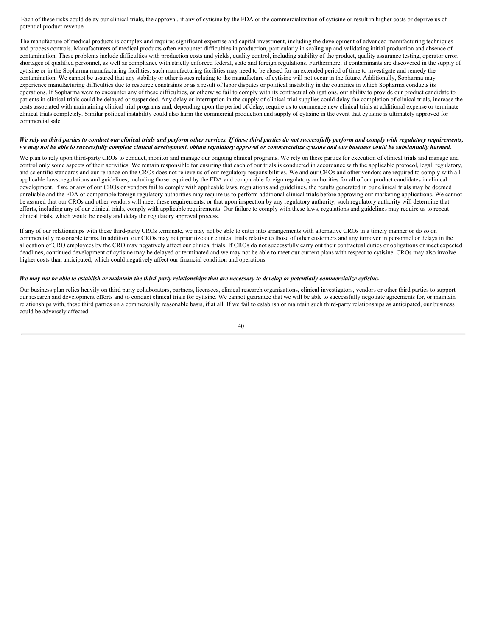Each of these risks could delay our clinical trials, the approval, if any of cytisine by the FDA or the commercialization of cytisine or result in higher costs or deprive us of potential product revenue.

The manufacture of medical products is complex and requires significant expertise and capital investment, including the development of advanced manufacturing techniques and process controls. Manufacturers of medical products often encounter difficulties in production, particularly in scaling up and validating initial production and absence of contamination. These problems include difficulties with production costs and yields, quality control, including stability of the product, quality assurance testing, operator error, shortages of qualified personnel, as well as compliance with strictly enforced federal, state and foreign regulations. Furthermore, if contaminants are discovered in the supply of cytisine or in the Sopharma manufacturing facilities, such manufacturing facilities may need to be closed for an extended period of time to investigate and remedy the contamination. We cannot be assured that any stability or other issues relating to the manufacture of cytisine will not occur in the future. Additionally, Sopharma may experience manufacturing difficulties due to resource constraints or as a result of labor disputes or political instability in the countries in which Sopharma conducts its operations. If Sopharma were to encounter any of these difficulties, or otherwise fail to comply with its contractual obligations, our ability to provide our product candidate to patients in clinical trials could be delayed or suspended. Any delay or interruption in the supply of clinical trial supplies could delay the completion of clinical trials, increase the costs associated with maintaining clinical trial programs and, depending upon the period of delay, require us to commence new clinical trials at additional expense or terminate clinical trials completely. Similar political instability could also harm the commercial production and supply of cytisine in the event that cytisine is ultimately approved for commercial sale.

#### We rely on third parties to conduct our clinical trials and perform other services. If these third parties do not successfully perform and comply with regulatory requirements, we may not be able to successfully complete clinical development, obtain regulatory approval or commercialize cytisine and our business could be substantially harmed.

We plan to rely upon third-party CROs to conduct, monitor and manage our ongoing clinical programs. We rely on these parties for execution of clinical trials and manage and control only some aspects of their activities. We remain responsible for ensuring that each of our trials is conducted in accordance with the applicable protocol, legal, regulatory, and scientific standards and our reliance on the CROs does not relieve us of our regulatory responsibilities. We and our CROs and other vendors are required to comply with all applicable laws, regulations and guidelines, including those required by the FDA and comparable foreign regulatory authorities for all of our product candidates in clinical development. If we or any of our CROs or vendors fail to comply with applicable laws, regulations and guidelines, the results generated in our clinical trials may be deemed unreliable and the FDA or comparable foreign regulatory authorities may require us to perform additional clinical trials before approving our marketing applications. We cannot be assured that our CROs and other vendors will meet these requirements, or that upon inspection by any regulatory authority, such regulatory authority will determine that efforts, including any of our clinical trials, comply with applicable requirements. Our failure to comply with these laws, regulations and guidelines may require us to repeat clinical trials, which would be costly and delay the regulatory approval process.

If any of our relationships with these third-party CROs terminate, we may not be able to enter into arrangements with alternative CROs in a timely manner or do so on commercially reasonable terms. In addition, our CROs may not prioritize our clinical trials relative to those of other customers and any turnover in personnel or delays in the allocation of CRO employees by the CRO may negatively affect our clinical trials. If CROs do not successfully carry out their contractual duties or obligations or meet expected deadlines, continued development of cytisine may be delayed or terminated and we may not be able to meet our current plans with respect to cytisine. CROs may also involve higher costs than anticipated, which could negatively affect our financial condition and operations.

#### We may not be able to establish or maintain the third-party relationships that are necessary to develop or potentially commercialize cytisine.

Our business plan relies heavily on third party collaborators, partners, licensees, clinical research organizations, clinical investigators, vendors or other third parties to support our research and development efforts and to conduct clinical trials for cytisine. We cannot guarantee that we will be able to successfully negotiate agreements for, or maintain relationships with, these third parties on a commercially reasonable basis, if at all. If we fail to establish or maintain such third-party relationships as anticipated, our business could be adversely affected.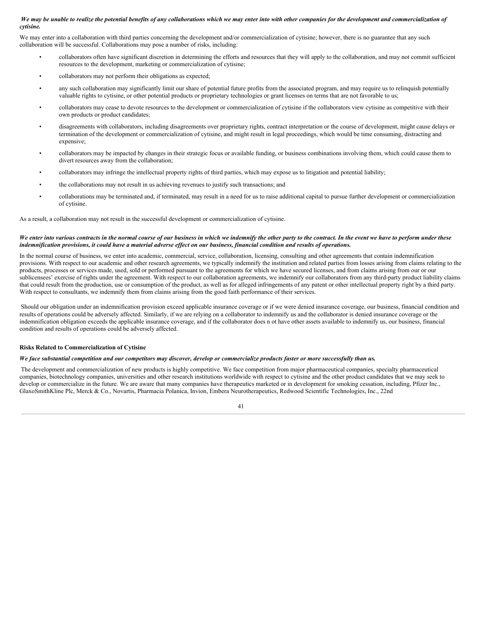#### We may be unable to realize the potential benefits of any collaborations which we may enter into with other companies for the development and commercialization of *cytisine.*

We may enter into a collaboration with third parties concerning the development and/or commercialization of cytisine; however, there is no guarantee that any such collaboration will be successful. Collaborations may pose a number of risks, including:

- collaborators often have significant discretion in determining the efforts and resources that they will apply to the collaboration, and may not commit sufficient resources to the development, marketing or commercialization of cytisine;
- collaborators may not perform their obligations as expected;
- any such collaboration may significantly limit our share of potential future profits from the associated program, and may require us to relinquish potentially valuable rights to cytisine, or other potential products or proprietary technologies or grant licenses on terms that are not favorable to us;
- collaborators may cease to devote resources to the development or commercialization of cytisine if the collaborators view cytisine as competitive with their own products or product candidates;
- disagreements with collaborators, including disagreements over proprietary rights, contract interpretation or the course of development, might cause delays or termination of the development or commercialization of cytisine, and might result in legal proceedings, which would be time consuming, distracting and expensive;
- collaborators may be impacted by changes in their strategic focus or available funding, or business combinations involving them, which could cause them to divert resources away from the collaboration;
- collaborators may infringe the intellectual property rights of third parties, which may expose us to litigation and potential liability;
- the collaborations may not result in us achieving revenues to justify such transactions; and
- collaborations may be terminated and, if terminated, may result in a need for us to raise additional capital to pursue further development or commercialization of cytisine.

As a result, a collaboration may not result in the successful development or commercialization of cytisine.

#### We enter into various contracts in the normal course of our business in which we indemnify the other party to the contract. In the event we have to perform under these indemnification provisions, it could have a material adverse effect on our business, financial condition and results of operations.

In the normal course of business, we enter into academic, commercial, service, collaboration, licensing, consulting and other agreements that contain indemnification provisions. With respect to our academic and other research agreements, we typically indemnify the institution and related parties from losses arising from claims relating to the products, processes or services made, used, sold or performed pursuant to the agreements for which we have secured licenses, and from claims arising from our or our sublicensees' exercise of rights under the agreement. With respect to our collaboration agreements, we indemnify our collaborators from any third-party product liability claims that could result from the production, use or consumption of the product, as well as for alleged infringements of any patent or other intellectual property right by a third party. With respect to consultants, we indemnify them from claims arising from the good faith performance of their services.

Should our obligation under an indemnification provision exceed applicable insurance coverage or if we were denied insurance coverage, our business, financial condition and results of operations could be adversely affected. Similarly, if we are relying on a collaborator to indemnify us and the collaborator is denied insurance coverage or the indemnification obligation exceeds the applicable insurance coverage, and if the collaborator does n ot have other assets available to indemnify us, our business, financial condition and results of operations could be adversely affected.

#### **Risks Related to Commercialization of Cytisine**

#### We face substantial competition and our competitors may discover, develop or commercialize products faster or more successfully than us.

The development and commercialization of new products is highly competitive. We face competition from major pharmaceutical companies, specialty pharmaceutical companies, biotechnology companies, universities and other research institutions worldwide with respect to cytisine and the other product candidates that we may seek to develop or commercialize in the future. We are aware that many companies have therapeutics marketed or in development for smoking cessation, including, Pfizer Inc., GlaxoSmithKline Plc, Merck & Co., Novartis, Pharmacia Polanica, Invion, Embera Neurotherapeutics, Redwood Scientific Technologies, Inc., 22nd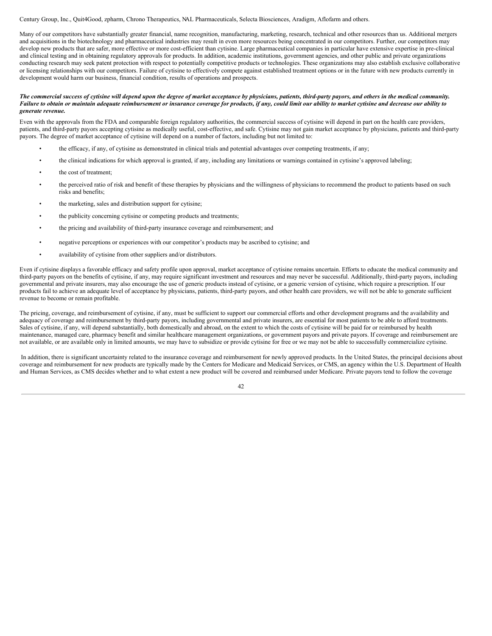#### Century Group, Inc., Quit4Good, zpharm, Chrono Therapeutics, NAL Pharmaceuticals, Selecta Biosciences, Aradigm, Aflofarm and others.

Many of our competitors have substantially greater financial, name recognition, manufacturing, marketing, research, technical and other resources than us. Additional mergers and acquisitions in the biotechnology and pharmaceutical industries may result in even more resources being concentrated in our competitors. Further, our competitors may develop new products that are safer, more effective or more cost-efficient than cytisine. Large pharmaceutical companies in particular have extensive expertise in pre-clinical and clinical testing and in obtaining regulatory approvals for products. In addition, academic institutions, government agencies, and other public and private organizations conducting research may seek patent protection with respect to potentially competitive products or technologies. These organizations may also establish exclusive collaborative or licensing relationships with our competitors. Failure of cytisine to effectively compete against established treatment options or in the future with new products currently in development would harm our business, financial condition, results of operations and prospects.

#### The commercial success of cytisine will depend upon the degree of market acceptance by physicians, patients, third-party payors, and others in the medical community. Failure to obtain or maintain adequate reimbursement or insurance coverage for products, if any, could limit our ability to market cytisine and decrease our ability to *generate revenue.*

Even with the approvals from the FDA and comparable foreign regulatory authorities, the commercial success of cytisine will depend in part on the health care providers, patients, and third-party payors accepting cytisine as medically useful, cost-effective, and safe. Cytisine may not gain market acceptance by physicians, patients and third-party payors. The degree of market acceptance of cytisine will depend on a number of factors, including but not limited to:

- the efficacy, if any, of cytisine as demonstrated in clinical trials and potential advantages over competing treatments, if any;
- the clinical indications for which approval is granted, if any, including any limitations or warnings contained in cytisine's approved labeling;
- the cost of treatment:
- the perceived ratio of risk and benefit of these therapies by physicians and the willingness of physicians to recommend the product to patients based on such risks and benefits;
- the marketing, sales and distribution support for cytisine;
- the publicity concerning cytisine or competing products and treatments;
- the pricing and availability of third-party insurance coverage and reimbursement; and
- negative perceptions or experiences with our competitor's products may be ascribed to cytisine; and
- availability of cytisine from other suppliers and/or distributors.

Even if cytisine displays a favorable efficacy and safety profile upon approval, market acceptance of cytisine remains uncertain. Efforts to educate the medical community and third-party payors on the benefits of cytisine, if any, may require significant investment and resources and may never be successful. Additionally, third-party payors, including governmental and private insurers, may also encourage the use of generic products instead of cytisine, or a generic version of cytisine, which require a prescription. If our products fail to achieve an adequate level of acceptance by physicians, patients, third-party payors, and other health care providers, we will not be able to generate sufficient revenue to become or remain profitable.

The pricing, coverage, and reimbursement of cytisine, if any, must be sufficient to support our commercial efforts and other development programs and the availability and adequacy of coverage and reimbursement by third-party payors, including governmental and private insurers, are essential for most patients to be able to afford treatments. Sales of cytisine, if any, will depend substantially, both domestically and abroad, on the extent to which the costs of cytisine will be paid for or reimbursed by health maintenance, managed care, pharmacy benefit and similar healthcare management organizations, or government payors and private payors. If coverage and reimbursement are not available, or are available only in limited amounts, we may have to subsidize or provide cytisine for free or we may not be able to successfully commercialize cytisine.

In addition, there is significant uncertainty related to the insurance coverage and reimbursement for newly approved products. In the United States, the principal decisions about coverage and reimbursement for new products are typically made by the Centers for Medicare and Medicaid Services, or CMS, an agency within the U.S. Department of Health and Human Services, as CMS decides whether and to what extent a new product will be covered and reimbursed under Medicare. Private payors tend to follow the coverage

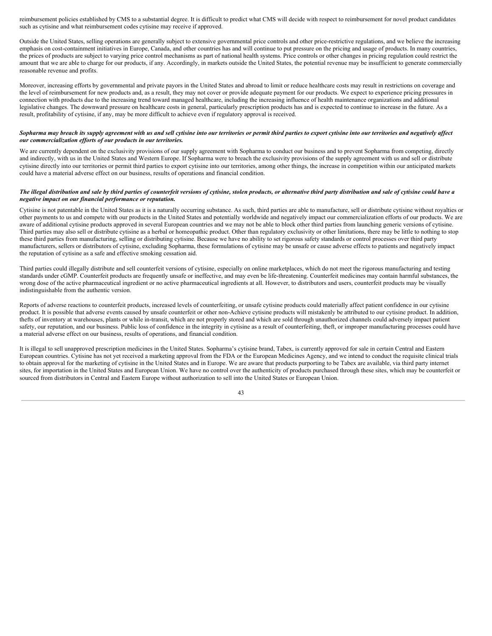reimbursement policies established by CMS to a substantial degree. It is difficult to predict what CMS will decide with respect to reimbursement for novel product candidates such as cytisine and what reimbursement codes cytisine may receive if approved.

Outside the United States, selling operations are generally subject to extensive governmental price controls and other price-restrictive regulations, and we believe the increasing emphasis on cost-containment initiatives in Europe, Canada, and other countries has and will continue to put pressure on the pricing and usage of products. In many countries, the prices of products are subject to varying price control mechanisms as part of national health systems. Price controls or other changes in pricing regulation could restrict the amount that we are able to charge for our products, if any. Accordingly, in markets outside the United States, the potential revenue may be insufficient to generate commercially reasonable revenue and profits.

Moreover, increasing efforts by governmental and private payors in the United States and abroad to limit or reduce healthcare costs may result in restrictions on coverage and the level of reimbursement for new products and, as a result, they may not cover or provide adequate payment for our products. We expect to experience pricing pressures in connection with products due to the increasing trend toward managed healthcare, including the increasing influence of health maintenance organizations and additional legislative changes. The downward pressure on healthcare costs in general, particularly prescription products has and is expected to continue to increase in the future. As a result, profitability of cytisine, if any, may be more difficult to achieve even if regulatory approval is received.

#### Sopharma may breach its supply agreement with us and sell cytisine into our territories or permit third parties to export cytisine into our territories and negatively affect *our commercialization ef orts of our products in our territories.*

We are currently dependent on the exclusivity provisions of our supply agreement with Sopharma to conduct our business and to prevent Sopharma from competing, directly and indirectly, with us in the United States and Western Europe. If Sopharma were to breach the exclusivity provisions of the supply agreement with us and sell or distribute cytisine directly into our territories or permit third parties to export cytisine into our territories, among other things, the increase in competition within our anticipated markets could have a material adverse effect on our business, results of operations and financial condition.

#### The illegal distribution and sale by third parties of counterfeit versions of cytisine, stolen products, or alternative third party distribution and sale of cytisine could have a *negative impact on our financial performance or reputation.*

Cytisine is not patentable in the United States as it is a naturally occurring substance. As such, third parties are able to manufacture, sell or distribute cytisine without royalties or other payments to us and compete with our products in the United States and potentially worldwide and negatively impact our commercialization efforts of our products. We are aware of additional cytisine products approved in several European countries and we may not be able to block other third parties from launching generic versions of cytisine. Third parties may also sell or distribute cytisine as a herbal or homeopathic product. Other than regulatory exclusivity or other limitations, there may be little to nothing to stop these third parties from manufacturing, selling or distributing cytisine. Because we have no ability to set rigorous safety standards or control processes over third party manufacturers, sellers or distributors of cytisine, excluding Sopharma, these formulations of cytisine may be unsafe or cause adverse effects to patients and negatively impact the reputation of cytisine as a safe and effective smoking cessation aid.

Third parties could illegally distribute and sell counterfeit versions of cytisine, especially on online marketplaces, which do not meet the rigorous manufacturing and testing standards under cGMP. Counterfeit products are frequently unsafe or ineffective, and may even be life-threatening. Counterfeit medicines may contain harmful substances, the wrong dose of the active pharmaceutical ingredient or no active pharmaceutical ingredients at all. However, to distributors and users, counterfeit products may be visually indistinguishable from the authentic version.

Reports of adverse reactions to counterfeit products, increased levels of counterfeiting, or unsafe cytisine products could materially affect patient confidence in our cytisine product. It is possible that adverse events caused by unsafe counterfeit or other non-Achieve cytisine products will mistakenly be attributed to our cytisine product. In addition, thefts of inventory at warehouses, plants or while in-transit, which are not properly stored and which are sold through unauthorized channels could adversely impact patient safety, our reputation, and our business. Public loss of confidence in the integrity in cytisine as a result of counterfeiting, theft, or improper manufacturing processes could have a material adverse effect on our business, results of operations, and financial condition.

It is illegal to sell unapproved prescription medicines in the United States. Sopharma's cytisine brand, Tabex, is currently approved for sale in certain Central and Eastern European countries. Cytisine has not yet received a marketing approval from the FDA or the European Medicines Agency, and we intend to conduct the requisite clinical trials to obtain approval for the marketing of cytisine in the United States and in Europe. We are aware that products purporting to be Tabex are available, via third party internet sites, for importation in the United States and European Union. We have no control over the authenticity of products purchased through these sites, which may be counterfeit or sourced from distributors in Central and Eastern Europe without authorization to sell into the United States or European Union.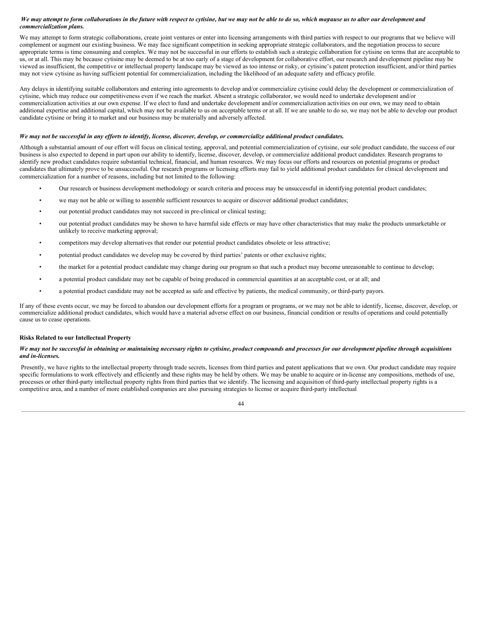#### We may attempt to form collaborations in the future with respect to cytisine, but we may not be able to do so, which magause us to alter our development and *commercialization plans.*

We may attempt to form strategic collaborations, create joint ventures or enter into licensing arrangements with third parties with respect to our programs that we believe will complement or augment our existing business. We may face significant competition in seeking appropriate strategic collaborators, and the negotiation process to secure appropriate terms is time consuming and complex. We may not be successful in our efforts to establish such a strategic collaboration for cytisine on terms that are acceptable to us, or at all. This may be because cytisine may be deemed to be at too early of a stage of development for collaborative effort, our research and development pipeline may be viewed as insufficient, the competitive or intellectual property landscape may be viewed as too intense or risky, or cytisine's patent protection insufficient, and/or third parties may not view cytisine as having sufficient potential for commercialization, including the likelihood of an adequate safety and efficacy profile.

Any delays in identifying suitable collaborators and entering into agreements to develop and/or commercialize cytisine could delay the development or commercialization of cytisine, which may reduce our competitiveness even if we reach the market. Absent a strategic collaborator, we would need to undertake development and/or commercialization activities at our own expense. If we elect to fund and undertake development and/or commercialization activities on our own, we may need to obtain additional expertise and additional capital, which may not be available to us on acceptable terms or at all. If we are unable to do so, we may not be able to develop our product candidate cytisine or bring it to market and our business may be materially and adversely affected.

#### We may not be successful in any efforts to identify, license, discover, develop, or commercialize additional product candidates.

Although a substantial amount of our effort will focus on clinical testing, approval, and potential commercialization of cytisine, our sole product candidate, the success of our business is also expected to depend in part upon our ability to identify, license, discover, develop, or commercialize additional product candidates. Research programs to identify new product candidates require substantial technical, financial, and human resources. We may focus our efforts and resources on potential programs or product candidates that ultimately prove to be unsuccessful. Our research programs or licensing efforts may fail to yield additional product candidates for clinical development and commercialization for a number of reasons, including but not limited to the following:

- Our research or business development methodology or search criteria and process may be unsuccessful in identifying potential product candidates;
- we may not be able or willing to assemble sufficient resources to acquire or discover additional product candidates;
- our potential product candidates may not succeed in pre-clinical or clinical testing;
- our potential product candidates may be shown to have harmful side effects or may have other characteristics that may make the products unmarketable or unlikely to receive marketing approval;
- competitors may develop alternatives that render our potential product candidates obsolete or less attractive;
- potential product candidates we develop may be covered by third parties' patents or other exclusive rights;
- the market for a potential product candidate may change during our program so that such a product may become unreasonable to continue to develop;
- a potential product candidate may not be capable of being produced in commercial quantities at an acceptable cost, or at all; and
- a potential product candidate may not be accepted as safe and effective by patients, the medical community, or third-party payors.

If any of these events occur, we may be forced to abandon our development efforts for a program or programs, or we may not be able to identify, license, discover, develop, or commercialize additional product candidates, which would have a material adverse effect on our business, financial condition or results of operations and could potentially cause us to cease operations.

#### **Risks Related to our Intellectual Property**

#### We may not be successful in obtaining or maintaining necessary rights to cytisine, product compounds and processes for our development pipeline through acquisitions *and in-licenses.*

Presently, we have rights to the intellectual property through trade secrets, licenses from third parties and patent applications that we own. Our product candidate may require specific formulations to work effectively and efficiently and these rights may be held by others. We may be unable to acquire or in-license any compositions, methods of use, processes or other third-party intellectual property rights from third parties that we identify. The licensing and acquisition of third-party intellectual property rights is a competitive area, and a number of more established companies are also pursuing strategies to license or acquire third-party intellectual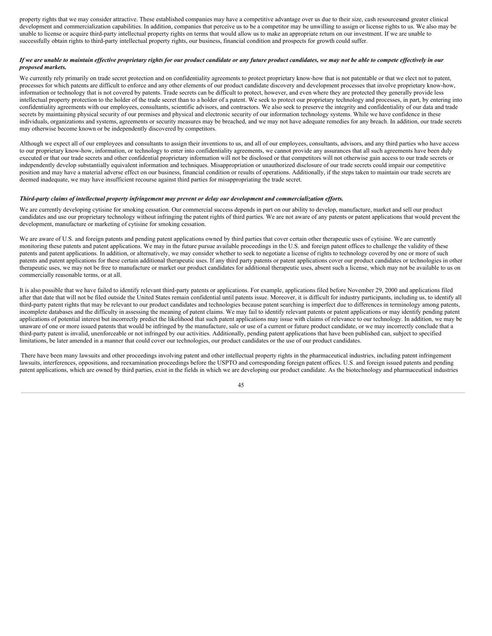property rights that we may consider attractive. These established companies may have a competitive advantage over us due to their size, cash resourcesand greater clinical development and commercialization capabilities. In addition, companies that perceive us to be a competitor may be unwilling to assign or license rights to us. We also may be unable to license or acquire third-party intellectual property rights on terms that would allow us to make an appropriate return on our investment. If we are unable to successfully obtain rights to third-party intellectual property rights, our business, financial condition and prospects for growth could suffer.

#### If we are unable to maintain effective proprietary rights for our product candidate or any future product candidates, we may not be able to compete effectively in our *proposed markets.*

We currently rely primarily on trade secret protection and on confidentiality agreements to protect proprietary know-how that is not patentable or that we elect not to patent, processes for which patents are difficult to enforce and any other elements of our product candidate discovery and development processes that involve proprietary know-how, information or technology that is not covered by patents. Trade secrets can be difficult to protect, however, and even where they are protected they generally provide less intellectual property protection to the holder of the trade secret than to a holder of a patent. We seek to protect our proprietary technology and processes, in part, by entering into confidentiality agreements with our employees, consultants, scientific advisors, and contractors. We also seek to preserve the integrity and confidentiality of our data and trade secrets by maintaining physical security of our premises and physical and electronic security of our information technology systems. While we have confidence in these individuals, organizations and systems, agreements or security measures may be breached, and we may not have adequate remedies for any breach. In addition, our trade secrets may otherwise become known or be independently discovered by competitors.

Although we expect all of our employees and consultants to assign their inventions to us, and all of our employees, consultants, advisors, and any third parties who have access to our proprietary know-how, information, or technology to enter into confidentiality agreements, we cannot provide any assurances that all such agreements have been duly executed or that our trade secrets and other confidential proprietary information will not be disclosed or that competitors will not otherwise gain access to our trade secrets or independently develop substantially equivalent information and techniques. Misappropriation or unauthorized disclosure of our trade secrets could impair our competitive position and may have a material adverse effect on our business, financial condition or results of operations. Additionally, if the steps taken to maintain our trade secrets are deemed inadequate, we may have insufficient recourse against third parties for misappropriating the trade secret.

#### Third-party claims of intellectual property infringement may prevent or delay our development and commercialization efforts.

We are currently developing cytisine for smoking cessation. Our commercial success depends in part on our ability to develop, manufacture, market and sell our product candidates and use our proprietary technology without infringing the patent rights of third parties. We are not aware of any patents or patent applications that would prevent the development, manufacture or marketing of cytisine for smoking cessation.

We are aware of U.S. and foreign patents and pending patent applications owned by third parties that cover certain other therapeutic uses of cytisine. We are currently monitoring these patents and patent applications. We may in the future pursue available proceedings in the U.S. and foreign patent offices to challenge the validity of these patents and patent applications. In addition, or alternatively, we may consider whether to seek to negotiate a license of rights to technology covered by one or more of such patents and patent applications for these certain additional therapeutic uses. If any third party patents or patent applications cover our product candidates or technologies in other therapeutic uses, we may not be free to manufacture or market our product candidates for additional therapeutic uses, absent such a license, which may not be available to us on commercially reasonable terms, or at all.

It is also possible that we have failed to identify relevant third-party patents or applications. For example, applications filed before November 29, 2000 and applications filed after that date that will not be filed outside the United States remain confidential until patents issue. Moreover, it is difficult for industry participants, including us, to identify all third-party patent rights that may be relevant to our product candidates and technologies because patent searching is imperfect due to differences in terminology among patents, incomplete databases and the difficulty in assessing the meaning of patent claims. We may fail to identify relevant patents or patent applications or may identify pending patent applications of potential interest but incorrectly predict the likelihood that such patent applications may issue with claims of relevance to our technology. In addition, we may be unaware of one or more issued patents that would be infringed by the manufacture, sale or use of a current or future product candidate, or we may incorrectly conclude that a third-party patent is invalid, unenforceable or not infringed by our activities. Additionally, pending patent applications that have been published can, subject to specified limitations, be later amended in a manner that could cover our technologies, our product candidates or the use of our product candidates.

There have been many lawsuits and other proceedings involving patent and other intellectual property rights in the pharmaceutical industries, including patent infringement lawsuits, interferences, oppositions, and reexamination proceedings before the USPTO and corresponding foreign patent offices. U.S. and foreign issued patents and pending patent applications, which are owned by third parties, exist in the fields in which we are developing our product candidate. As the biotechnology and pharmaceutical industries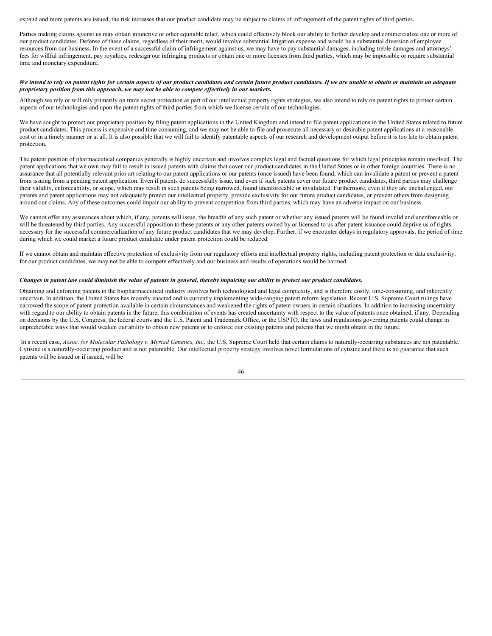expand and more patents are issued, the risk increases that our product candidate may be subject to claims of infringement of the patent rights of third parties.

Parties making claims against us may obtain injunctive or other equitable relief, which could effectively block our ability to further develop and commercialize one or more of our product candidates. Defense of these claims, regardless of their merit, would involve substantial litigation expense and would be a substantial diversion of employee resources from our business. In the event of a successful claim of infringement against us, we may have to pay substantial damages, including treble damages and attorneys' fees for willful infringement, pay royalties, redesign our infringing products or obtain one or more licenses from third parties, which may be impossible or require substantial time and monetary expenditure.

#### We intend to rely on patent rights for certain aspects of our product candidates and certain future product candidates. If we are unable to obtain or maintain an adequate *proprietary position from this approach, we may not be able to compete ef ectively in our markets.*

Although we rely or will rely primarily on trade secret protection as part of our intellectual property rights strategies, we also intend to rely on patent rights to protect certain aspects of our technologies and upon the patent rights of third parties from which we license certain of our technologies.

We have sought to protect our proprietary position by filing patent applications in the United Kingdom and intend to file patent applications in the United States related to future product candidates. This process is expensive and time consuming, and we may not be able to file and prosecute all necessary or desirable patent applications at a reasonable cost or in a timely manner or at all. It is also possible that we will fail to identify patentable aspects of our research and development output before it is too late to obtain patent protection.

The patent position of pharmaceutical companies generally is highly uncertain and involves complex legal and factual questions for which legal principles remain unsolved. The patent applications that we own may fail to result in issued patents with claims that cover our product candidates in the United States or in other foreign countries. There is no assurance that all potentially relevant prior art relating to our patent applications or our patents (once issued) have been found, which can invalidate a patent or prevent a patent from issuing from a pending patent application. Even if patents do successfully issue, and even if such patents cover our future product candidates, third parties may challenge their validity, enforceability, or scope, which may result in such patents being narrowed, found unenforceable or invalidated. Furthermore, even if they are unchallenged, our patents and patent applications may not adequately protect our intellectual property, provide exclusivity for our future product candidates, or prevent others from designing around our claims. Any of these outcomes could impair our ability to prevent competition from third parties, which may have an adverse impact on our business.

We cannot offer any assurances about which, if any, patents will issue, the breadth of any such patent or whether any issued patents will be found invalid and unenforceable or will be threatened by third parties. Any successful opposition to these patents or any other patents owned by or licensed to us after patent issuance could deprive us of rights necessary for the successful commercialization of any future product candidates that we may develop. Further, if we encounter delays in regulatory approvals, the period of time during which we could market a future product candidate under patent protection could be reduced.

If we cannot obtain and maintain effective protection of exclusivity from our regulatory efforts and intellectual property rights, including patent protection or data exclusivity, for our product candidates, we may not be able to compete effectively and our business and results of operations would be harmed.

#### Changes in patent law could diminish the value of patents in general, thereby impairing our ability to protect our product candidates.

Obtaining and enforcing patents in the biopharmaceutical industry involves both technological and legal complexity, and is therefore costly, time-consuming, and inherently uncertain. In addition, the United States has recently enacted and is currently implementing wide-ranging patent reform legislation. Recent U.S. Supreme Court rulings have narrowed the scope of patent protection available in certain circumstances and weakened the rights of patent owners in certain situations. In addition to increasing uncertainty with regard to our ability to obtain patents in the future, this combination of events has created uncertainty with respect to the value of patents once obtained, if any. Depending on decisions by the U.S. Congress, the federal courts and the U.S. Patent and Trademark Office, or the USPTO, the laws and regulations governing patents could change in unpredictable ways that would weaken our ability to obtain new patents or to enforce our existing patents and patents that we might obtain in the future.

In a recent case, Assoc. for Molecular Pathology v. Myriad Genetics, Inc., the U.S. Supreme Court held that certain claims to naturally-occurring substances are not patentable. Cytisine is a naturally-occurring product and is not patentable. Our intellectual property strategy involves novel formulations of cytisine and there is no guarantee that such patents will be issued or if issued, will be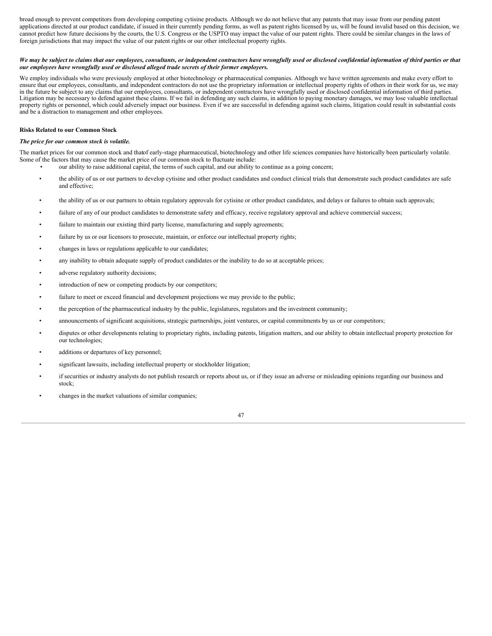broad enough to prevent competitors from developing competing cytisine products. Although we do not believe that any patents that may issue from our pending patent applications directed at our product candidate, if issued in their currently pending forms, as well as patent rights licensed by us, will be found invalid based on this decision, we cannot predict how future decisions by the courts, the U.S. Congress or the USPTO may impact the value of our patent rights. There could be similar changes in the laws of foreign jurisdictions that may impact the value of our patent rights or our other intellectual property rights.

#### We may be subject to claims that our employees, consultants, or independent contractors have wrongfully used or disclosed confidential information of third parties or that *our employees have wrongfully used or disclosed alleged trade secrets of their former employers.*

We employ individuals who were previously employed at other biotechnology or pharmaceutical companies. Although we have written agreements and make every effort to ensure that our employees, consultants, and independent contractors do not use the proprietary information or intellectual property rights of others in their work for us, we may in the future be subject to any claims that our employees, consultants, or independent contractors have wrongfully used or disclosed confidential information of third parties. Litigation may be necessary to defend against these claims. If we fail in defending any such claims, in addition to paying monetary damages, we may lose valuable intellectual property rights or personnel, which could adversely impact our business. Even if we are successful in defending against such claims, litigation could result in substantial costs and be a distraction to management and other employees.

#### **Risks Related to our Common Stock**

#### *The price for our common stock is volatile.*

The market prices for our common stock and thatof early-stage pharmaceutical, biotechnology and other life sciences companies have historically been particularly volatile. Some of the factors that may cause the market price of our common stock to fluctuate include:

- our ability to raise additional capital, the terms of such capital, and our ability to continue as a going concern;
	- the ability of us or our partners to develop cytisine and other product candidates and conduct clinical trials that demonstrate such product candidates are safe and effective;
	- the ability of us or our partners to obtain regulatory approvals for cytisine or other product candidates, and delays or failures to obtain such approvals;
	- failure of any of our product candidates to demonstrate safety and efficacy, receive regulatory approval and achieve commercial success;
	- failure to maintain our existing third party license, manufacturing and supply agreements;
	- failure by us or our licensors to prosecute, maintain, or enforce our intellectual property rights;
	- changes in laws or regulations applicable to our candidates;
	- any inability to obtain adequate supply of product candidates or the inability to do so at acceptable prices;
	- adverse regulatory authority decisions;
	- introduction of new or competing products by our competitors;
	- failure to meet or exceed financial and development projections we may provide to the public;
	- the perception of the pharmaceutical industry by the public, legislatures, regulators and the investment community;
	- announcements of significant acquisitions, strategic partnerships, joint ventures, or capital commitments by us or our competitors;
	- disputes or other developments relating to proprietary rights, including patents, litigation matters, and our ability to obtain intellectual property protection for our technologies;
	- additions or departures of key personnel;
	- significant lawsuits, including intellectual property or stockholder litigation;
	- if securities or industry analysts do not publish research or reports about us, or if they issue an adverse or misleading opinions regarding our business and stock;
	- changes in the market valuations of similar companies;

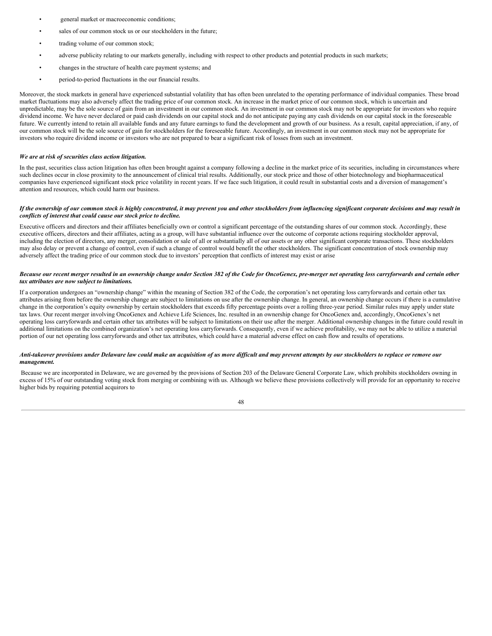- general market or macroeconomic conditions;
- sales of our common stock us or our stockholders in the future;
- trading volume of our common stock;
- adverse publicity relating to our markets generally, including with respect to other products and potential products in such markets;
- changes in the structure of health care payment systems; and
- period-to-period fluctuations in the our financial results.

Moreover, the stock markets in general have experienced substantial volatility that has often been unrelated to the operating performance of individual companies. These broad market fluctuations may also adversely affect the trading price of our common stock. An increase in the market price of our common stock, which is uncertain and unpredictable, may be the sole source of gain from an investment in our common stock. An investment in our common stock may not be appropriate for investors who require dividend income. We have never declared or paid cash dividends on our capital stock and do not anticipate paying any cash dividends on our capital stock in the foreseeable future. We currently intend to retain all available funds and any future earnings to fund the development and growth of our business. As a result, capital appreciation, if any, of our common stock will be the sole source of gain for stockholders for the foreseeable future. Accordingly, an investment in our common stock may not be appropriate for investors who require dividend income or investors who are not prepared to bear a significant risk of losses from such an investment.

#### *We are at risk of securities class action litigation.*

In the past, securities class action litigation has often been brought against a company following a decline in the market price of its securities, including in circumstances where such declines occur in close proximity to the announcement of clinical trial results. Additionally, our stock price and those of other biotechnology and biopharmaceutical companies have experienced significant stock price volatility in recent years. If we face such litigation, it could result in substantial costs and a diversion of management's attention and resources, which could harm our business.

#### If the ownership of our common stock is highly concentrated, it may prevent you and other stockholders from influencing significant corporate decisions and may result in *conflicts of interest that could cause our stock price to decline.*

Executive officers and directors and their affiliates beneficially own or control a significant percentage of the outstanding shares of our common stock. Accordingly, these executive officers, directors and their affiliates, acting as a group, will have substantial influence over the outcome of corporate actions requiring stockholder approval, including the election of directors, any merger, consolidation or sale of all or substantially all of our assets or any other significant corporate transactions. These stockholders may also delay or prevent a change of control, even if such a change of control would benefit the other stockholders. The significant concentration of stock ownership may adversely affect the trading price of our common stock due to investors' perception that conflicts of interest may exist or arise

#### Because our recent merger resulted in an ownership change under Section 382 of the Code for OncoGenex, pre-merger net operating loss carryforwards and certain other *tax attributes are now subject to limitations.*

If a corporation undergoes an "ownership change" within the meaning of Section 382 of the Code, the corporation's net operating loss carryforwards and certain other tax attributes arising from before the ownership change are subject to limitations on use after the ownership change. In general, an ownership change occurs if there is a cumulative change in the corporation's equity ownership by certain stockholders that exceeds fifty percentage points over a rolling three-year period. Similar rules may apply under state tax laws. Our recent merger involving OncoGenex and Achieve Life Sciences, Inc. resulted in an ownership change for OncoGenex and, accordingly, OncoGenex's net operating loss carryforwards and certain other tax attributes will be subject to limitations on their use after the merger. Additional ownership changes in the future could result in additional limitations on the combined organization's net operating loss carryforwards. Consequently, even if we achieve profitability, we may not be able to utilize a material portion of our net operating loss carryforwards and other tax attributes, which could have a material adverse effect on cash flow and results of operations.

#### Anti-takeover provisions under Delaware law could make an acquisition of us more difficult and may prevent attempts by our stockholders to replace or remove our *management.*

Because we are incorporated in Delaware, we are governed by the provisions of Section 203 of the Delaware General Corporate Law, which prohibits stockholders owning in excess of 15% of our outstanding voting stock from merging or combining with us. Although we believe these provisions collectively will provide for an opportunity to receive higher bids by requiring potential acquirors to

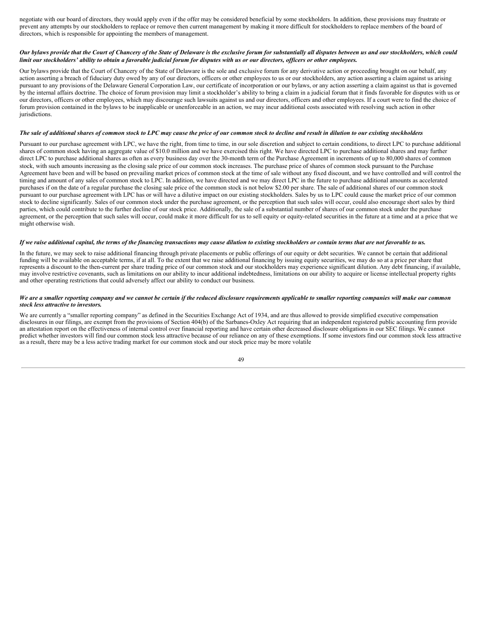negotiate with our board of directors, they would apply even if the offer may be considered beneficial by some stockholders. In addition, these provisions may frustrate or prevent any attempts by our stockholders to replace or remove then current management by making it more difficult for stockholders to replace members of the board of directors, which is responsible for appointing the members of management.

#### Our bylaws provide that the Court of Chancery of the State of Delaware is the exclusive forum for substantially all disputes between us and our stockholders, which could limit our stockholders' ability to obtain a favorable judicial forum for disputes with us or our directors, officers or other employees.

Our bylaws provide that the Court of Chancery of the State of Delaware is the sole and exclusive forum for any derivative action or proceeding brought on our behalf, any action asserting a breach of fiduciary duty owed by any of our directors, officers or other employees to us or our stockholders, any action asserting a claim against us arising pursuant to any provisions of the Delaware General Corporation Law, our certificate of incorporation or our bylaws, or any action asserting a claim against us that is governed by the internal affairs doctrine. The choice of forum provision may limit a stockholder's ability to bring a claim in a judicial forum that it finds favorable for disputes with us or our directors, officers or other employees, which may discourage such lawsuits against us and our directors, officers and other employees. If a court were to find the choice of forum provision contained in the bylaws to be inapplicable or unenforceable in an action, we may incur additional costs associated with resolving such action in other jurisdictions.

#### The sale of additional shares of common stock to LPC may cause the price of our common stock to decline and result in dilution to our existing stockholders

Pursuant to our purchase agreement with LPC, we have the right, from time to time, in our sole discretion and subject to certain conditions, to direct LPC to purchase additional shares of common stock having an aggregate value of \$10.0 million and we have exercised this right. We have directed LPC to purchase additional shares and may further direct LPC to purchase additional shares as often as every business day over the 30-month term of the Purchase Agreement in increments of up to 80,000 shares of common stock, with such amounts increasing as the closing sale price of our common stock increases. The purchase price of shares of common stock pursuant to the Purchase Agreement have been and will be based on prevailing market prices of common stock at the time of sale without any fixed discount, and we have controlled and will control the timing and amount of any sales of common stock to LPC. In addition, we have directed and we may direct LPC in the future to purchase additional amounts as accelerated purchases if on the date of a regular purchase the closing sale price of the common stock is not below \$2.00 per share. The sale of additional shares of our common stock pursuant to our purchase agreement with LPC has or will have a dilutive impact on our existing stockholders. Sales by us to LPC could cause the market price of our common stock to decline significantly. Sales of our common stock under the purchase agreement, or the perception that such sales will occur, could also encourage short sales by third parties, which could contribute to the further decline of our stock price. Additionally, the sale of a substantial number of shares of our common stock under the purchase agreement, or the perception that such sales will occur, could make it more difficult for us to sell equity or equity-related securities in the future at a time and at a price that we might otherwise wish.

#### If we raise additional capital, the terms of the financing transactions may cause dilution to existing stockholders or contain terms that are not favorable to us.

In the future, we may seek to raise additional financing through private placements or public offerings of our equity or debt securities. We cannot be certain that additional funding will be available on acceptable terms, if at all. To the extent that we raise additional financing by issuing equity securities, we may do so at a price per share that represents a discount to the then-current per share trading price of our common stock and our stockholders may experience significant dilution. Any debt financing, if available, may involve restrictive covenants, such as limitations on our ability to incur additional indebtedness, limitations on our ability to acquire or license intellectual property rights and other operating restrictions that could adversely affect our ability to conduct our business.

#### We are a smaller reporting company and we cannot be certain if the reduced disclosure requirements applicable to smaller reporting companies will make our common *stock less attractive to investors.*

We are currently a "smaller reporting company" as defined in the Securities Exchange Act of 1934, and are thus allowed to provide simplified executive compensation disclosures in our filings, are exempt from the provisions of Section 404(b) of the Sarbanes-Oxley Act requiring that an independent registered public accounting firm provide an attestation report on the effectiveness of internal control over financial reporting and have certain other decreased disclosure obligations in our SEC filings. We cannot predict whether investors will find our common stock less attractive because of our reliance on any of these exemptions. If some investors find our common stock less attractive as a result, there may be a less active trading market for our common stock and our stock price may be more volatile

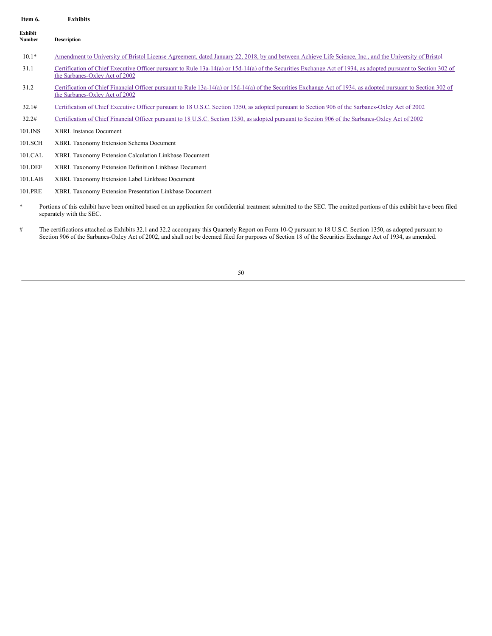<span id="page-49-0"></span>

| Item 6.                  | <b>Exhibits</b>                                                                                                                                                                                      |
|--------------------------|------------------------------------------------------------------------------------------------------------------------------------------------------------------------------------------------------|
| <b>Exhibit</b><br>Number | <b>Description</b>                                                                                                                                                                                   |
| $10.1*$                  | Amendment to University of Bristol License Agreement, dated January 22, 2018, by and between Achieve Life Science, Inc., and the University of Bristol                                               |
| 31.1                     | Certification of Chief Executive Officer pursuant to Rule 13a-14(a) or 15d-14(a) of the Securities Exchange Act of 1934, as adopted pursuant to Section 302 of<br>the Sarbanes-Oxley Act of 2002     |
| 31.2                     | Certification of Chief Financial Officer pursuant to Rule 13a-14(a) or 15d-14(a) of the Securities Exchange Act of 1934, as adopted pursuant to Section 302 of<br>the Sarbanes-Oxley Act of 2002     |
| 32.1#                    | Certification of Chief Executive Officer pursuant to 18 U.S.C. Section 1350, as adopted pursuant to Section 906 of the Sarbanes-Oxley Act of 2002                                                    |
| 32.2#                    | Certification of Chief Financial Officer pursuant to 18 U.S.C. Section 1350, as adopted pursuant to Section 906 of the Sarbanes-Oxley Act of 2002                                                    |
| 101.INS                  | <b>XBRL Instance Document</b>                                                                                                                                                                        |
| 101.SCH                  | XBRL Taxonomy Extension Schema Document                                                                                                                                                              |
| 101.CAL                  | XBRL Taxonomy Extension Calculation Linkbase Document                                                                                                                                                |
| 101.DEF                  | XBRL Taxonomy Extension Definition Linkbase Document                                                                                                                                                 |
| 101.LAB                  | XBRL Taxonomy Extension Label Linkbase Document                                                                                                                                                      |
| 101.PRE                  | XBRL Taxonomy Extension Presentation Linkbase Document                                                                                                                                               |
| *                        | Portions of this exhibit have been omitted based on an application for confidential treatment submitted to the SEC. The omitted portions of this exhibit have been filed<br>separately with the SEC. |

# The certifications attached as Exhibits 32.1 and 32.2 accompany this Quarterly Report on Form 10-Q pursuant to 18 U.S.C. Section 1350, as adopted pursuant to Section 906 of the Sarbanes-Oxley Act of 2002, and shall not be deemed filed for purposes of Section 18 of the Securities Exchange Act of 1934, as amended.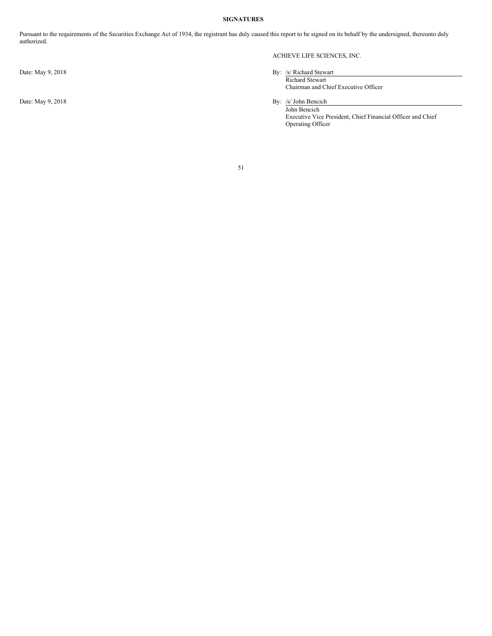#### <span id="page-50-0"></span>**SIGNATURES**

Pursuant to the requirements of the Securities Exchange Act of 1934, the registrant has duly caused this report to be signed on its behalf by the undersigned, thereunto duly authorized.

#### ACHIEVE LIFE SCIENCES, INC.

### Date: May 9, 2018 By: /s/ Richard Stewart

Richard Stewart Chairman and Chief Executive Officer

Date: May 9, 2018 By: /s/ John Bencich

John Bencich Executive Vice President, Chief Financial Officer and Chief Operating Officer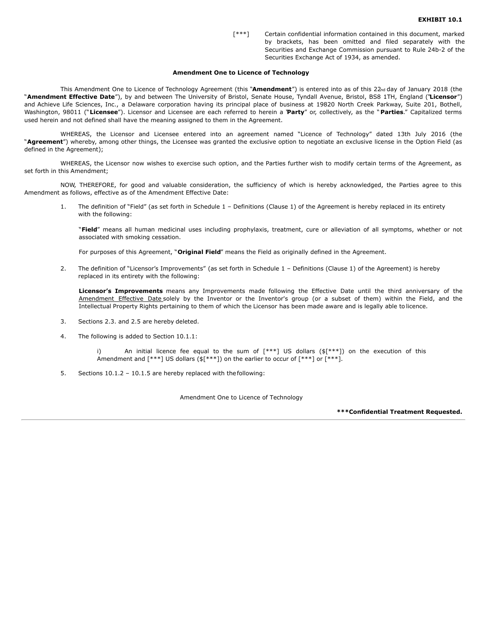[\*\*\*] Certain confidential information contained in this document, marked by brackets, has been omitted and filed separately with the Securities and Exchange Commission pursuant to Rule 24b-2 of the Securities Exchange Act of 1934, as amended.

#### **Amendment One to Licence of Technology**

This Amendment One to Licence of Technology Agreement (this "**Amendment**") is entered into as of this 22nd day of January 2018 (the "**Amendment Effective Date**"), by and between The University of Bristol, Senate House, Tyndall Avenue, Bristol, BS8 1TH, England ("**Licensor**") and Achieve Life Sciences, Inc., a Delaware corporation having its principal place of business at 19820 North Creek Parkway, Suite 201, Bothell, Washington, 98011 ("**Licensee**"). Licensor and Licensee are each referred to herein a "**Party**" or, collectively, as the " **Parties**." Capitalized terms used herein and not defined shall have the meaning assigned to them in the Agreement.

WHEREAS, the Licensor and Licensee entered into an agreement named "Licence of Technology" dated 13th July 2016 (the "**Agreement**") whereby, among other things, the Licensee was granted the exclusive option to negotiate an exclusive license in the Option Field (as defined in the Agreement);

WHEREAS, the Licensor now wishes to exercise such option, and the Parties further wish to modify certain terms of the Agreement, as set forth in this Amendment;

NOW, THEREFORE, for good and valuable consideration, the sufficiency of which is hereby acknowledged, the Parties agree to this Amendment as follows, effective as of the Amendment Effective Date:

1. The definition of "Field" (as set forth in Schedule 1 – Definitions (Clause 1) of the Agreement is hereby replaced in its entirety with the following:

"**Field**" means all human medicinal uses including prophylaxis, treatment, cure or alleviation of all symptoms, whether or not associated with smoking cessation.

For purposes of this Agreement, "**Original Field**" means the Field as originally defined in the Agreement.

2. The definition of "Licensor's Improvements" (as set forth in Schedule 1 – Definitions (Clause 1) of the Agreement) is hereby replaced in its entirety with the following:

**Licensor's Improvements** means any Improvements made following the Effective Date until the third anniversary of the Amendment Effective Date solely by the Inventor or the Inventor's group (or a subset of them) within the Field, and the Intellectual Property Rights pertaining to them of which the Licensor has been made aware and is legally able to licence.

- 3. Sections 2.3. and 2.5 are hereby deleted.
- 4. The following is added to Section 10.1.1:

An initial licence fee equal to the sum of  $[***]$  US dollars ( $[***]$ ) on the execution of this Amendment and  $[***]$  US dollars ( $[***]$ ) on the earlier to occur of  $[***]$  or  $[***]$ .

5. Sections 10.1.2 – 10.1.5 are hereby replaced with thefollowing:

Amendment One to Licence of Technology

**\*\*\*Confidential Treatment Requested.**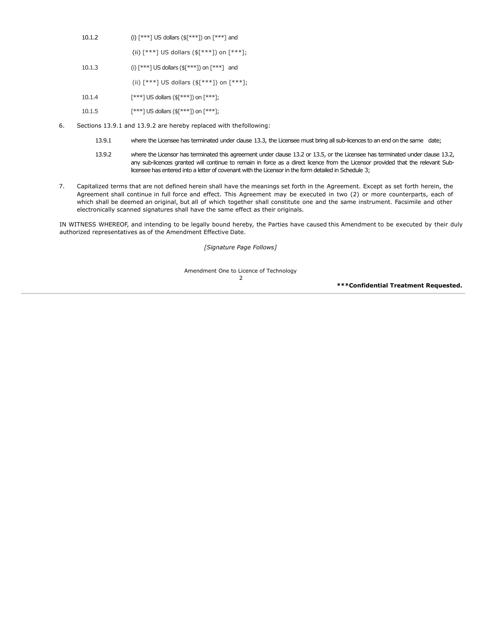<span id="page-52-0"></span>

| 10.1.2 | (i) $\lceil *** \rceil$ US dollars (\$ $\lceil *** \rceil$ ) on $\lceil *** \rceil$ and |
|--------|-----------------------------------------------------------------------------------------|
|--------|-----------------------------------------------------------------------------------------|

(ii)  $[***]$  US dollars (\$ $[***]$ ) on  $[***]$ ;

- 10.1.3 (i) [\*\*\*] US dollars (\$[\*\*\*]) on [\*\*\*] and (ii)  $[***]$  US dollars (\$ $[***]$ ) on  $[***]$ ; 10.1.4 [\*\*\*] US dollars (\$[\*\*\*]) on [\*\*\*];
- 10.1.5 [\*\*\*] US dollars (\$[\*\*\*]) on [\*\*\*];
- 6. Sections 13.9.1 and 13.9.2 are hereby replaced with thefollowing:
	- 13.9.1 where the Licensee has terminated under clause 13.3, the Licensee must bring all sub-licences to an end on the same date;
	- 13.9.2 where the Licensor has terminated this agreement under clause 13.2 or 13.5, or the Licensee has terminated under clause 13.2, any sub-licences granted will continue to remain in force as a direct licence from the Licensor provided that the relevant Sublicensee has entered into a letter of covenant with the Licensor in the form detailed in Schedule 3;
- 7. Capitalized terms that are not defined herein shall have the meanings set forth in the Agreement. Except as set forth herein, the Agreement shall continue in full force and effect. This Agreement may be executed in two (2) or more counterparts, each of which shall be deemed an original, but all of which together shall constitute one and the same instrument. Facsimile and other electronically scanned signatures shall have the same effect as their originals.

IN WITNESS WHEREOF, and intending to be legally bound hereby, the Parties have caused this Amendment to be executed by their duly authorized representatives as of the Amendment Effective Date.

*[Signature Page Follows]*

Amendment One to Licence of Technology

2

**\*\*\*Confidential Treatment Requested.**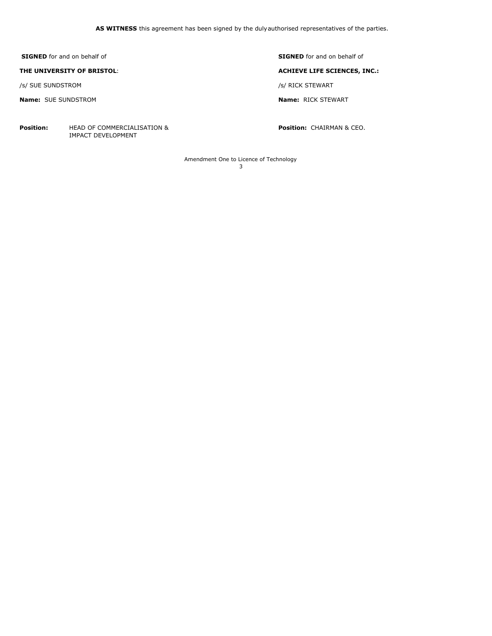**SIGNED** for and on behalf of **SIGNED** for and on behalf of

/s/ SUE SUNDSTROM /s/ RICK STEWART

**Name:** SUE SUNDSTROM **Name:** RICK STEWART

**Position:** HEAD OF COMMERCIALISATION & **Position:** CHAIRMAN & CEO. IMPACT DEVELOPMENT

**THE UNIVERSITY OF BRISTOL**: **ACHIEVE LIFE SCIENCES, INC.:**

Amendment One to Licence of Technology 3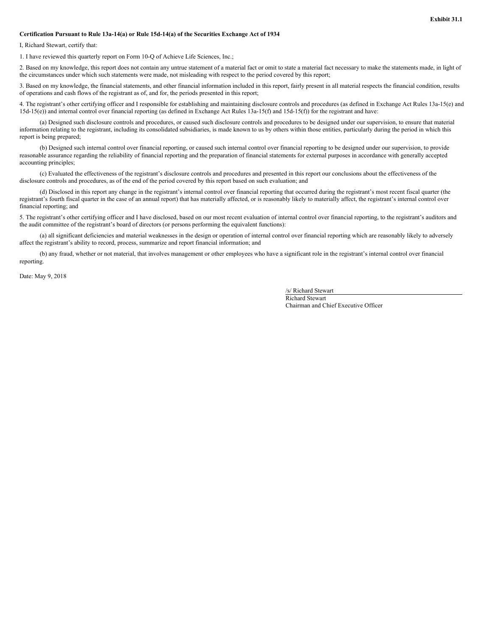#### <span id="page-54-0"></span>**Certification Pursuant to Rule 13a-14(a) or Rule 15d-14(a) of the Securities Exchange Act of 1934**

I, Richard Stewart, certify that:

1. I have reviewed this quarterly report on Form 10-Q of Achieve Life Sciences, Inc.;

2. Based on my knowledge, this report does not contain any untrue statement of a material fact or omit to state a material fact necessary to make the statements made, in light of the circumstances under which such statements were made, not misleading with respect to the period covered by this report;

3. Based on my knowledge, the financial statements, and other financial information included in this report, fairly present in all material respects the financial condition, results of operations and cash flows of the registrant as of, and for, the periods presented in this report;

4. The registrant's other certifying officer and I responsible for establishing and maintaining disclosure controls and procedures (as defined in Exchange Act Rules 13a-15(e) and 15d-15(e)) and internal control over financial reporting (as defined in Exchange Act Rules 13a-15(f) and 15d-15(f)) for the registrant and have:

(a) Designed such disclosure controls and procedures, or caused such disclosure controls and procedures to be designed under our supervision, to ensure that material information relating to the registrant, including its consolidated subsidiaries, is made known to us by others within those entities, particularly during the period in which this report is being prepared;

(b) Designed such internal control over financial reporting, or caused such internal control over financial reporting to be designed under our supervision, to provide reasonable assurance regarding the reliability of financial reporting and the preparation of financial statements for external purposes in accordance with generally accepted accounting principles;

(c) Evaluated the effectiveness of the registrant's disclosure controls and procedures and presented in this report our conclusions about the effectiveness of the disclosure controls and procedures, as of the end of the period covered by this report based on such evaluation; and

(d) Disclosed in this report any change in the registrant's internal control over financial reporting that occurred during the registrant's most recent fiscal quarter (the registrant's fourth fiscal quarter in the case of an annual report) that has materially affected, or is reasonably likely to materially affect, the registrant's internal control over financial reporting; and

5. The registrant's other certifying officer and I have disclosed, based on our most recent evaluation of internal control over financial reporting, to the registrant's auditors and the audit committee of the registrant's board of directors (or persons performing the equivalent functions):

(a) all significant deficiencies and material weaknesses in the design or operation of internal control over financial reporting which are reasonably likely to adversely affect the registrant's ability to record, process, summarize and report financial information; and

(b) any fraud, whether or not material, that involves management or other employees who have a significant role in the registrant's internal control over financial reporting.

Date: May 9, 2018

/s/ Richard Stewart

Richard Stewart Chairman and Chief Executive Officer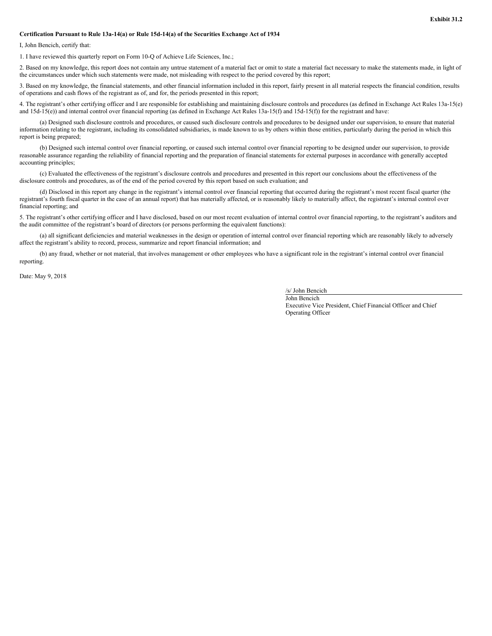#### <span id="page-55-0"></span>**Certification Pursuant to Rule 13a-14(a) or Rule 15d-14(a) of the Securities Exchange Act of 1934**

I, John Bencich, certify that:

1. I have reviewed this quarterly report on Form 10-Q of Achieve Life Sciences, Inc.;

2. Based on my knowledge, this report does not contain any untrue statement of a material fact or omit to state a material fact necessary to make the statements made, in light of the circumstances under which such statements were made, not misleading with respect to the period covered by this report;

3. Based on my knowledge, the financial statements, and other financial information included in this report, fairly present in all material respects the financial condition, results of operations and cash flows of the registrant as of, and for, the periods presented in this report;

4. The registrant's other certifying officer and I are responsible for establishing and maintaining disclosure controls and procedures (as defined in Exchange Act Rules 13a-15(e) and  $15d-15(e)$ ) and internal control over financial reporting (as defined in Exchange Act Rules  $13a-15(f)$  and  $15d-15(f)$ ) for the registrant and have:

(a) Designed such disclosure controls and procedures, or caused such disclosure controls and procedures to be designed under our supervision, to ensure that material information relating to the registrant, including its consolidated subsidiaries, is made known to us by others within those entities, particularly during the period in which this report is being prepared;

(b) Designed such internal control over financial reporting, or caused such internal control over financial reporting to be designed under our supervision, to provide reasonable assurance regarding the reliability of financial reporting and the preparation of financial statements for external purposes in accordance with generally accepted accounting principles;

(c) Evaluated the effectiveness of the registrant's disclosure controls and procedures and presented in this report our conclusions about the effectiveness of the disclosure controls and procedures, as of the end of the period covered by this report based on such evaluation; and

(d) Disclosed in this report any change in the registrant's internal control over financial reporting that occurred during the registrant's most recent fiscal quarter (the registrant's fourth fiscal quarter in the case of an annual report) that has materially affected, or is reasonably likely to materially affect, the registrant's internal control over financial reporting; and

5. The registrant's other certifying officer and I have disclosed, based on our most recent evaluation of internal control over financial reporting, to the registrant's auditors and the audit committee of the registrant's board of directors (or persons performing the equivalent functions):

(a) all significant deficiencies and material weaknesses in the design or operation of internal control over financial reporting which are reasonably likely to adversely affect the registrant's ability to record, process, summarize and report financial information; and

(b) any fraud, whether or not material, that involves management or other employees who have a significant role in the registrant's internal control over financial reporting.

Date: May 9, 2018

/s/ John Bencich

John Bencich Executive Vice President, Chief Financial Officer and Chief Operating Officer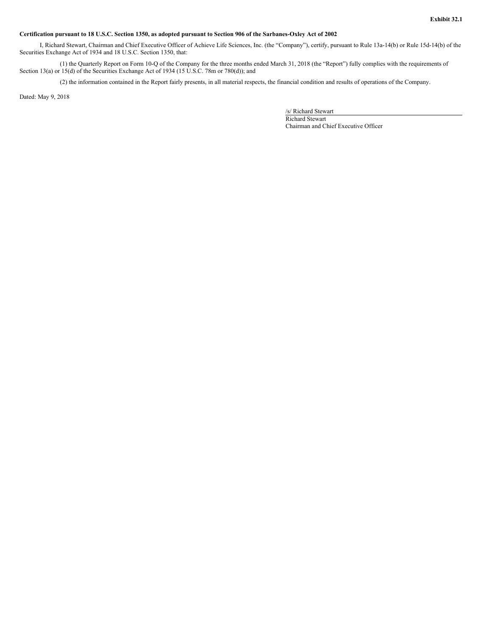#### <span id="page-56-0"></span>Certification pursuant to 18 U.S.C. Section 1350, as adopted pursuant to Section 906 of the Sarbanes-Oxley Act of 2002

I, Richard Stewart, Chairman and Chief Executive Officer of Achieve Life Sciences, Inc. (the "Company"), certify, pursuant to Rule 13a-14(b) or Rule 15d-14(b) of the Securities Exchange Act of 1934 and 18 U.S.C. Section 1350, that:

(1) the Quarterly Report on Form 10-Q of the Company for the three months ended March 31, 2018 (the "Report") fully complies with the requirements of Section 13(a) or 15(d) of the Securities Exchange Act of 1934 (15 U.S.C. 78m or 780(d)); and

(2) the information contained in the Report fairly presents, in all material respects, the financial condition and results of operations of the Company.

Dated: May 9, 2018

/s/ Richard Stewart

Richard Stewart Chairman and Chief Executive Officer